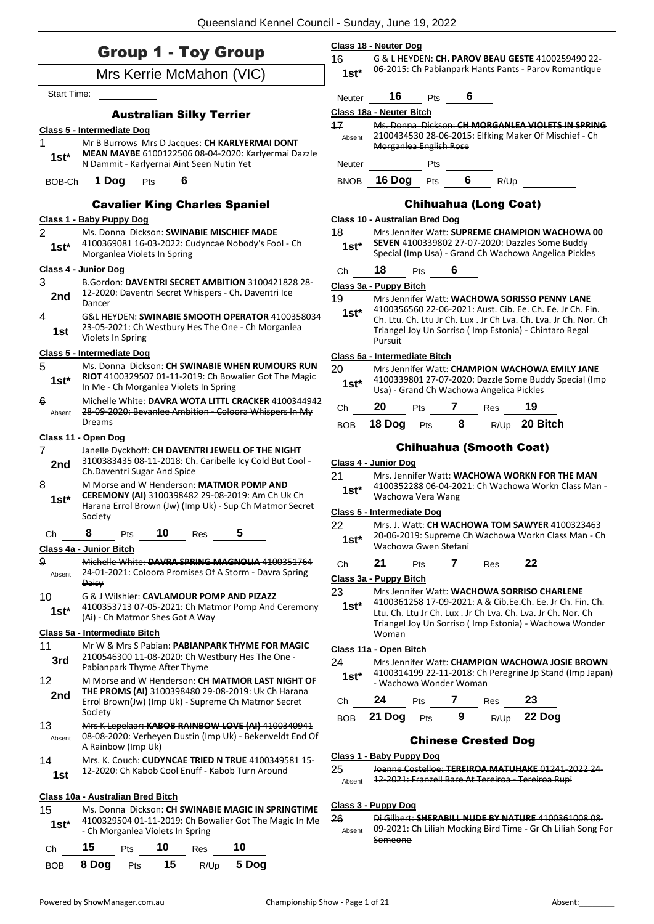**Class 18 - Neuter Dog**

|  |  |  |  | <b>Group 1 - Toy Group</b> |
|--|--|--|--|----------------------------|
|--|--|--|--|----------------------------|

|                    | <b>STOUP I - TOY STOUP</b>                                                                                    | 16          |                                       |     |     |             |                                          |                                                                                                          | G & L HEYDEN: CH. PAROV BEAU GESTE 4100259490 22-                |
|--------------------|---------------------------------------------------------------------------------------------------------------|-------------|---------------------------------------|-----|-----|-------------|------------------------------------------|----------------------------------------------------------------------------------------------------------|------------------------------------------------------------------|
|                    | Mrs Kerrie McMahon (VIC)                                                                                      | $1st*$      |                                       |     |     |             |                                          |                                                                                                          | 06-2015: Ch Pabianpark Hants Pants - Parov Romantique            |
| <b>Start Time:</b> |                                                                                                               | Neuter      | 16                                    |     | Pts | 6           |                                          |                                                                                                          |                                                                  |
|                    | <b>Australian Silky Terrier</b>                                                                               |             | Class 18a - Neuter Bitch              |     |     |             |                                          |                                                                                                          |                                                                  |
|                    | <b>Class 5 - Intermediate Dog</b>                                                                             | 17          |                                       |     |     |             |                                          |                                                                                                          | Ms. Donna Dickson: CH MORGANLEA VIOLETS IN SPRING                |
| 1                  | Mr B Burrows Mrs D Jacques: CH KARLYERMAI DONT                                                                | Absent      |                                       |     |     |             |                                          | 2100434530 28-06-2015: Elfking Maker Of Mischief - Ch                                                    |                                                                  |
| $1st*$             | MEAN MAYBE 6100122506 08-04-2020: Karlyermai Dazzle<br>N Dammit - Karlyernai Aint Seen Nutin Yet              | Neuter      | Morganica English Rose                |     | Pts |             |                                          |                                                                                                          |                                                                  |
| BOB-Ch             | 1 Dog<br>6<br><b>Pts</b>                                                                                      | <b>BNOB</b> | 16 Dog $Pts$ 6                        |     |     |             | R/Up                                     |                                                                                                          |                                                                  |
|                    | <b>Cavalier King Charles Spaniel</b>                                                                          |             |                                       |     |     |             | <b>Chihuahua (Long Coat)</b>             |                                                                                                          |                                                                  |
|                    | Class 1 - Baby Puppy Dog                                                                                      |             | <b>Class 10 - Australian Bred Dog</b> |     |     |             |                                          |                                                                                                          |                                                                  |
| 2                  | Ms. Donna Dickson: SWINABIE MISCHIEF MADE                                                                     | 18          |                                       |     |     |             |                                          |                                                                                                          | Mrs Jennifer Watt: SUPREME CHAMPION WACHOWA 00                   |
| $1st*$             | 4100369081 16-03-2022: Cudyncae Nobody's Fool - Ch<br>Morganlea Violets In Spring                             | $1st^*$     |                                       |     |     |             |                                          | SEVEN 4100339802 27-07-2020: Dazzles Some Buddy<br>Special (Imp Usa) - Grand Ch Wachowa Angelica Pickles |                                                                  |
|                    | Class 4 - Junior Dog                                                                                          | Ch          | 18                                    | Pts | 6   |             |                                          |                                                                                                          |                                                                  |
| 3                  | B.Gordon: DAVENTRI SECRET AMBITION 3100421828 28-                                                             |             | Class 3a - Puppy Bitch                |     |     |             |                                          |                                                                                                          |                                                                  |
| 2nd                | 12-2020: Daventri Secret Whispers - Ch. Daventri Ice<br>Dancer                                                | 19          |                                       |     |     |             |                                          | Mrs Jennifer Watt: WACHOWA SORISSO PENNY LANE                                                            |                                                                  |
| 4                  | G&L HEYDEN: SWINABIE SMOOTH OPERATOR 4100358034                                                               | $1st*$      |                                       |     |     |             |                                          |                                                                                                          | 4100356560 22-06-2021: Aust. Cib. Ee. Ch. Ee. Jr Ch. Fin.        |
|                    | 23-05-2021: Ch Westbury Hes The One - Ch Morganlea                                                            |             |                                       |     |     |             |                                          | Triangel Joy Un Sorriso (Imp Estonia) - Chintaro Regal                                                   | Ch. Ltu. Ch. Ltu Jr Ch. Lux . Jr Ch Lva. Ch. Lva. Jr Ch. Nor. Ch |
| 1st                | Violets In Spring                                                                                             |             | Pursuit                               |     |     |             |                                          |                                                                                                          |                                                                  |
|                    | Class 5 - Intermediate Dog                                                                                    |             | Class 5a - Intermediate Bitch         |     |     |             |                                          |                                                                                                          |                                                                  |
| 5                  | Ms. Donna Dickson: CH SWINABIE WHEN RUMOURS RUN                                                               | 20          |                                       |     |     |             |                                          | Mrs Jennifer Watt: CHAMPION WACHOWA EMILY JANE                                                           |                                                                  |
| $1st*$             | RIOT 4100329507 01-11-2019: Ch Bowalier Got The Magic<br>In Me - Ch Morganlea Violets In Spring               | $1st^*$     |                                       |     |     |             | Usa) - Grand Ch Wachowa Angelica Pickles |                                                                                                          | 4100339801 27-07-2020: Dazzle Some Buddy Special (Imp            |
| 6                  | Michelle White: DAVRA WOTA LITTL CRACKER 4100344942<br>28-09-2020: Bevanlee Ambition - Coloora Whispers In My | Ch          | 20                                    | Pts |     | $7^{\circ}$ | Res                                      | 19                                                                                                       |                                                                  |
| Absent             | <b>Dreams</b>                                                                                                 | BOB.        |                                       |     |     |             |                                          | 18 Dog Pts 8 R/Up 20 Bitch                                                                               |                                                                  |
|                    | Class 11 - Open Dog                                                                                           |             |                                       |     |     |             |                                          |                                                                                                          |                                                                  |
| $\overline{7}$     | Janelle Dyckhoff: CH DAVENTRI JEWELL OF THE NIGHT                                                             |             |                                       |     |     |             |                                          | <b>Chihuahua (Smooth Coat)</b>                                                                           |                                                                  |
| 2nd                | 3100383435 08-11-2018: Ch. Caribelle Icy Cold But Cool -<br>Ch.Daventri Sugar And Spice                       |             | Class 4 - Junior Dog                  |     |     |             |                                          |                                                                                                          |                                                                  |
| 8                  | M Morse and W Henderson: MATMOR POMP AND                                                                      | 21          |                                       |     |     |             |                                          | Mrs. Jennifer Watt: WACHOWA WORKN FOR THE MAN                                                            |                                                                  |
|                    | CEREMONY (AI) 3100398482 29-08-2019: Am Ch Uk Ch                                                              | $1st^*$     | Wachowa Vera Wang                     |     |     |             |                                          |                                                                                                          | 4100352288 06-04-2021: Ch Wachowa Workn Class Man -              |
| $1st*$             | Harana Errol Brown (Jw) (Imp Uk) - Sup Ch Matmor Secret                                                       |             | <b>Class 5 - Intermediate Dog</b>     |     |     |             |                                          |                                                                                                          |                                                                  |
|                    | Society                                                                                                       | 22          |                                       |     |     |             |                                          |                                                                                                          | Mrs. J. Watt: CH WACHOWA TOM SAWYER 4100323463                   |
| Ch                 | 8<br>10<br>5<br>Pts<br>Res<br>Class 4a - Junior Bitch                                                         | $1st^*$     |                                       |     |     |             | Wachowa Gwen Stefani                     |                                                                                                          | 20-06-2019: Supreme Ch Wachowa Workn Class Man - Ch              |
| 9                  | Michelle White: DAVRA SPRING MAGNOLIA 4100351764                                                              | Ch          | 21                                    | Pts | 7   |             | Res                                      | 22                                                                                                       |                                                                  |
| Absent             | 24-01-2021: Coloora Promises Of A Storm - Davra Spring                                                        |             | Class 3a - Puppy Bitch                |     |     |             |                                          |                                                                                                          |                                                                  |
|                    | Daisy                                                                                                         | 23          |                                       |     |     |             |                                          | Mrs Jennifer Watt: WACHOWA SORRISO CHARLENE                                                              |                                                                  |
| 10                 | G & J Wilshier: CAVLAMOUR POMP AND PIZAZZ<br>4100353713 07-05-2021: Ch Matmor Pomp And Ceremony               | $1st*$      |                                       |     |     |             |                                          |                                                                                                          | 4100361258 17-09-2021: A & Cib.Ee.Ch. Ee. Jr Ch. Fin. Ch.        |
| $1st*$             | (Ai) - Ch Matmor Shes Got A Way                                                                               |             |                                       |     |     |             |                                          | Ltu. Ch. Ltu Jr Ch. Lux. Jr Ch Lva. Ch. Lva. Jr Ch. Nor. Ch                                              |                                                                  |
|                    | Class 5a - Intermediate Bitch                                                                                 |             | Woman                                 |     |     |             |                                          |                                                                                                          | Triangel Joy Un Sorriso (Imp Estonia) - Wachowa Wonder           |
| 11                 | Mr W & Mrs S Pabian: PABIANPARK THYME FOR MAGIC                                                               |             |                                       |     |     |             |                                          |                                                                                                          |                                                                  |
| 3rd                | 2100546300 11-08-2020: Ch Westbury Hes The One -                                                              | 24          | Class 11a - Open Bitch                |     |     |             |                                          |                                                                                                          | Mrs Jennifer Watt: CHAMPION WACHOWA JOSIE BROWN                  |
|                    | Pabianpark Thyme After Thyme                                                                                  | $1st*$      |                                       |     |     |             |                                          |                                                                                                          | 4100314199 22-11-2018: Ch Peregrine Jp Stand (Imp Japan)         |
| 12                 | M Morse and W Henderson: CH MATMOR LAST NIGHT OF                                                              |             | - Wachowa Wonder Woman                |     |     |             |                                          |                                                                                                          |                                                                  |
| 2nd                | THE PROMS (AI) 3100398480 29-08-2019: Uk Ch Harana<br>Errol Brown(Jw) (Imp Uk) - Supreme Ch Matmor Secret     | Ch          | 24                                    | Pts | 7   |             | Res                                      | 23                                                                                                       |                                                                  |
|                    | Society                                                                                                       |             |                                       |     |     |             |                                          | 22 Dog                                                                                                   |                                                                  |
| 43                 | Mrs K Lepelaar: KABOB RAINBOW LOVE (AI) 4100340941                                                            | BOB         | 21 Dog                                | Pts |     | 9           | R/Up                                     |                                                                                                          |                                                                  |
| Absent             | 08-08-2020: Verheyen Dustin (Imp Uk) - Bekenveldt End Of                                                      |             |                                       |     |     |             | <b>Chinese Crested Dog</b>               |                                                                                                          |                                                                  |
|                    | A Rainbow (Imp Uk)                                                                                            |             | Class 1 - Baby Puppy Dog              |     |     |             |                                          |                                                                                                          |                                                                  |
| 14                 | Mrs. K. Couch: CUDYNCAE TRIED N TRUE 4100349581 15-<br>12-2020: Ch Kabob Cool Enuff - Kabob Turn Around       | 25          |                                       |     |     |             |                                          |                                                                                                          | Joanne Costelloe: TEREIROA MATUHAKE 01241-2022 24-               |
| 1st                |                                                                                                               | Absent      |                                       |     |     |             |                                          | 12 2021: Franzell Bare At Tereiroa Tereiroa Rupi                                                         |                                                                  |
|                    | Class 10a - Australian Bred Bitch                                                                             |             |                                       |     |     |             |                                          |                                                                                                          |                                                                  |
| 15                 | Ms. Donna Dickson: CH SWINABIE MAGIC IN SPRINGTIME                                                            |             | Class 3 - Puppy Dog                   |     |     |             |                                          |                                                                                                          |                                                                  |
| $1st*$             | 4100329504 01-11-2019: Ch Bowalier Got The Magic In Me                                                        | 26          |                                       |     |     |             |                                          |                                                                                                          | Di Gilbert: SHERABILL NUDE BY NATURE 4100361008 08-              |
|                    | - Ch Morganlea Violets In Spring                                                                              | Absent      |                                       |     |     |             |                                          |                                                                                                          | 09-2021: Ch Liliah Mocking Bird Time - Gr Ch Liliah Song For     |

Ch **15** Pts **10** Res **10** BOB **8 Dog** Pts **15** R/Up **5 Dog** Someone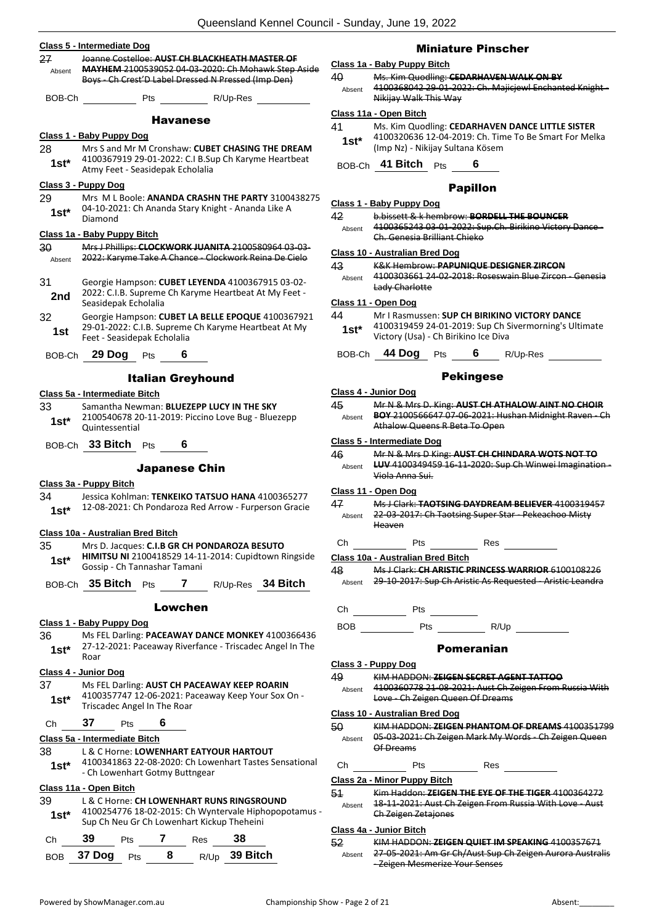|               | Queensland Kennel Counc                                                                                                                                     |
|---------------|-------------------------------------------------------------------------------------------------------------------------------------------------------------|
|               | Class 5 - Intermediate Dog                                                                                                                                  |
| 27<br>Absent  | Joanne Costelloe: AUST CH BLACKHEATH MASTER OF<br>MAYHEM 2100539052 04-03-2020: Ch Mohawk Step Aside<br>Boys - Ch Crest'D Label Dressed N Pressed (Imp Den) |
| BOB-Ch        | Pts<br>R/Up-Res                                                                                                                                             |
|               | <b>Havanese</b>                                                                                                                                             |
|               | Class 1 - Baby Puppy Dog                                                                                                                                    |
| 28<br>$1st^*$ | Mrs S and Mr M Cronshaw: CUBET CHASING THE DREAM<br>4100367919 29-01-2022: C.I B.Sup Ch Karyme Heartbeat<br>Atmy Feet - Seasidepak Echolalia                |
| 29<br>1st*    | Class 3 - Puppy Dog<br>Mrs M L Boole: ANANDA CRASHN THE PARTY 3100438275<br>04-10-2021: Ch Ananda Stary Knight - Ananda Like A<br>Diamond                   |
|               | Class 1a - Baby Puppy Bitch                                                                                                                                 |
| 30<br>Absent  | Mrs J Phillips: CLOCKWORK JUANITA 2100580964 03-03-<br>2022: Karyme Take A Chance - Clockwork Reina De Cielo                                                |
| 31<br>2nd     | Georgie Hampson: CUBET LEYENDA 4100367915 03-02-<br>2022: C.I.B. Supreme Ch Karyme Heartbeat At My Feet -<br>Seasidepak Echolalia                           |
| 32<br>1st     | Georgie Hampson: CUBET LA BELLE EPOQUE 4100367921<br>29-01-2022: C.I.B. Supreme Ch Karyme Heartbeat At My<br>Feet - Seasidepak Echolalia                    |
|               | BOB-Ch 29 Dog Pts<br>6.                                                                                                                                     |
|               | <b>Italian Greyhound</b>                                                                                                                                    |
|               | Class 5a - Intermediate Bitch                                                                                                                               |
| 33<br>1st*    | Samantha Newman: BLUEZEPP LUCY IN THE SKY<br>2100540678 20-11-2019: Piccino Love Bug - Bluezepp<br>Quintessential                                           |
|               | BOB-Ch 33 Bitch Pts<br>6                                                                                                                                    |
|               | <b>Japanese Chin</b>                                                                                                                                        |
| 34<br>1st*    | Class 3a - Puppy Bitch<br>Jessica Kohlman: TENKEIKO TATSUO HANA 4100365277<br>12-08-2021: Ch Pondaroza Red Arrow - Furperson Gracie                         |
|               | Class 10a - Australian Bred Bitch                                                                                                                           |
| 35<br>1st*    | Mrs D. Jacques: C.I.B GR CH PONDAROZA BESUTO<br>HIMITSU NI 2100418529 14-11-2014: Cupidtown Ringside<br>Gossip - Ch Tannashar Tamani                        |
| BOB-Ch        | 35 Bitch Pts<br>7 R/Up-Res 34 Bitch                                                                                                                         |
|               | Lowchen                                                                                                                                                     |
|               | <u> Class 1 - Baby Puppy Dog</u>                                                                                                                            |
| 36<br>1st*    | Ms FEL Darling: PACEAWAY DANCE MONKEY 4100366436<br>27-12-2021: Paceaway Riverfance - Triscadec Angel In The<br>Roar                                        |
|               | Class 4 - Junior Dog                                                                                                                                        |
| 37<br>$1st^*$ | Ms FEL Darling: AUST CH PACEAWAY KEEP ROARIN<br>4100357747 12-06-2021: Paceaway Keep Your Sox On -<br>Triscadec Angel In The Roar                           |
| Ch            | 37<br>6<br>Pts                                                                                                                                              |
|               | Class 5a - Intermediate Bitch                                                                                                                               |
| 38            | L & C Horne: LOWENHART EATYOUR HARTOUT                                                                                                                      |
| 1st*          | 4100341863 22-08-2020: Ch Lowenhart Tastes Sensational<br>- Ch Lowenhart Gotmy Buttngear                                                                    |

#### **Class 11a - Open Bitch**

| 39<br>$1st*$ |  | L & C Horne: CH LOWENHART RUNS RINGSROUND<br>4100254776 18-02-2015: Ch Wyntervale Hiphopopotamus -<br>Sup Ch Neu Gr Ch Lowenhart Kickup Theheini |  |
|--------------|--|--------------------------------------------------------------------------------------------------------------------------------------------------|--|
|              |  |                                                                                                                                                  |  |

| C <sub>h</sub> | - 39           | <b>Pts</b> |   | <b>Res</b> |               |
|----------------|----------------|------------|---|------------|---------------|
|                | BOB 37 Dog Pts |            | 8 |            | R/Up 39 Bitch |

#### Miniature Pinscher

#### **Class 1a - Baby Puppy Bitch**

| 40     | Ms. Kim Quodling: CEDARHAVEN WALK ON BY                |
|--------|--------------------------------------------------------|
| Absent | 4100368042 29-01-2022: Ch. Majicjewl Enchanted Knight- |
|        | Nikijay Walk This Way                                  |

#### **Class 11a - Open Bitch**

| 41     | Ms. Kim Quodling: CEDARHAVEN DANCE LITTLE SISTER      |
|--------|-------------------------------------------------------|
| $1st*$ | 4100320636 12-04-2019: Ch. Time To Be Smart For Melka |
|        | (Imp Nz) - Nikijay Sultana Kösem                      |

BOB-Ch **41 Bitch** Pts **6**

#### Papillon

#### **Class 1 - Baby Puppy Dog**

42 b.bissett & k hembrow: **BORDELL THE BOUNCER**

4100365243 03-01-2022: Sup.Ch. Birikino Victory Dance - Ch. Genesia Brilliant Chieko Absent

#### **Class 10 - Australian Bred Dog**

43 K&K Hembrow: **PAPUNIQUE DESIGNER ZIRCON** 4100303661 24-02-2018: Roseswain Blue Zircon - Genesia Lady Charlotte Absent

#### **Class 11 - Open Dog**

#### 44 Mr I Rasmussen: **SUP CH BIRIKINO VICTORY DANCE** 4100319459 24-01-2019: Sup Ch Sivermorning's Ultimate **1st**\* 4100319459 24-01-2019: Sup Ch S<br>Victory (Usa) - Ch Birikino Ice Diva

#### BOB-Ch **44 Dog** Pts **6** R/Up-Res

|            | .                                                              | $190 + 190$ |  |
|------------|----------------------------------------------------------------|-------------|--|
|            | <b>Pekingese</b>                                               |             |  |
|            | Class 4 - Junior Dog                                           |             |  |
|            | 45 Mr N & Mrs D. King: AUST CH ATHALOW AINT NO CHOIR           |             |  |
|            | Absent BOY 2100566647 07-06-2021: Hushan Midnight Raven - Ch   |             |  |
|            | Athalow Queens R Beta To Open                                  |             |  |
|            | Class 5 - Intermediate Dog                                     |             |  |
|            | 46 Mr N & Mrs D King: AUST CH CHINDARA WOTS NOT TO             |             |  |
|            | Absent LUV 4100349459 16-11-2020: Sup Ch Winwei Imagination-   |             |  |
|            | Viola Anna Sui.                                                |             |  |
|            | Class 11 - Open Dog                                            |             |  |
|            | 47 Ms J Clark: TAOTSING DAYDREAM BELIEVER 4100319457           |             |  |
|            | Absent 22-03-2017: Ch Taotsing Super Star - Pekeachoo Misty    |             |  |
|            | Heaven                                                         |             |  |
|            | Ch Pts Res                                                     |             |  |
|            | Class 10a - Australian Bred Bitch                              |             |  |
|            | 48 Ms J Clark: CH ARISTIC PRINCESS WARRIOR 6100108226          |             |  |
|            | Absent 29 10 2017: Sup Ch Aristic As Requested Aristic Leandra |             |  |
|            |                                                                |             |  |
| Сh         | Pts                                                            |             |  |
| <b>BOB</b> |                                                                |             |  |
|            |                                                                |             |  |
|            | <b>Pomeranian</b>                                              |             |  |
|            | <u> Class 3 - Puppy Dog</u>                                    |             |  |
|            | 49 KIM HADDON: ZEIGEN SECRET AGENT TATTOO                      |             |  |
|            | Absent 4100360778 21-08-2021: Aust Ch Zeigen From Russia With  |             |  |
|            | Love - Ch Zeigen Queen Of Dreams                               |             |  |
|            | Class 10 - Australian Bred Dog                                 |             |  |
|            | 50 KIM HADDON: ZEIGEN PHANTOM OF DREAMS 4100351799             |             |  |

Absent 05 03 2021: Ch Zeigen Mark My Words Ch Zeigen Queen Of Dreams

Ch Pts Res

#### **Class 2a - Minor Puppy Bitch**

| 51     | Kim Haddon: ZEIGEN THE EYE OF THE TIGER 4100364272      |
|--------|---------------------------------------------------------|
| Absent | 18-11-2021: Aust Ch Zeigen From Russia With Love - Aust |
|        | Ch Zeigen Zetajones                                     |

#### **Class 4a - Junior Bitch**

52 KIM HADDON: **ZEIGEN QUIET IM SPEAKING** 4100357671 Absent 27-05-2021: Am Gr Ch/Aust Sup Ch Zeigen Aurora Australis - Zeigen Mesmerize Your Senses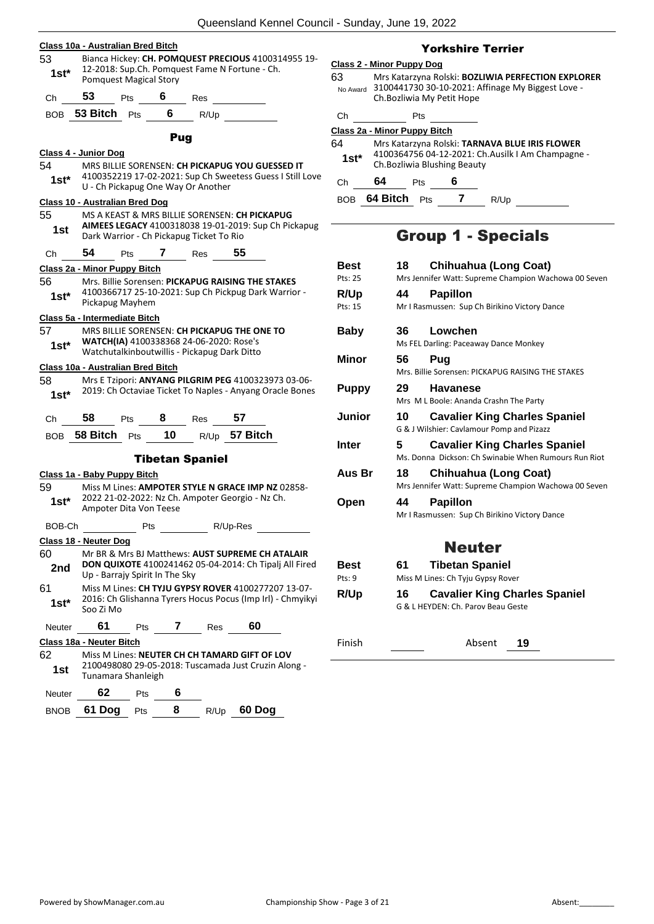| 53             | Class 10a - Australian Bred Bitch     |                                |                 |                                                                                           |      | Bianca Hickey: CH. POMQUEST PRECIOUS 4100314955 19-                                                       |            |
|----------------|---------------------------------------|--------------------------------|-----------------|-------------------------------------------------------------------------------------------|------|-----------------------------------------------------------------------------------------------------------|------------|
| 1st*           |                                       | <b>Pomquest Magical Story</b>  |                 | 12-2018: Sup.Ch. Pomquest Fame N Fortune - Ch.                                            |      |                                                                                                           | Clas<br>63 |
| Ch             | 53                                    | <b>Pts</b>                     | $6$ Res         |                                                                                           |      |                                                                                                           |            |
| BOB            | 53 Bitch $Pts$                        |                                | $6\overline{6}$ | R/Up                                                                                      |      |                                                                                                           |            |
|                |                                       |                                |                 |                                                                                           |      |                                                                                                           | Clas       |
|                |                                       |                                | Pug             |                                                                                           |      |                                                                                                           | 64         |
| 54             | Class 4 - Junior Dog                  |                                |                 |                                                                                           |      | MRS BILLIE SORENSEN: CH PICKAPUG YOU GUESSED IT                                                           |            |
| $1st*$         |                                       |                                |                 | U - Ch Pickapug One Way Or Another                                                        |      | 4100352219 17-02-2021: Sup Ch Sweetess Guess I Still Love                                                 |            |
|                | <b>Class 10 - Australian Bred Dog</b> |                                |                 |                                                                                           |      |                                                                                                           |            |
| 55<br>1st      |                                       |                                |                 | MS A KEAST & MRS BILLIE SORENSEN: CH PICKAPUG<br>Dark Warrior - Ch Pickapug Ticket To Rio |      | AIMEES LEGACY 4100318038 19-01-2019: Sup Ch Pickapug                                                      |            |
| Ch             | 54                                    | Pts 7 Res                      |                 |                                                                                           | - 55 |                                                                                                           |            |
|                | Class 2a - Minor Puppy Bitch          |                                |                 |                                                                                           |      |                                                                                                           |            |
| 56             |                                       |                                |                 |                                                                                           |      | Mrs. Billie Sorensen: PICKAPUG RAISING THE STAKES<br>4100366717 25-10-2021: Sup Ch Pickpug Dark Warrior - |            |
| 1st*           |                                       | Pickapug Mayhem                |                 |                                                                                           |      |                                                                                                           |            |
|                | Class 5a - Intermediate Bitch         |                                |                 |                                                                                           |      |                                                                                                           |            |
| 57.            |                                       |                                |                 | MRS BILLIE SORENSEN: CH PICKAPUG THE ONE TO                                               |      |                                                                                                           |            |
| $1st^*$        |                                       |                                |                 | WATCH(IA) 4100338368 24-06-2020: Rose's<br>Watchutalkinboutwillis - Pickapug Dark Ditto   |      |                                                                                                           |            |
|                | Class 10a - Australian Bred Bitch     |                                |                 |                                                                                           |      |                                                                                                           |            |
|                |                                       |                                |                 |                                                                                           |      |                                                                                                           |            |
|                |                                       |                                |                 |                                                                                           |      | Mrs E Tzipori: ANYANG PILGRIM PEG 4100323973 03-06-                                                       |            |
| 1st*           |                                       |                                |                 |                                                                                           |      | 2019: Ch Octaviae Ticket To Naples - Anyang Oracle Bones                                                  |            |
| Ch             | 58                                    |                                |                 | Pts 8 Res                                                                                 | 57   |                                                                                                           |            |
|                | BOB 58 Bitch                          |                                |                 | Pts $10 \t R/Up$ 57 Bitch                                                                 |      |                                                                                                           |            |
|                |                                       |                                |                 |                                                                                           |      |                                                                                                           |            |
|                |                                       |                                |                 | <b>Tibetan Spaniel</b>                                                                    |      |                                                                                                           |            |
|                | Class 1a - Baby Puppy Bitch           |                                |                 |                                                                                           |      |                                                                                                           |            |
| 59<br>$1st*$   |                                       | Ampoter Dita Von Teese         |                 | 2022 21-02-2022: Nz Ch. Ampoter Georgio - Nz Ch.                                          |      | Miss M Lines: AMPOTER STYLE N GRACE IMP NZ 02858-                                                         |            |
| BOB-Ch         |                                       |                                | Pts             | R/Up-Res                                                                                  |      |                                                                                                           |            |
| 58             | Class 18 - Neuter Dog                 |                                |                 |                                                                                           |      |                                                                                                           |            |
|                |                                       |                                |                 |                                                                                           |      | Mr BR & Mrs BJ Matthews: AUST SUPREME CH ATALAIR                                                          |            |
| 2nd            |                                       | Up - Barrajy Spirit In The Sky |                 |                                                                                           |      | DON QUIXOTE 4100241462 05-04-2014: Ch Tipalj All Fired                                                    |            |
|                |                                       |                                |                 |                                                                                           |      | Miss M Lines: CH TYJU GYPSY ROVER 4100277207 13-07-                                                       |            |
| $1st^*$        | Soo Zi Mo                             |                                |                 |                                                                                           |      | 2016: Ch Glishanna Tyrers Hocus Pocus (Imp Irl) - Chmyikyi                                                |            |
| Neuter         | 61                                    |                                | <b>Pts</b>      | $7 \quad -$<br>Res                                                                        |      | 60                                                                                                        |            |
| 60<br>61<br>62 | Class 18a - Neuter Bitch              |                                |                 | Miss M Lines: NEUTER CH CH TAMARD GIFT OF LOV                                             |      |                                                                                                           |            |

#### Yorkshire Terrier

#### **Class 2 - Minor Puppy Dog**

63 Mrs Katarzyna Rolski: **BOZLIWIA PERFECTION EXPLORER** 3100441730 30-10-2021: Affinage My Biggest Love - No Award Ch.Bozliwia My Petit Hope

Pts

#### **Class 2a - Minor Puppy Bitch**

| 64     | Mrs Katarzyna Rolski: TARNAVA BLUE IRIS FLOWER    |
|--------|---------------------------------------------------|
| $1st*$ | 4100364756 04-12-2021: Ch.Ausilk I Am Champagne - |
|        | Ch. Bozliwia Blushing Beauty                      |

Ch **64** Pts **6**

BOB **64 Bitch** Pts **7** R/Up

## Group 1 - Specials

| <b>Best</b><br>Pts: 25 | <b>Chihuahua (Long Coat)</b><br>18<br>Mrs Jennifer Watt: Supreme Champion Wachowa 00 Seven |
|------------------------|--------------------------------------------------------------------------------------------|
|                        |                                                                                            |
| R/Up                   | <b>Papillon</b><br>44                                                                      |
| Pts: 15                | Mr I Rasmussen: Sup Ch Birikino Victory Dance                                              |
| Baby                   | Lowchen<br>36.                                                                             |
|                        | Ms FEL Darling: Paceaway Dance Monkey                                                      |
| Minor                  | 56<br>Pug                                                                                  |
|                        | Mrs. Billie Sorensen: PICKAPUG RAISING THE STAKES                                          |
| <b>Puppy</b>           | 29<br><b>Havanese</b>                                                                      |
|                        | Mrs M L Boole: Ananda Crashn The Party                                                     |
| Junior                 | 10<br><b>Cavalier King Charles Spaniel</b>                                                 |
|                        | G & J Wilshier: Cavlamour Pomp and Pizazz                                                  |
| Inter                  | 5<br><b>Cavalier King Charles Spaniel</b>                                                  |
|                        | Ms. Donna Dickson: Ch Swinabie When Rumours Run Riot                                       |
| Aus Br                 | 18<br>Chihuahua (Long Coat)                                                                |
|                        |                                                                                            |
|                        | Mrs Jennifer Watt: Supreme Champion Wachowa 00 Seven                                       |
| Open                   | <b>Papillon</b><br>44                                                                      |
|                        | Mr I Rasmussen: Sup Ch Birikino Victory Dance                                              |
|                        |                                                                                            |
|                        | <b>Neuter</b>                                                                              |
| <b>Best</b>            | <b>Tibetan Spaniel</b><br>61                                                               |
| $P$ †s: 9              | Miss M Lines: Ch Tyju Gypsy Rover                                                          |
|                        | 16                                                                                         |
| R/Up                   | <b>Cavalier King Charles Spaniel</b><br>G & L HEYDEN: Ch. Parov Beau Geste                 |

Finish Absent **19**

Neuter **62** Pts **6**

BNOB **61 Dog** Pts **8** R/Up **60 Dog**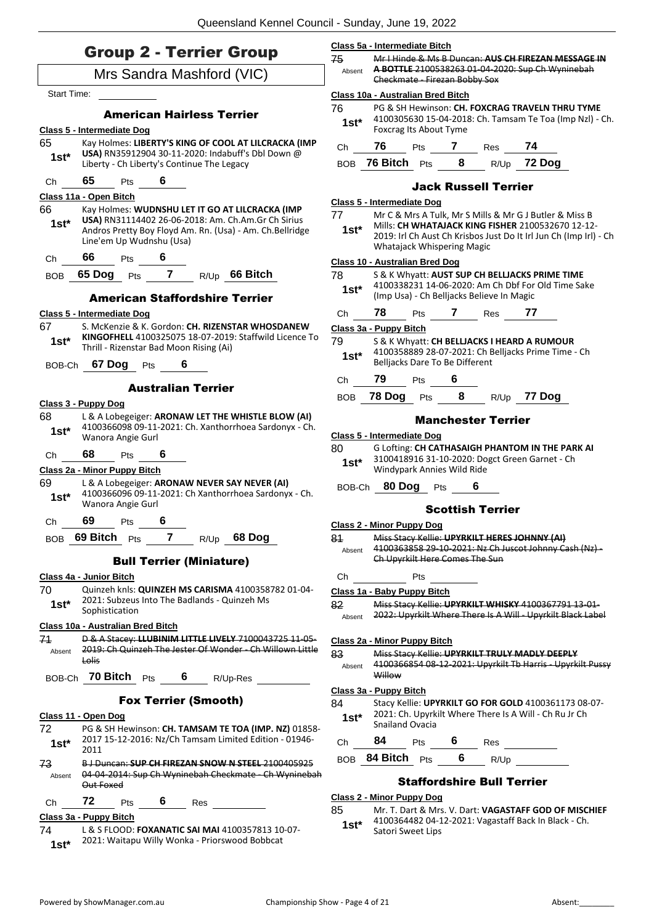| <b>Group 2 - Terrier Group</b>                                                                                                                                                                                 | Class 5a - Intermediate Bitch                                                                                                                                                                                                   |  |  |
|----------------------------------------------------------------------------------------------------------------------------------------------------------------------------------------------------------------|---------------------------------------------------------------------------------------------------------------------------------------------------------------------------------------------------------------------------------|--|--|
|                                                                                                                                                                                                                | 75<br>Mr I Hinde & Ms B Duncan: AUS CH FIREZAN MESSAGE IN<br>A BOTTLE 2100538263 01-04-2020: Sup Ch Wyninebah<br>Absent                                                                                                         |  |  |
| Mrs Sandra Mashford (VIC)                                                                                                                                                                                      | Checkmate - Firezan Bobby Sox                                                                                                                                                                                                   |  |  |
| <b>Start Time:</b>                                                                                                                                                                                             | Class 10a - Australian Bred Bitch                                                                                                                                                                                               |  |  |
| <b>American Hairless Terrier</b>                                                                                                                                                                               | 76<br>PG & SH Hewinson: CH. FOXCRAG TRAVELN THRU TYME<br>4100305630 15-04-2018: Ch. Tamsam Te Toa (Imp Nzl) - Ch.<br>$1st^*$                                                                                                    |  |  |
| Class 5 - Intermediate Dog                                                                                                                                                                                     | Foxcrag Its About Tyme                                                                                                                                                                                                          |  |  |
| 65<br>Kay Holmes: LIBERTY'S KING OF COOL AT LILCRACKA (IMP<br>USA) RN35912904 30-11-2020: Indabuff's Dbl Down @                                                                                                | 76<br>74<br>Pts 7 Res<br>Ch                                                                                                                                                                                                     |  |  |
| $1st^*$<br>Liberty - Ch Liberty's Continue The Legacy                                                                                                                                                          | BOB 76 Bitch Pts 8 R/Up 72 Dog                                                                                                                                                                                                  |  |  |
| 65<br>6<br>Pts<br>Ch                                                                                                                                                                                           | <b>Jack Russell Terrier</b>                                                                                                                                                                                                     |  |  |
| Class 11a - Open Bitch                                                                                                                                                                                         | Class 5 - Intermediate Dog                                                                                                                                                                                                      |  |  |
| 66<br>Kay Holmes: WUDNSHU LET IT GO AT LILCRACKA (IMP<br>USA) RN31114402 26-06-2018: Am. Ch.Am.Gr Ch Sirius<br>$1st^*$<br>Andros Pretty Boy Floyd Am. Rn. (Usa) - Am. Ch.Bellridge<br>Line'em Up Wudnshu (Usa) | 77<br>Mr C & Mrs A Tulk, Mr S Mills & Mr G J Butler & Miss B<br>Mills: CH WHATAJACK KING FISHER 2100532670 12-12-<br>$1st^*$<br>2019: Irl Ch Aust Ch Krisbos Just Do It Irl Jun Ch (Imp Irl) - Ch<br>Whatajack Whispering Magic |  |  |
| 66 Pts 6<br>Ch                                                                                                                                                                                                 | Class 10 - Australian Bred Dog                                                                                                                                                                                                  |  |  |
| BOB 65 Dog Pts 7 R/Up 66 Bitch                                                                                                                                                                                 | 78<br>S & K Whyatt: AUST SUP CH BELLJACKS PRIME TIME                                                                                                                                                                            |  |  |
| <b>American Staffordshire Terrier</b>                                                                                                                                                                          | 4100338231 14-06-2020: Am Ch Dbf For Old Time Sake<br>$1st^*$<br>(Imp Usa) - Ch Belljacks Believe In Magic                                                                                                                      |  |  |
| Class 5 - Intermediate Dog                                                                                                                                                                                     | 78<br>Pts<br><b>7</b> Res 77<br>Ch                                                                                                                                                                                              |  |  |
| S. McKenzie & K. Gordon: CH. RIZENSTAR WHOSDANEW<br>67                                                                                                                                                         | Class 3a - Puppy Bitch                                                                                                                                                                                                          |  |  |
| KINGOFHELL 4100325075 18-07-2019: Staffwild Licence To<br>$1st^*$<br>Thrill - Rizenstar Bad Moon Rising (Ai)                                                                                                   | 79<br>S & K Whyatt: CH BELLJACKS I HEARD A RUMOUR<br>4100358889 28-07-2021: Ch Belljacks Prime Time - Ch<br>$1st^*$                                                                                                             |  |  |
| BOB-Ch 67 Dog Pts<br>6                                                                                                                                                                                         | Belljacks Dare To Be Different                                                                                                                                                                                                  |  |  |
| <b>Australian Terrier</b>                                                                                                                                                                                      | 79<br>Pts<br>Ch                                                                                                                                                                                                                 |  |  |
| Class 3 - Puppy Dog                                                                                                                                                                                            | $8 -$<br>78 Dog<br>R/Up 77 Dog<br><b>BOB</b><br>Pts                                                                                                                                                                             |  |  |
| 68<br>L & A Lobegeiger: ARONAW LET THE WHISTLE BLOW (AI)<br>4100366098 09-11-2021: Ch. Xanthorrhoea Sardonyx - Ch.                                                                                             | <b>Manchester Terrier</b>                                                                                                                                                                                                       |  |  |
| $1st^*$<br>Wanora Angie Gurl                                                                                                                                                                                   | Class 5 - Intermediate Dog                                                                                                                                                                                                      |  |  |
| 68<br>6<br>Ch<br>Pts                                                                                                                                                                                           | 80<br>G Lofting: CH CATHASAIGH PHANTOM IN THE PARK AI<br>3100418916 31-10-2020: Dogct Green Garnet - Ch                                                                                                                         |  |  |
| Class 2a - Minor Puppy Bitch                                                                                                                                                                                   | $1st^*$<br>Windypark Annies Wild Ride                                                                                                                                                                                           |  |  |
| 69<br>L & A Lobegeiger: ARONAW NEVER SAY NEVER (AI)<br>4100366096 09-11-2021: Ch Xanthorrhoea Sardonyx - Ch.<br>$1st^*$<br>Wanora Angie Gurl                                                                   | BOB-Ch 80 Dog Pts                                                                                                                                                                                                               |  |  |
| 69<br>6<br><b>Pts</b><br>Ch                                                                                                                                                                                    | <b>Scottish Terrier</b>                                                                                                                                                                                                         |  |  |
| 7                                                                                                                                                                                                              | Class 2 - Minor Puppy Dog                                                                                                                                                                                                       |  |  |
| BOB 69 Bitch Pts<br>68 Dog<br>R/Up                                                                                                                                                                             | 81<br>Miss Stacy Kellie: UPYRKILT HERES JOHNNY (AI)<br>4100363858 29-10-2021: Nz Ch Juscot Johnny Cash (Nz) -<br>Absent<br>Ch Upyrkilt Here Comes The Sun                                                                       |  |  |
| <b>Bull Terrier (Miniature)</b>                                                                                                                                                                                |                                                                                                                                                                                                                                 |  |  |
| Class 4a - Junior Bitch<br>70<br>Quinzeh knls: QUINZEH MS CARISMA 4100358782 01-04-                                                                                                                            | Pts<br>Ch                                                                                                                                                                                                                       |  |  |
| 2021: Subzeus Into The Badlands - Quinzeh Ms<br>$1st*$                                                                                                                                                         | Class 1a - Baby Puppy Bitch<br>82<br>Miss Stacy Kellie: UPYRKILT WHISKY 4100367791 13-01-                                                                                                                                       |  |  |
| Sophistication                                                                                                                                                                                                 | 2022: Upyrkilt Where There Is A Will - Upyrkilt Black Label<br>Absent                                                                                                                                                           |  |  |
| Class 10a - Australian Bred Bitch<br>74<br>D & A Stacey: LLUBINIM LITTLE LIVELY 7100043725 11-05-                                                                                                              |                                                                                                                                                                                                                                 |  |  |
| 2019: Ch Quinzeh The Jester Of Wonder - Ch Willown Little<br>Absent                                                                                                                                            | Class 2a - Minor Puppy Bitch<br>83<br>Miss Stacy Kellie: UPYRKILT TRULY MADLY DEEPLY                                                                                                                                            |  |  |
| Lolis<br>BOB-Ch 70 Bitch Pts 6<br>R/Up-Res                                                                                                                                                                     | 4100366854 08-12-2021: Upyrkilt Tb Harris - Upyrkilt Pussy<br>Absent<br>Willow                                                                                                                                                  |  |  |
|                                                                                                                                                                                                                | Class 3a - Puppy Bitch                                                                                                                                                                                                          |  |  |
| <b>Fox Terrier (Smooth)</b><br>Class 11 - Open Dog                                                                                                                                                             | 84<br>Stacy Kellie: UPYRKILT GO FOR GOLD 4100361173 08-07-<br>2021: Ch. Upyrkilt Where There Is A Will - Ch Ru Jr Ch<br>$1st^*$<br>Snailand Ovacia                                                                              |  |  |
| 72<br>PG & SH Hewinson: CH. TAMSAM TE TOA (IMP. NZ) 01858-<br>2017 15-12-2016: Nz/Ch Tamsam Limited Edition - 01946-<br>$1st*$<br>2011                                                                         | 84<br>6<br>Pts<br>Ch<br>Res                                                                                                                                                                                                     |  |  |
| 73<br>B J Duncan: SUP CH FIREZAN SNOW N STEEL 2100405925                                                                                                                                                       | BOB 84 Bitch Pts<br>6<br>R/Up                                                                                                                                                                                                   |  |  |
| 04 04 2014: Sup Ch Wyninebah Checkmate Ch Wyninebah<br>Absent<br>Out Foxed                                                                                                                                     | <b>Staffordshire Bull Terrier</b>                                                                                                                                                                                               |  |  |
| 72<br>6<br>Ch<br>Pts<br>Res                                                                                                                                                                                    | <b>Class 2 - Minor Puppy Dog</b>                                                                                                                                                                                                |  |  |
| Class 3a - Puppy Bitch                                                                                                                                                                                         | 85<br>Mr. T. Dart & Mrs. V. Dart: VAGASTAFF GOD OF MISCHIEF<br>4100364482 04-12-2021: Vagastaff Back In Black - Ch.                                                                                                             |  |  |
|                                                                                                                                                                                                                | $1st*$                                                                                                                                                                                                                          |  |  |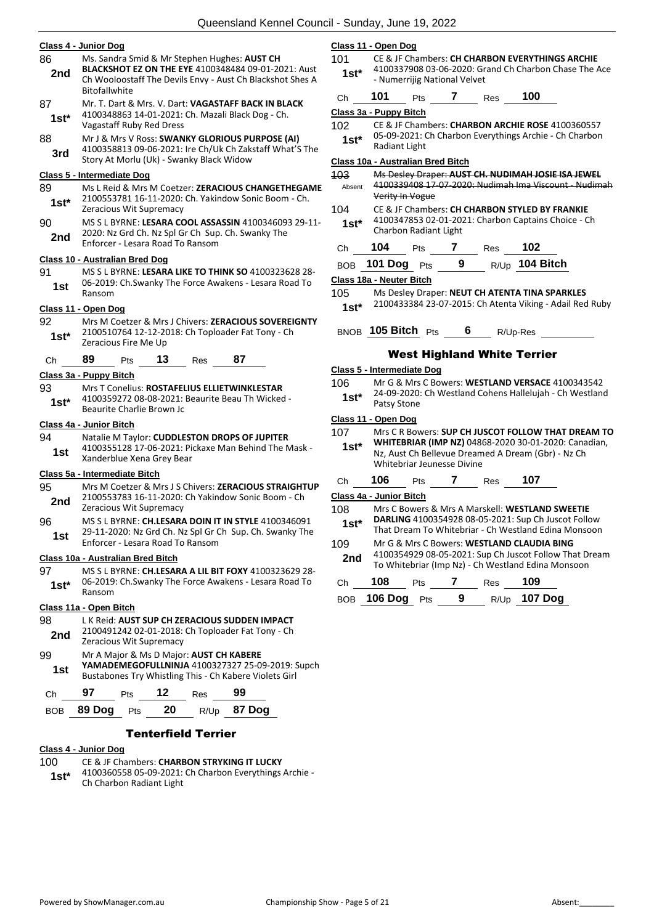|            | Class 4 - Junior Dog                                                                                                                                                                     |
|------------|------------------------------------------------------------------------------------------------------------------------------------------------------------------------------------------|
| 86<br>2nd  | Ms. Sandra Smid & Mr Stephen Hughes: AUST CH<br>BLACKSHOT EZ ON THE EYE 4100348484 09-01-2021: Aust<br>Ch Wooloostaff The Devils Envy - Aust Ch Blackshot Shes A<br><b>Bitofallwhite</b> |
| 87<br>1st* | Mr. T. Dart & Mrs. V. Dart: VAGASTAFF BACK IN BLACK<br>4100348863 14-01-2021: Ch. Mazali Black Dog - Ch.<br>Vagastaff Ruby Red Dress                                                     |
| 88<br>3rd  | Mr J & Mrs V Ross: SWANKY GLORIOUS PURPOSE (AI)<br>4100358813 09-06-2021: Ire Ch/Uk Ch Zakstaff What'S The<br>Story At Morlu (Uk) - Swanky Black Widow                                   |
|            | <u>Class 5 - Intermediate Doq</u>                                                                                                                                                        |
| 89<br>1st* | Ms L Reid & Mrs M Coetzer: ZERACIOUS CHANGETHEGAME<br>2100553781 16-11-2020: Ch. Yakindow Sonic Boom - Ch.<br>Zeracious Wit Supremacy                                                    |
| 90<br>2nd  | MS S L BYRNE: LESARA COOL ASSASSIN 4100346093 29-11-<br>2020: Nz Grd Ch. Nz Spl Gr Ch Sup. Ch. Swanky The<br>Enforcer - Lesara Road To Ransom                                            |
|            | Class 10 - Australian Bred Dog                                                                                                                                                           |
| 91<br>1st  | MS S L BYRNE: LESARA LIKE TO THINK SO 4100323628 28-<br>06-2019: Ch.Swanky The Force Awakens - Lesara Road To<br>Ransom                                                                  |
|            | Class 11 - Open Dog                                                                                                                                                                      |
| 92         | Mrs M Coetzer & Mrs J Chivers: ZERACIOUS SOVEREIGNTY<br>2100510764 12-12-2018: Ch Toploader Fat Tony - Ch                                                                                |
| 1st*       | Zeracious Fire Me Up                                                                                                                                                                     |
| Сh         | 89<br>13<br>87<br>Pts<br>Res                                                                                                                                                             |
|            | <u> Class 3a - Puppy Bitch</u>                                                                                                                                                           |
| 93<br>1st* | Mrs T Conelius: ROSTAFELIUS ELLIETWINKLESTAR<br>4100359272 08-08-2021: Beaurite Beau Th Wicked -<br>Beaurite Charlie Brown Jc                                                            |
|            | Class 4a - Junior Bitch                                                                                                                                                                  |
| 94         | Natalie M Taylor: CUDDLESTON DROPS OF JUPITER<br>4100355128 17-06-2021: Pickaxe Man Behind The Mask -                                                                                    |
| 1st        | Xanderblue Xena Grey Bear                                                                                                                                                                |
|            | Class 5a - Intermediate Bitch                                                                                                                                                            |
| 95<br>2nd  | Mrs M Coetzer & Mrs J S Chivers: ZERACIOUS STRAIGHTUP<br>2100553783 16-11-2020: Ch Yakindow Sonic Boom - Ch<br>Zeracious Wit Supremacy                                                   |
| 96<br>1st  | MS S L BYRNE: <b>CH.LESARA DOIN IT IN STYLE</b> 4100346091<br>29-11-2020: Nz Grd Ch. Nz Spl Gr Ch Sup. Ch. Swanky The                                                                    |
|            | Enforcer - Lesara Road To Ransom                                                                                                                                                         |
| 97         | Class 10a - Australian Bred Bitch<br>MS S L BYRNE: CH.LESARA A LIL BIT FOXY 4100323629 28-                                                                                               |
| $1st*$     | 06-2019: Ch.Swanky The Force Awakens - Lesara Road To<br>Ransom                                                                                                                          |
|            | <u> Class 11a - Open Bitch</u>                                                                                                                                                           |
| 98<br>2nd  | L K Reid: AUST SUP CH ZERACIOUS SUDDEN IMPACT<br>2100491242 02-01-2018: Ch Toploader Fat Tony - Ch<br>Zeracious Wit Supremacy                                                            |
| 99         | Mr A Major & Ms D Major: AUST CH KABERE                                                                                                                                                  |
| 1st        | YAMADEMEGOFULLNINJA 4100327327 25-09-2019: Supch<br>Bustabones Try Whistling This - Ch Kabere Violets Girl                                                                               |
| Ch         | 97<br>12<br>99<br>Pts<br>Res                                                                                                                                                             |
| BOB        | 20<br>87 Dog<br>89 Dog<br>Pts<br>R/Up                                                                                                                                                    |

#### Tenterfield Terrier

#### **Class 4 - Junior Dog**

#### 100 CE & JF Chambers: **CHARBON STRYKING IT LUCKY**

4100360558 05-09-2021: Ch Charbon Everythings Archie - **1st** <sup>4100360558 05-09-2021:<br>Ch Charbon Radiant Light</sup>

#### **Class 11 - Open Dog**

101 CE & JF Chambers: **CH CHARBON EVERYTHINGS ARCHIE** 4100337908 03-06-2020: Grand Ch Charbon Chase The Ace 1st<sup>\*</sup> 4100337908 03-06-2020: Gr<br>Numerrijig National Velvet

| Ch | 101 | Pts | Res | 100 |
|----|-----|-----|-----|-----|
|    |     |     |     |     |

```
Class 3a - Puppy Bitch
```
102 CE & JF Chambers: **CHARBON ARCHIE ROSE** 4100360557 05-09-2021: Ch Charbon Everythings Archie - Ch Charbon 1st<sup>\*</sup> 05-09-2021: 0<br>Radiant Light

#### **Class 10a - Australian Bred Bitch**

| 103    | Ms Desley Draper: AUST CH. NUDIMAH JOSIE ISA JEWEL    |
|--------|-------------------------------------------------------|
| Absent | 4100339408 17-07-2020: Nudimah Ima Viscount - Nudimah |
|        | Verity In Vogue                                       |
|        |                                                       |

#### 104 CE & JF Chambers: **CH CHARBON STYLED BY FRANKIE** 4100347853 02-01-2021: Charbon Captains Choice - Ch 1st\* 4100347853 02-01-20.<br>Charbon Radiant Light

| $\overline{1}$ |  |     | $\overline{1}$ |
|----------------|--|-----|----------------|
| 104            |  | Res | 102            |
|                |  |     |                |

```
BOB 101 Dog Pts 9 R/Up 104 Bitch
```
**Class 18a - Neuter Bitch**

- 105 Ms Desley Draper: **NEUT CH ATENTA TINA SPARKLES**
	- 2100433384 23-07-2015: Ch Atenta Viking Adail Red Ruby **1st\***

BNOB **105 Bitch** Pts **6** R/Up-Res

#### West Highland White Terrier

#### **Class 5 - Intermediate Dog**

#### **Class 11 - Open Dog**

| 107    | Mrs C R Bowers: SUP CH JUSCOT FOLLOW THAT DREAM TO   |
|--------|------------------------------------------------------|
| $1st*$ | WHITEBRIAR (IMP NZ) 04868-2020 30-01-2020: Canadian, |
|        | Nz, Aust Ch Bellevue Dreamed A Dream (Gbr) - Nz Ch   |

| <u>Nz, Aust Ch Believue Dreamed A Dream (Gbr) - Nz Ch</u> |
|-----------------------------------------------------------|
| Whitebriar Jeunesse Divine                                |
|                                                           |

| 06 | τs | 'es | 07 |
|----|----|-----|----|
|    |    |     |    |

**Class 4a - Junior Bitch**

- 108 Mrs C Bowers & Mrs A Marskell: **WESTLAND SWEETIE DARLING** 4100354928 08-05-2021: Sup Ch Juscot Follow **1st\*** DARLING 4100354928 08-05-2021: Sup Ch Juscot Follow<br>That Dream To Whitebriar - Ch Westland Edina Monsoon
- 109 Mr G & Mrs C Bowers: **WESTLAND CLAUDIA BING** 4100354929 08-05-2021: Sup Ch Juscot Follow That Dream 2nd 4100354929 08-05-2021: Sup Ch Juscot Follow That Di<br>To Whitebriar (Imp Nz) - Ch Westland Edina Monsoon

| Ch | 108             | <b>Pts</b> |   | Res | 109                 |
|----|-----------------|------------|---|-----|---------------------|
|    | BOB 106 Dog Pts |            | 9 |     | R/Up <b>107 Dog</b> |

<sup>106</sup> Mr G & Mrs C Bowers: **WESTLAND VERSACE** 4100343542 24-09-2020: Ch Westland Cohens Hallelujah - Ch Westland Patsy Stone **1st\***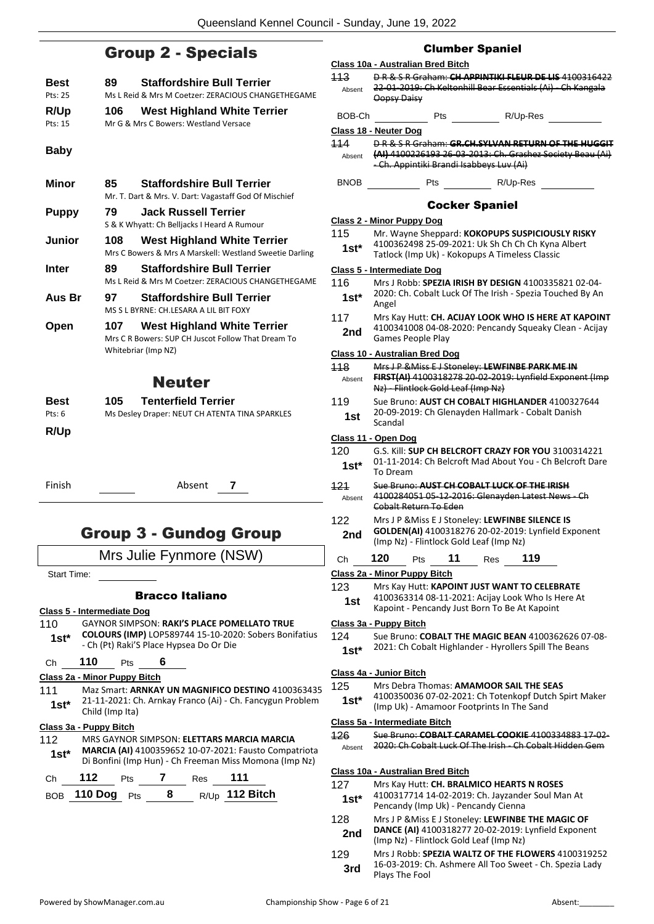### Group 2 - Specials

|                 |      | $\mathsf{P}$ . $\mathsf{P}$ . $\mathsf{P}$ . $\mathsf{P}$ . $\mathsf{P}$ . $\mathsf{P}$                         |
|-----------------|------|-----------------------------------------------------------------------------------------------------------------|
| Best<br>Pts: 25 | 89.  | <b>Staffordshire Bull Terrier</b><br>Ms L Reid & Mrs M Coetzer: ZERACIOUS CHANGETHEGAME                         |
| R/Up<br>Pts: 15 | 106  | <b>West Highland White Terrier</b><br>Mr G & Mrs C Bowers: Westland Versace                                     |
| <b>Baby</b>     |      |                                                                                                                 |
| Minor           | 85 - | <b>Staffordshire Bull Terrier</b><br>Mr. T. Dart & Mrs. V. Dart: Vagastaff God Of Mischief                      |
| <b>Puppy</b>    | 79   | <b>Jack Russell Terrier</b><br>S & K Whyatt: Ch Belljacks I Heard A Rumour                                      |
| Junior          | 108  | <b>West Highland White Terrier</b><br>Mrs C Bowers & Mrs A Marskell: Westland Sweetie Darling                   |
| <b>Inter</b>    | 89 - | <b>Staffordshire Bull Terrier</b><br>Ms L Reid & Mrs M Coetzer: ZERACIOUS CHANGETHEGAME                         |
| Aus Br          | 97   | <b>Staffordshire Bull Terrier</b><br>MS S L BYRNE: CH.LESARA A LIL BIT FOXY                                     |
| Open            | 107  | <b>West Highland White Terrier</b><br>Mrs C R Bowers: SUP CH Juscot Follow That Dream To<br>Whitebriar (Imp NZ) |
|                 |      | <b>Neuter</b>                                                                                                   |
| Best<br>Pts: 6  | 105. | <b>Tenterfield Terrier</b><br>Ms Desley Draper: NEUT CH ATENTA TINA SPARKLES                                    |

**R/Up**

Finish Absent **7**

### Group 3 - Gundog Group

Mrs Julie Fynmore (NSW)

Start Time:

#### Bracco Italiano

**Class 5 - Intermediate Dog**

110 GAYNOR SIMPSON: **RAKI'S PLACE POMELLATO TRUE COLOURS (IMP)** LOP589744 15-10-2020: Sobers Bonifatius **1st\* COLOURS (IMP)** LOP589744 15-10-202<br>Ch (Pt) Raki'S Place Hypsea Do Or Die

### Ch **110** Pts **6**

**Class 2a - Minor Puppy Bitch**

111 Maz Smart: **ARNKAY UN MAGNIFICO DESTINO** 4100363435 21-11-2021: Ch. Arnkay Franco (Ai) - Ch. Fancygun Problem **1st**\* **21-11-2021**: Child (Imp Ita)

#### **Class 3a - Puppy Bitch**

112 MRS GAYNOR SIMPSON: **ELETTARS MARCIA MARCIA MARCIA (AI)** 4100359652 10-07-2021: Fausto Compatriota Di Bonfini (Imp Hun) - Ch Freeman Miss Momona (Imp Nz) **1st\***

| Ch — | 112             | <b>Pts</b> | Res | 111              |
|------|-----------------|------------|-----|------------------|
|      | BOB 110 Dog Pts |            |     | $R/Up$ 112 Bitch |

### Clumber Spaniel

#### **Class 10a - Australian Bred Bitch** 113 D R & S R Graham: **CH APPINTIKI FLEUR DE LIS** 4100316422 22-01-2019: Ch Keltonhill Bear Essentials (Ai) - Ch Kangala Oopsy Daisy Absent BOB-Ch Pts R/Up-Res **Class 18 - Neuter Dog** 114 D R & S R Graham: **GR.CH.SYLVAN RETURN OF THE HUGGIT (AI)** 4100226193 26-03-2013: Ch. Grashez Society Beau (Ai) - Ch. Appintiki Brandi Isabbeys Luv (Ai) Absent BNOB Pts R/Up-Res Cocker Spaniel **Class 2 - Minor Puppy Dog** 115 Mr. Wayne Sheppard: **KOKOPUPS SUSPICIOUSLY RISKY** 4100362498 25-09-2021: Uk Sh Ch Ch Ch Kyna Albert **1st** 4100362498 25-09-2021: UK Sh Ch Ch Ch Kyha<br>Tatlock (Imp Uk) - Kokopups A Timeless Classic **Class 5 - Intermediate Dog** 116 Mrs J Robb: **SPEZIA IRISH BY DESIGN** 4100335821 02-04- 2020: Ch. Cobalt Luck Of The Irish - Spezia Touched By An 1st<sup>\*</sup> <sup>2020:</sup><br>Angel 117 Mrs Kay Hutt: **CH. ACIJAY LOOK WHO IS HERE AT KAPOINT** 4100341008 04-08-2020: Pencandy Squeaky Clean - Acijay **2nd**  $\frac{41003410080408}{Games People Play}$ **Class 10 - Australian Bred Dog** 118 Mrs J P &Miss E J Stoneley: **LEWFINBE PARK ME IN FIRST(AI)** 4100318278 20-02-2019: Lynfield Exponent (Imp Nz) - Flintlock Gold Leaf (Imp Nz) Absent 119 Sue Bruno: **AUST CH COBALT HIGHLANDER** 4100327644 20-09-2019: Ch Glenayden Hallmark - Cobalt Danish  $1$ st  $\frac{20-09-2}{3}$ **Class 11 - Open Dog** 120 G.S. Kill: **SUP CH BELCROFT CRAZY FOR YOU** 3100314221 01-11-2014: Ch Belcroft Mad About You - Ch Belcroft Dare **1st**\* U<sub>1</sub>-11-201 121 Sue Bruno: **AUST CH COBALT LUCK OF THE IRISH** 4100284051 05-12-2016: Glenayden Latest News - Ch Cobalt Return To Eden Absent 122 Mrs J P &Miss E J Stoneley: **LEWFINBE SILENCE IS GOLDEN(AI)** 4100318276 20-02-2019: Lynfield Exponent (Imp Nz) - Flintlock Gold Leaf (Imp Nz) **2nd** Ch **120** Pts **11** Res **119 Class 2a - Minor Puppy Bitch** 123 Mrs Kay Hutt: **KAPOINT JUST WANT TO CELEBRATE** 4100363314 08-11-2021: Acijay Look Who Is Here At **1st** 4100363314 08-11-2021: Acijay Look who is H<br>Kapoint - Pencandy Just Born To Be At Kapoint **Class 3a - Puppy Bitch** 124 Sue Bruno: **COBALT THE MAGIC BEAN** 4100362626 07-08- 2021: Ch Cobalt Highlander - Hyrollers Spill The Beans **1st\* Class 4a - Junior Bitch** 125 Mrs Debra Thomas: **AMAMOOR SAIL THE SEAS** 4100350036 07-02-2021: Ch Totenkopf Dutch Spirt Maker (Imp Uk) - Amamoor Footprints In The Sand **1st\* Class 5a - Intermediate Bitch** 126 Sue Bruno: **COBALT CARAMEL COOKIE** 4100334883 17-02- Absent 2020: Ch Cobalt Luck Of The Irish - Ch Cobalt Hidden Gem **Class 10a - Australian Bred Bitch** 127 Mrs Kay Hutt: **CH. BRALMICO HEARTS N ROSES** 4100317714 14-02-2019: Ch. Jayzander Soul Man At 1st\* 4100317714 14-02-2019: Ch. Jayzande<br>Pencandy (Imp Uk) - Pencandy Cienna

128 Mrs J P &Miss E J Stoneley: **LEWFINBE THE MAGIC OF** 

129 Mrs J Robb: **SPEZIA WALTZ OF THE FLOWERS** 4100319252 16-03-2019: Ch. Ashmere All Too Sweet - Ch. Spezia Lady

2nd **DANCE (AI)** 4100318277 20-02-2019:<br>(Imp Nz) - Flintlock Gold Leaf (Imp Nz)

**3rd 16-03-2019: U**<br>Plays The Fool

**DANCE (AI)** 4100318277 20-02-2019: Lynfield Exponent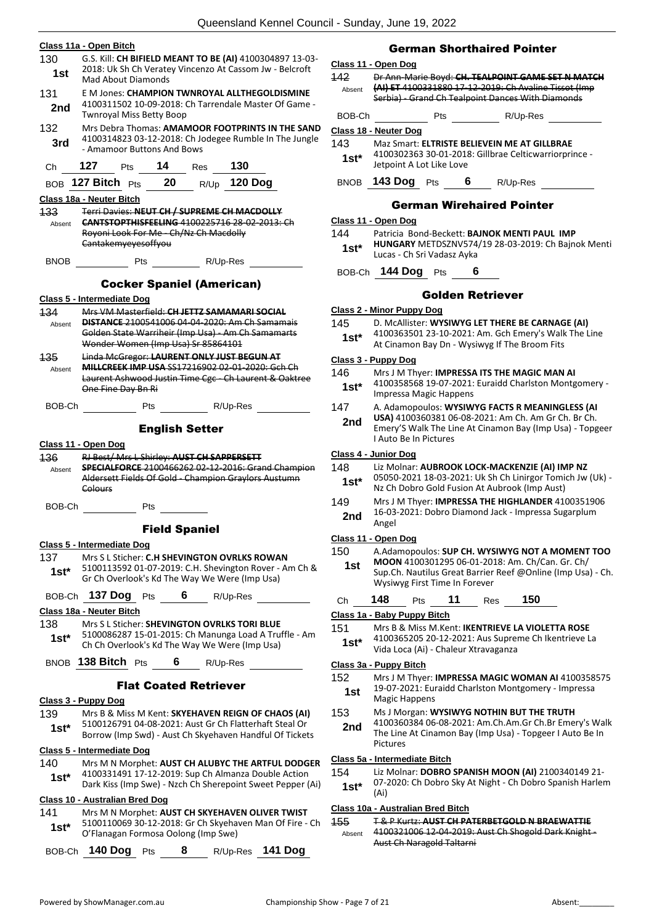|               | Class 11a - Open Bitch                                                                                              |
|---------------|---------------------------------------------------------------------------------------------------------------------|
| 130<br>1st    | G.S. Kill: CH BIFIELD MEANT TO BE (AI) 4100304897 13-03-<br>2018: Uk Sh Ch Veratey Vincenzo At Cassom Jw - Belcroft |
|               | <b>Mad About Diamonds</b>                                                                                           |
| 131<br>2nd    | E M Jones: CHAMPION TWNROYAL ALLTHEGOLDISMINE<br>4100311502 10-09-2018: Ch Tarrendale Master Of Game -              |
|               | <b>Twnroyal Miss Betty Boop</b>                                                                                     |
| 132           | Mrs Debra Thomas: AMAMOOR FOOTPRINTS IN THE SAND<br>4100314823 03-12-2018: Ch Jodegee Rumble In The Jungle          |
| 3rd           | - Amamoor Buttons And Bows                                                                                          |
| Сh            | 127<br>$14$ Res 130<br><b>Pts</b>                                                                                   |
|               | BOB 127 Bitch Pts 20 R/Up 120 Dog                                                                                   |
|               | Class 18a - Neuter Bitch<br>Terri Davies: NEUT CH / SUPREME CH MACDOLLY                                             |
| 133<br>Absent | <b>CANTSTOPTHISFEELING 4100225716 28-02-2013: Ch</b>                                                                |
|               | Royoni Look For Me Ch/Nz Ch Macdolly<br>Cantakemyeyesoffyou                                                         |
| <b>BNOB</b>   |                                                                                                                     |
|               |                                                                                                                     |
|               | <b>Cocker Spaniel (American)</b>                                                                                    |
| 134           | Class 5 - Intermediate Dog<br>Mrs VM Masterfield: CH JETTZ SAMAMARI SOCIAL                                          |
| Absent        | <b>DISTANCE 2100541006 04-04-2020: Am Ch Samamais</b>                                                               |
|               | Golden State Warriheir (Imp Usa) - Am Ch Samamarts<br>Wonder Women (Imp Usa) Sr 85864101                            |
| 135           | Linda McGregor: LAURENT ONLY JUST BEGUN AT                                                                          |
| Absent        | <b>MILLCREEK IMP USA SS17216902 02-01-2020: Gch Ch</b><br>Laurent Ashwood Justin Time Cgc - Ch Laurent & Oaktree    |
|               | One Fine Day Bn Ri                                                                                                  |
| BOB-Ch        | R/Up-Res<br><b>Pts</b>                                                                                              |
|               | <b>English Setter</b>                                                                                               |
|               | Class 11 - Open Dog                                                                                                 |
| 136<br>Absent | RJ Best/ Mrs L Shirley: AUST CH SAPPERSETT<br><b>SPECIALFORCE 2100466262 02-12-2016: Grand Champion</b>             |
|               | Aldersett Fields Of Gold Champion Graylors Austumn<br>Colours                                                       |
| BOB-Ch        | Pts                                                                                                                 |
|               | <b>Field Spaniel</b>                                                                                                |
|               | Class 5 - Intermediate Dog                                                                                          |
| 137           | Mrs S L Sticher: C.H SHEVINGTON OVRLKS ROWAN                                                                        |
| 1st*          | 5100113592 01-07-2019: C.H. Shevington Rover - Am Ch &<br>Gr Ch Overlook's Kd The Way We Were (Imp Usa)             |
|               | BOB-Ch 137 Dog Pts 6 R/Up-Res                                                                                       |
|               | Class 18a - Neuter Bitch                                                                                            |
| 138           | Mrs S L Sticher: SHEVINGTON OVRLKS TORI BLUE                                                                        |
| $1st^*$       | 5100086287 15-01-2015: Ch Manunga Load A Truffle - Am<br>Ch Ch Overlook's Kd The Way We Were (Imp Usa)              |
|               | BNOB 138 Bitch Pts 6 R/Up-Res                                                                                       |
|               | <b>Flat Coated Retriever</b>                                                                                        |
|               | Class 3 - Puppy Dog                                                                                                 |
| 139           | Mrs B & Miss M Kent: SKYEHAVEN REIGN OF CHAOS (AI)                                                                  |
| $1st^*$       | 5100126791 04-08-2021: Aust Gr Ch Flatterhaft Steal Or<br>Borrow (Imp Swd) - Aust Ch Skyehaven Handful Of Tickets   |
|               | Class 5 - Intermediate Dog                                                                                          |
| 140           | Mrs M N Morphet: AUST CH ALUBYC THE ARTFUL DODGER                                                                   |
| $1st*$        | 4100331491 17-12-2019: Sup Ch Almanza Double Action<br>Dark Kiss (Imp Swe) - Nzch Ch Sherepoint Sweet Pepper (Ai)   |
|               | Class 10 - Australian Bred Dog                                                                                      |
| 141           | Mrs M N Morphet: AUST CH SKYEHAVEN OLIVER TWIST<br>5100110069 30-12-2018: Gr Ch Skyehaven Man Of Fire - Ch          |
| $1st^*$       | O'Flanagan Formosa Oolong (Imp Swe)                                                                                 |
|               | BOB-Ch 140 Dog Pts 8 R/Up-Res 141 Dog                                                                               |

#### German Shorthaired Pointer

#### **Class 11 - Open Dog**

142 Dr Ann-Marie Boyd: **CH. TEALPOINT GAME SET N MATCH (AI) ET** 4100331880 17-12-2019: Ch Avaline Tissot (Imp Serbia) - Grand Ch Tealpoint Dances With Diamonds Absent

| BOB-Ch | Pts | R/Up-Res |
|--------|-----|----------|

#### **Class 18 - Neuter Dog**

#### 143 Maz Smart: **ELTRISTE BELIEVEIN ME AT GILLBRAE**

4100302363 30-01-2018: Gillbrae Celticwarriorprince - Jetpoint A Lot Like Love **1st\***

BNOB **143 Dog** Pts **6** R/Up-Res

#### German Wirehaired Pointer

#### **Class 11 - Open Dog**

- 144 Patricia Bond-Beckett: **BAJNOK MENTI PAUL IMP**
- **HUNGARY** METDSZNV574/19 28-03-2019: Ch Bajnok Menti Lucas - Ch Sri Vadasz Ayka **1st\***

#### BOB-Ch **144 Dog** Pts **6**

#### Golden Retriever

#### **Class 2 - Minor Puppy Dog**

145 D. McAllister: **WYSIWYG LET THERE BE CARNAGE (AI)** 4100363501 23-10-2021: Am. Gch Emery's Walk The Line **1st** 4100363501 23-10-2021: Am. GCN EMERY S WAIR<br>At Cinamon Bay Dn - Wysiwyg If The Broom Fits

#### **Class 3 - Puppy Dog**

- 146 Mrs J M Thyer: **IMPRESSA ITS THE MAGIC MAN AI**
- 4100358568 19-07-2021: Euraidd Charlston Montgomery Impressa Magic Happens **1st\***

#### 147 A. Adamopoulos: **WYSIWYG FACTS R MEANINGLESS (AI**

**USA)** 4100360381 06-08-2021: Am Ch. Am Gr Ch. Br Ch. Emery'S Walk The Line At Cinamon Bay (Imp Usa) - Topgeer I Auto Be In Pictures **2nd**

#### **Class 4 - Junior Dog**

#### 148 Liz Molnar: **AUBROOK LOCK-MACKENZIE (AI) IMP NZ**

- 05050-2021 18-03-2021: Uk Sh Ch Linirgor Tomich Jw (Uk) Nz Ch Dobro Gold Fusion At Aubrook (Imp Aust) **1st\***
- 149 Mrs J M Thyer: **IMPRESSA THE HIGHLANDER** 4100351906 16-03-2021: Dobro Diamond Jack - Impressa Sugarplum **2nd** <sup>1b-03</sup> Angel

#### **Class 11 - Open Dog**

#### 150 A.Adamopoulos: **SUP CH. WYSIWYG NOT A MOMENT TOO**

- **MOON** 4100301295 06-01-2018: Am. Ch/Can. Gr. Ch/ Sup.Ch. Nautilus Great Barrier Reef @Online (Imp Usa) - Ch. Wysiwyg First Time In Forever **1st**
- Ch **148** Pts **11** Res **150**

#### **Class 1a - Baby Puppy Bitch**

- 151 Mrs B & Miss M.Kent: **IKENTRIEVE LA VIOLETTA ROSE**
- 4100365205 20-12-2021: Aus Supreme Ch Ikentrieve La Vida Loca (Ai) - Chaleur Xtravaganza **1st\***

#### **Class 3a - Puppy Bitch**

- 152 Mrs J M Thyer: **IMPRESSA MAGIC WOMAN AI** 4100358575 19-07-2021: Euraidd Charlston Montgomery - Impressa **1st** 19-07-2021: Europens
- 153 Ms J Morgan: **WYSIWYG NOTHIN BUT THE TRUTH** 4100360384 06-08-2021: Am.Ch.Am.Gr Ch.Br Emery's Walk The Line At Cinamon Bay (Imp Usa) - Topgeer I Auto Be In Pictures **2nd**

#### **Class 5a - Intermediate Bitch**

### 154 Liz Molnar: **DOBRO SPANISH MOON (AI)** 2100340149 21-

07-2020: Ch Dobro Sky At Night - Ch Dobro Spanish Harlem **1st**\*  $\frac{0}{(Ai)}$ 

#### **Class 10a - Australian Bred Bitch**

155 T & P Kurtz: **AUST CH PATERBETGOLD N BRAEWATTIE** 4100321006 12-04-2019: Aust Ch Shogold Dark Knight - Aust Ch Naragold Taltarni Absent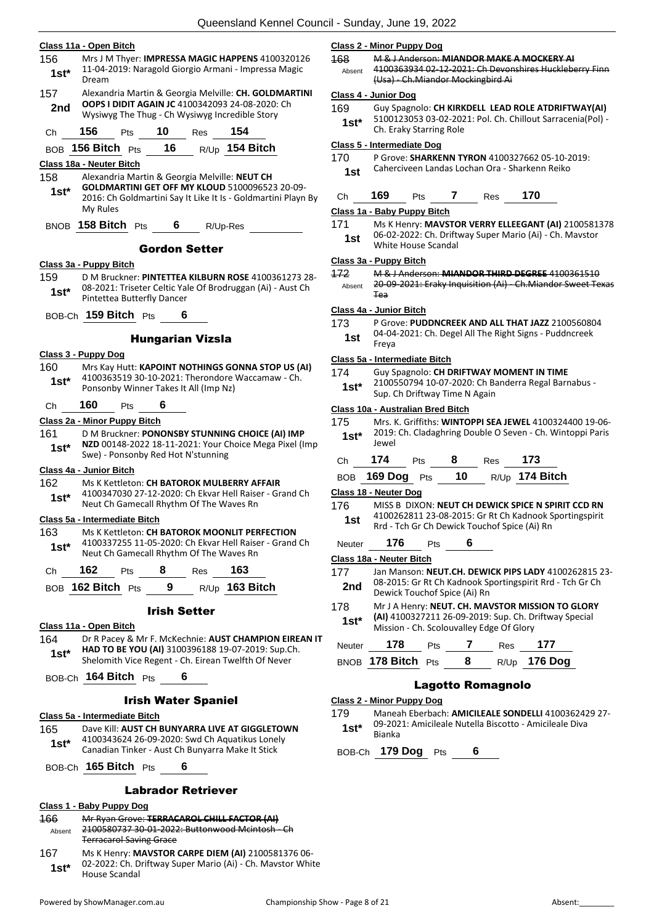| 156            | Class 11a - Open Bitch        |     |                            |                                         | Mrs J M Thyer: IMPRESSA MAGIC HAPPENS 4100320126                                                                                                                        | <u>c</u><br>$\overline{1}$ |
|----------------|-------------------------------|-----|----------------------------|-----------------------------------------|-------------------------------------------------------------------------------------------------------------------------------------------------------------------------|----------------------------|
| 1st*           | Dream                         |     |                            |                                         | 11-04-2019: Naragold Giorgio Armani - Impressa Magic                                                                                                                    |                            |
| 157            |                               |     |                            |                                         | Alexandria Martin & Georgia Melville: CH. GOLDMARTINI                                                                                                                   | C                          |
| 2nd            |                               |     |                            |                                         | OOPS I DIDIT AGAIN JC 4100342093 24-08-2020: Ch<br>Wysiwyg The Thug - Ch Wysiwyg Incredible Story                                                                       | 1                          |
| Ch             | 156                           | Pts | <b>10</b> Res              |                                         | 154                                                                                                                                                                     |                            |
|                |                               |     |                            |                                         | BOB 156 Bitch Pts 16 R/Up 154 Bitch                                                                                                                                     | 1                          |
|                | Class 18a - Neuter Bitch      |     |                            |                                         |                                                                                                                                                                         |                            |
| 158<br>1st*    | My Rules                      |     |                            |                                         | Alexandria Martin & Georgia Melville: NEUT CH<br><b>GOLDMARTINI GET OFF MY KLOUD 5100096523 20-09-</b><br>2016: Ch Goldmartini Say It Like It Is - Goldmartini Playn By | <u>c</u>                   |
|                | BNOB 158 Bitch Pts 6 R/Up-Res |     |                            |                                         |                                                                                                                                                                         | 1                          |
|                |                               |     |                            | <b>Gordon Setter</b>                    |                                                                                                                                                                         |                            |
|                | Class 3a - Puppy Bitch        |     |                            |                                         |                                                                                                                                                                         | $\overline{c}$             |
| 159<br>1st*    |                               |     | Pintettea Butterfly Dancer |                                         | D M Bruckner: PINTETTEA KILBURN ROSE 4100361273 28-<br>08-2021: Triseter Celtic Yale Of Brodruggan (Ai) - Aust Ch                                                       | 4                          |
|                | BOB-Ch 159 Bitch Pts          |     | 6                          |                                         |                                                                                                                                                                         | <u>c</u>                   |
|                |                               |     |                            |                                         |                                                                                                                                                                         | 1                          |
|                |                               |     |                            | <b>Hungarian Vizsla</b>                 |                                                                                                                                                                         |                            |
| 160            | Class 3 - Puppy Dog           |     |                            |                                         | Mrs Kay Hutt: KAPOINT NOTHINGS GONNA STOP US (AI)                                                                                                                       | <u>c</u>                   |
| $1st*$         |                               |     |                            | Ponsonby Winner Takes It All (Imp Nz)   | 4100363519 30-10-2021: Therondore Waccamaw - Ch.                                                                                                                        | 1                          |
| Сh             | 160                           | Pts | 6                          |                                         |                                                                                                                                                                         | <u>c</u>                   |
|                | Class 2a - Minor Puppy Bitch  |     |                            |                                         |                                                                                                                                                                         | 1                          |
| 161<br>$1st^*$ |                               |     |                            | Swe) - Ponsonby Red Hot N'stunning      | D M Bruckner: PONONSBY STUNNING CHOICE (AI) IMP<br>NZD 00148-2022 18-11-2021: Your Choice Mega Pixel (Imp                                                               |                            |
|                | Class 4a - Junior Bitch       |     |                            |                                         |                                                                                                                                                                         |                            |
| 162<br>$1st^*$ |                               |     |                            |                                         | Ms K Kettleton: CH BATOROK MULBERRY AFFAIR<br>4100347030 27-12-2020: Ch Ekvar Hell Raiser - Grand Ch                                                                    | <u>c</u>                   |
|                |                               |     |                            | Neut Ch Gamecall Rhythm Of The Waves Rn |                                                                                                                                                                         | 1                          |
| 163            | Class 5a - Intermediate Bitch |     |                            |                                         | Ms K Kettleton: CH BATOROK MOONLIT PERFECTION                                                                                                                           |                            |
| 1st*           |                               |     |                            | Neut Ch Gamecall Rhythm Of The Waves Rn | 4100337255 11-05-2020: Ch Ekvar Hell Raiser - Grand Ch                                                                                                                  |                            |
| Ch             | 162                           |     |                            | Pts 8 Res 163                           |                                                                                                                                                                         | <u>c</u>                   |
|                |                               |     |                            |                                         | BOB 162 Bitch Pts 9 R/Up 163 Bitch                                                                                                                                      |                            |
|                |                               |     |                            |                                         |                                                                                                                                                                         | 1                          |
|                |                               |     | <b>Irish Setter</b>        |                                         |                                                                                                                                                                         |                            |
| 164            | Class 11a - Open Bitch        |     |                            |                                         | Dr R Pacey & Mr F. McKechnie: AUST CHAMPION EIREAN IT                                                                                                                   |                            |
| 1st*           |                               |     |                            |                                         | HAD TO BE YOU (AI) 3100396188 19-07-2019: Sup.Ch.<br>Shelomith Vice Regent - Ch. Eirean Twelfth Of Never                                                                |                            |
|                | BOB-Ch 164 Bitch Pts 6        |     |                            |                                         |                                                                                                                                                                         |                            |
|                |                               |     |                            | <b>Irish Water Spaniel</b>              |                                                                                                                                                                         | C                          |
|                | Class 5a - Intermediate Bitch |     |                            |                                         |                                                                                                                                                                         |                            |
| 165            |                               |     |                            |                                         | Dave Kill: AUST CH BUNYARRA LIVE AT GIGGLETOWN                                                                                                                          |                            |
| $1st^*$        |                               |     |                            |                                         | 4100343624 26-09-2020: Swd Ch Aquatikus Lonely<br>Canadian Tinker - Aust Ch Bunyarra Make It Stick                                                                      |                            |
|                |                               |     |                            |                                         |                                                                                                                                                                         |                            |
|                | BOB-Ch 165 Bitch Pts          |     | 6                          |                                         |                                                                                                                                                                         |                            |

#### Labrador Retriever

#### **Class 1 - Baby Puppy Dog** 166 Mr Ryan Grove: **TERRACAROL CHILL FACTOR (AI)** 2100580737 30-01-2022: Buttonwood Mcintosh - Ch Terracarol Saving Grace Absent 167 Ms K Henry: **MAVSTOR CARPE DIEM (AI)** 2100581376 06- 02-2022: Ch. Driftway Super Mario (Ai) - Ch. Mavstor White 1st<sup>\*</sup> UZ-ZUZZ: Ch. D<br>House Scandal

#### **Class 2 - Minor Puppy Dog**

168 M & J Anderson: **MIANDOR MAKE A MOCKERY AI** 4100363934 02-12-2021: Ch Devonshires Huckleberry Finn (Usa) - Ch.Miandor Mockingbird Ai Absent

#### **Class 4 - Junior Dog**

169 Guy Spagnolo: **CH KIRKDELL LEAD ROLE ATDRIFTWAY(AI)** 5100123053 03-02-2021: Pol. Ch. Chillout Sarracenia(Pol) - Ch. Eraky Starring Role **1st\***

#### **Class 5 - Intermediate Dog**

170 P Grove: **SHARKENN TYRON** 4100327662 05-10-2019: 1st Caherciveen Landas Lochan Ora - Sharkenn Reiko

| 70<br>:h<br>es.<br>ເວ |  |  |  |  |  | 69 |  |
|-----------------------|--|--|--|--|--|----|--|
|-----------------------|--|--|--|--|--|----|--|

#### **Class 1a - Baby Puppy Bitch**

171 Ms K Henry: **MAVSTOR VERRY ELLEEGANT (AI)** 2100581378 06-02-2022: Ch. Driftway Super Mario (Ai) - Ch. Mavstor 1st Up-UZ-ZUZZ. CII. DITIN<br>White House Scandal

#### **Class 3a - Puppy Bitch**

172 M & J Anderson: **MIANDOR THIRD DEGREE** 4100361510 20-09-2021: Eraky Inquisition (Ai) - Ch.Miandor Sweet Texas Tea Absent

#### **Class 4a - Junior Bitch**

173 P Grove: **PUDDNCREEK AND ALL THAT JAZZ** 2100560804 04-04-2021: Ch. Degel All The Right Signs - Puddncreek Freya **1st**

#### **Class 5a - Intermediate Bitch**

- 174 Guy Spagnolo: **CH DRIFTWAY MOMENT IN TIME**
- 2100550794 10-07-2020: Ch Banderra Regal Barnabus **1st** 2100550794 10-07-2020: Ch Brittway Time N Again

#### **Class 10a - Australian Bred Bitch**

175 Mrs. K. Griffiths: **WINTOPPI SEA JEWEL** 4100324400 19-06- 2019: Ch. Cladaghring Double O Seven - Ch. Wintoppi Paris Jewel **1st\***

| Сh              | 174                                          | Pts | 8  | <b>Res</b> | 173                                                      |  |  |
|-----------------|----------------------------------------------|-----|----|------------|----------------------------------------------------------|--|--|
| <b>BOB</b>      | 169 Dog                                      | Pts | 10 | R/Up       | 174 Bitch                                                |  |  |
|                 | Class 18 - Neuter Dog                        |     |    |            |                                                          |  |  |
| 176             |                                              |     |    |            | MISS B DIXON: NEUT CH DEWICK SPICE N SPIRIT CCD RN       |  |  |
| 1st             | Rrd - Tch Gr Ch Dewick Touchof Spice (Ai) Rn |     |    |            | 4100262811 23-08-2015: Gr Rt Ch Kadnook Sportingspirit   |  |  |
| Neuter          | 176                                          | Pts | 6  |            |                                                          |  |  |
|                 | Class 18a - Neuter Bitch                     |     |    |            |                                                          |  |  |
| 177             |                                              |     |    |            | Jan Manson: NEUT.CH. DEWICK PIPS LADY 4100262815 23-     |  |  |
| 2 <sub>nd</sub> | Dewick Touchof Spice (Ai) Rn                 |     |    |            | 08-2015: Gr Rt Ch Kadnook Sportingspirit Rrd - Tch Gr Ch |  |  |
| 178             |                                              |     |    |            | Mr J A Henry: NEUT. CH. MAVSTOR MISSION TO GLORY         |  |  |
| $1st*$          | Mission - Ch. Scolouvalley Edge Of Glory     |     |    |            | (AI) 4100327211 26-09-2019: Sup. Ch. Driftway Special    |  |  |
| Neuter          | 178                                          | Pts |    | Res        | 177                                                      |  |  |
| <b>BNOB</b>     | 178 Bitch                                    | Pts | 8  | R/Up       | <b>176 Dog</b>                                           |  |  |

#### Lagotto Romagnolo

#### **Class 2 - Minor Puppy Dog**

| 179     | Maneah Eberbach: AMICILEALE SONDELLI 4100362429 27-    |
|---------|--------------------------------------------------------|
| $1st^*$ | 09-2021: Amicileale Nutella Biscotto - Amicileale Diva |
|         | Bianka                                                 |

BOB-Ch **179 Dog** Pts **6**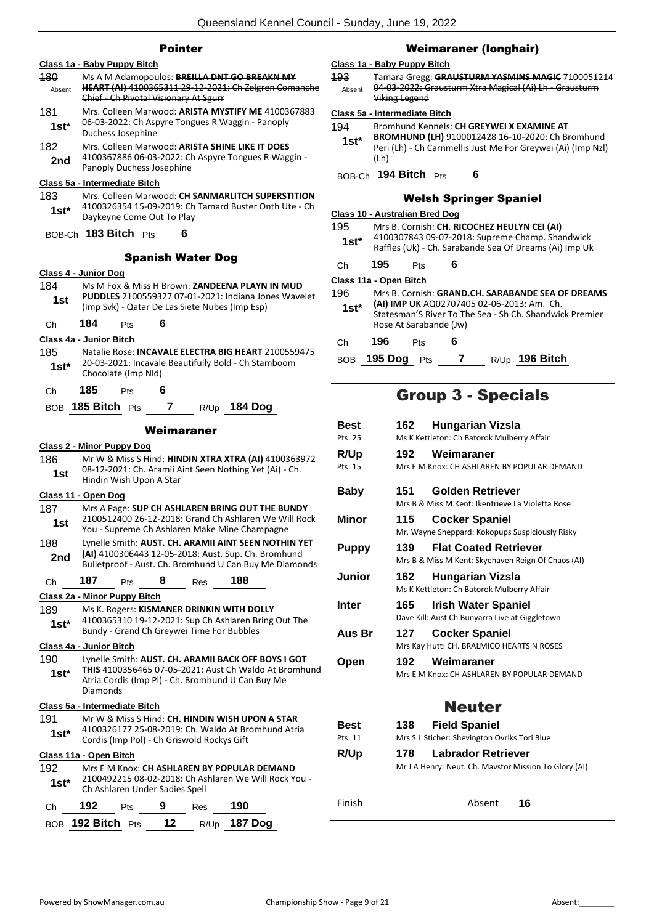#### Pointer

| Class 1a - Baby Puppy Bitch      |                                                                                                              |     |    |                                            |                                                                                                            |  |  |
|----------------------------------|--------------------------------------------------------------------------------------------------------------|-----|----|--------------------------------------------|------------------------------------------------------------------------------------------------------------|--|--|
| 180                              |                                                                                                              |     |    |                                            | Ms A M Adamopoulos: BREILLA DNT GO BREAKN MY                                                               |  |  |
| Absent                           | HEART (AI) 4100365311 29-12-2021: Ch Zelgren Comanche<br>Chief - Ch Pivotal Visionary At Sgurr               |     |    |                                            |                                                                                                            |  |  |
| 181                              | Mrs. Colleen Marwood: ARISTA MYSTIFY ME 4100367883                                                           |     |    |                                            |                                                                                                            |  |  |
| $1st^*$                          |                                                                                                              |     |    |                                            | 06-03-2022: Ch Aspyre Tongues R Waggin - Panoply                                                           |  |  |
|                                  | Duchess Josephine                                                                                            |     |    |                                            |                                                                                                            |  |  |
| 182                              |                                                                                                              |     |    |                                            | Mrs. Colleen Marwood: ARISTA SHINE LIKE IT DOES                                                            |  |  |
| 2nd                              | Panoply Duchess Josephine                                                                                    |     |    |                                            | 4100367886 06-03-2022: Ch Aspyre Tongues R Waggin -                                                        |  |  |
| Class 5a - Intermediate Bitch    |                                                                                                              |     |    |                                            |                                                                                                            |  |  |
| 183                              |                                                                                                              |     |    |                                            | Mrs. Colleen Marwood: CH SANMARLITCH SUPERSTITION                                                          |  |  |
| 1st*                             |                                                                                                              |     |    |                                            | 4100326354 15-09-2019: Ch Tamard Buster Onth Ute - Ch                                                      |  |  |
|                                  | Daykeyne Come Out To Play                                                                                    |     |    |                                            |                                                                                                            |  |  |
|                                  | BOB-Ch 183 Bitch Pts                                                                                         |     | 6  |                                            |                                                                                                            |  |  |
|                                  |                                                                                                              |     |    | <b>Spanish Water Dog</b>                   |                                                                                                            |  |  |
| Class 4 - Junior Dog             |                                                                                                              |     |    |                                            |                                                                                                            |  |  |
| 184                              |                                                                                                              |     |    |                                            | Ms M Fox & Miss H Brown: ZANDEENA PLAYN IN MUD                                                             |  |  |
| 1st                              |                                                                                                              |     |    |                                            | PUDDLES 2100559327 07-01-2021: Indiana Jones Wavelet                                                       |  |  |
|                                  |                                                                                                              |     |    |                                            | (Imp Svk) - Qatar De Las Siete Nubes (Imp Esp)                                                             |  |  |
| Ch                               | 184                                                                                                          | Pts | 6  |                                            |                                                                                                            |  |  |
| Class 4a - Junior Bitch          |                                                                                                              |     |    |                                            |                                                                                                            |  |  |
| 185                              |                                                                                                              |     |    |                                            | Natalie Rose: INCAVALE ELECTRA BIG HEART 2100559475<br>20-03-2021: Incavale Beautifully Bold - Ch Stamboom |  |  |
| $1st^*$                          | Chocolate (Imp Nld)                                                                                          |     |    |                                            |                                                                                                            |  |  |
| Сh                               | 185                                                                                                          | Pts | 6  |                                            |                                                                                                            |  |  |
|                                  | BOB 185 Bitch Pts 7 R/Up 184 Dog                                                                             |     |    |                                            |                                                                                                            |  |  |
| Weimaraner                       |                                                                                                              |     |    |                                            |                                                                                                            |  |  |
| <b>Class 2 - Minor Puppy Dog</b> |                                                                                                              |     |    |                                            |                                                                                                            |  |  |
| 186                              |                                                                                                              |     |    |                                            | Mr W & Miss S Hind: HINDIN XTRA XTRA (AI) 4100363972                                                       |  |  |
| 1st                              | Hindin Wish Upon A Star                                                                                      |     |    |                                            | 08-12-2021: Ch. Aramii Aint Seen Nothing Yet (Ai) - Ch.                                                    |  |  |
| Class 11 - Open Dog              |                                                                                                              |     |    |                                            |                                                                                                            |  |  |
| 187.                             |                                                                                                              |     |    |                                            | Mrs A Page: SUP CH ASHLAREN BRING OUT THE BUNDY                                                            |  |  |
| 1st                              |                                                                                                              |     |    |                                            | 2100512400 26-12-2018: Grand Ch Ashlaren We Will Rock<br>You - Supreme Ch Ashlaren Make Mine Champagne     |  |  |
| 188                              |                                                                                                              |     |    |                                            | Lynelle Smith: AUST. CH. ARAMII AINT SEEN NOTHIN YET                                                       |  |  |
| 2nd                              |                                                                                                              |     |    |                                            | (AI) 4100306443 12-05-2018: Aust. Sup. Ch. Bromhund                                                        |  |  |
|                                  |                                                                                                              |     |    |                                            | Bulletproof - Aust. Ch. Bromhund U Can Buy Me Diamonds                                                     |  |  |
| Ch                               | 187                                                                                                          | Pts | 8  | Res                                        | 188                                                                                                        |  |  |
| Class 2a - Minor Puppy Bitch     |                                                                                                              |     |    |                                            |                                                                                                            |  |  |
| 189                              |                                                                                                              |     |    |                                            | Ms K. Rogers: KISMANER DRINKIN WITH DOLLY                                                                  |  |  |
| 1st*                             |                                                                                                              |     |    | Bundy - Grand Ch Greywei Time For Bubbles  | 4100365310 19-12-2021: Sup Ch Ashlaren Bring Out The                                                       |  |  |
| Class 4a - Junior Bitch          |                                                                                                              |     |    |                                            |                                                                                                            |  |  |
| 190                              |                                                                                                              |     |    |                                            |                                                                                                            |  |  |
| 1st*                             | Lynelle Smith: AUST. CH. ARAMII BACK OFF BOYS I GOT<br>THIS 4100356465 07-05-2021: Aust Ch Waldo At Bromhund |     |    |                                            |                                                                                                            |  |  |
|                                  |                                                                                                              |     |    |                                            | Atria Cordis (Imp PI) - Ch. Bromhund U Can Buy Me                                                          |  |  |
|                                  | Diamonds                                                                                                     |     |    |                                            |                                                                                                            |  |  |
| Class 5a - Intermediate Bitch    |                                                                                                              |     |    |                                            | Mr W & Miss S Hind: CH. HINDIN WISH UPON A STAR                                                            |  |  |
| 191                              |                                                                                                              |     |    |                                            | 4100326177 25-08-2019: Ch. Waldo At Bromhund Atria                                                         |  |  |
| 1st*                             |                                                                                                              |     |    | Cordis (Imp Pol) - Ch Griswold Rockys Gift |                                                                                                            |  |  |
| Class 11a - Open Bitch           |                                                                                                              |     |    |                                            |                                                                                                            |  |  |
| 192                              |                                                                                                              |     |    |                                            | Mrs E M Knox: CH ASHLAREN BY POPULAR DEMAND                                                                |  |  |
| 1st*                             | Ch Ashlaren Under Sadies Spell                                                                               |     |    |                                            | 2100492215 08-02-2018: Ch Ashlaren We Will Rock You -                                                      |  |  |
| Сh                               | 192                                                                                                          | Pts | 9  | Res                                        | 190                                                                                                        |  |  |
|                                  | BOB 192 Bitch Pts                                                                                            |     | 12 | R/Up                                       | <b>187 Dog</b>                                                                                             |  |  |
|                                  |                                                                                                              |     |    |                                            |                                                                                                            |  |  |

#### Weimaraner (longhair)

#### **Class 1a - Baby Puppy Bitch**

| 493    | Tamara Gregg: GRAUSTURM YASMINS MAGIC 7100051214                               |
|--------|--------------------------------------------------------------------------------|
| Absent | 04-03-2022: Grausturm Xtra Magical (Ai) Lh - Grausturm<br><b>Viking Legend</b> |
|        | Class 5a - Intermediate Bitch                                                  |

| 194    | Bromhund Kennels: CH GREYWEI X EXAMINE AT                    |
|--------|--------------------------------------------------------------|
| $1st*$ | BROMHUND (LH) 9100012428 16-10-2020: Ch Bromhund             |
|        | Peri (Lh) - Ch Carnmellis Just Me For Greywei (Ai) (Imp Nzl) |
|        | (Lh)                                                         |

BOB-Ch **194 Bitch** Pts **6**

#### Welsh Springer Spaniel

|  |  |  | <b>Class 10 - Australian Bred Dog</b> |  |  |
|--|--|--|---------------------------------------|--|--|
|--|--|--|---------------------------------------|--|--|

| 195    | Mrs B. Cornish: CH. RICOCHEZ HEULYN CEI (AI)                                                              |
|--------|-----------------------------------------------------------------------------------------------------------|
| $1st*$ | 4100307843 09-07-2018: Supreme Champ. Shandwick<br>Raffles (Uk) - Ch. Sarabande Sea Of Dreams (Ai) Imp Uk |

| Сh | 195 | Pts | 6 |
|----|-----|-----|---|
|    |     |     |   |

#### **Class 11a - Open Bitch**

| 196.<br>$1st*$ |     |                        | Mrs B. Cornish: GRAND.CH. SARABANDE SEA OF DREAMS<br>(AI) IMP UK AQ02707405 02-06-2013: Am. Ch. |  |
|----------------|-----|------------------------|-------------------------------------------------------------------------------------------------|--|
|                |     | Rose At Sarabande (Jw) | Statesman'S River To The Sea - Sh Ch. Shandwick Premier                                         |  |
| C <sub>h</sub> | 196 | <b>Pts</b>             | 6                                                                                               |  |

## BOB **195 Dog** Pts **7** R/Up **196 Bitch**

## Group 3 - Specials

|     | 162 Hungarian Vizsla                                                         |
|-----|------------------------------------------------------------------------------|
|     | Ms K Kettleton: Ch Batorok Mulberry Affair                                   |
| 192 | Weimaraner                                                                   |
|     | Mrs E M Knox: CH ASHLAREN BY POPULAR DEMAND                                  |
| 151 | <b>Golden Retriever</b>                                                      |
|     | Mrs B & Miss M.Kent: Ikentrieve La Violetta Rose                             |
| 115 | <b>Cocker Spaniel</b>                                                        |
|     | Mr. Wayne Sheppard: Kokopups Suspiciously Risky                              |
| 139 | <b>Flat Coated Retriever</b>                                                 |
|     | Mrs B & Miss M Kent: Skyehaven Reign Of Chaos (AI)                           |
| 162 | <b>Hungarian Vizsla</b>                                                      |
|     | Ms K Kettleton: Ch Batorok Mulberry Affair                                   |
| 165 | <b>Irish Water Spaniel</b><br>Dave Kill: Aust Ch Bunyarra Live at Giggletown |
| 127 | <b>Cocker Spaniel</b>                                                        |
|     | Mrs Kay Hutt: CH. BRALMICO HEARTS N ROSES                                    |
| 192 | Weimaraner                                                                   |
|     | Mrs E M Knox: CH ASHLAREN BY POPULAR DEMAND                                  |
|     |                                                                              |
|     | <b>Neuter</b>                                                                |
| 138 | <b>Field Spaniel</b>                                                         |
|     | Mrs S L Sticher: Shevington Ovrlks Tori Blue                                 |
|     |                                                                              |

| R/Up | 178 | <b>Labrador Retriever</b>                             |
|------|-----|-------------------------------------------------------|
|      |     | Mr J A Henry: Neut. Ch. Maystor Mission To Glory (AI) |

| Finish | Absent 16 |  |
|--------|-----------|--|
|        |           |  |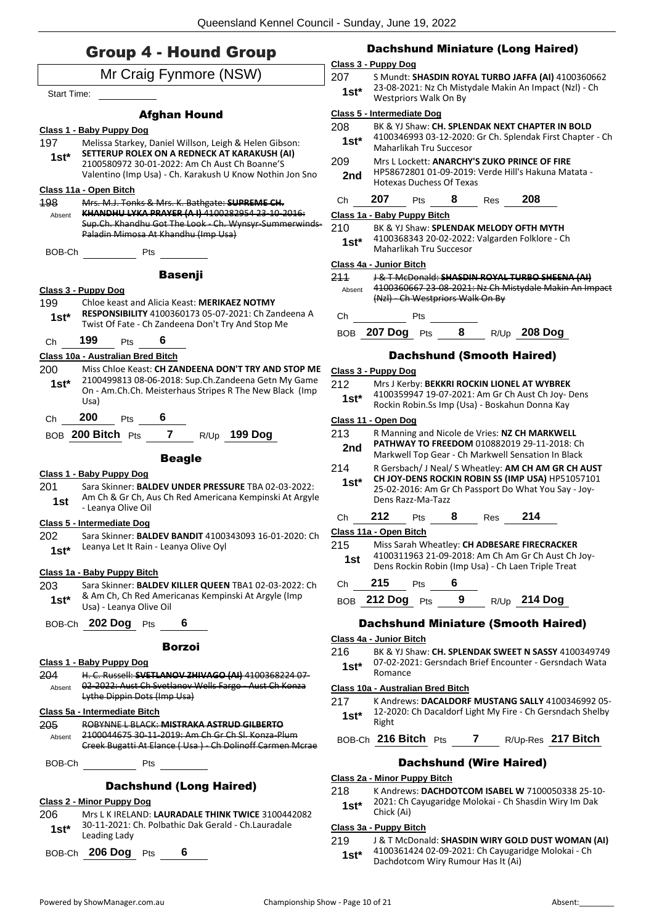### Group 4 - Hound Group

|                    |                                                                                                                 | $\overline{\mathbf{C}}$                   |
|--------------------|-----------------------------------------------------------------------------------------------------------------|-------------------------------------------|
|                    | Mr Craig Fynmore (NSW)                                                                                          | $\overline{2}$                            |
| <b>Start Time:</b> |                                                                                                                 |                                           |
|                    |                                                                                                                 |                                           |
|                    | <b>Afghan Hound</b>                                                                                             | $\overline{\mathbf{C}}$<br>$\overline{2}$ |
|                    | Class 1 - Baby Puppy Dog                                                                                        |                                           |
| 197                | Melissa Starkey, Daniel Willson, Leigh & Helen Gibson:<br>SETTERUP ROLEX ON A REDNECK AT KARAKUSH (AI)          |                                           |
| $1st*$             | 2100580972 30-01-2022: Am Ch Aust Ch Boanne'S                                                                   | $\overline{2}$                            |
|                    | Valentino (Imp Usa) - Ch. Karakush U Know Nothin Jon Sno                                                        |                                           |
|                    | Class 11a - Open Bitch                                                                                          |                                           |
| 198                | Mrs. M.J. Tonks & Mrs. K. Bathgate: SUPREME CH.                                                                 |                                           |
| Absent             | KHANDHU LYKA PRAYER (A.I) 4100282954 23-10-2016:<br>Sup.Ch. Khandhu Got The Look - Ch. Wynsyr-Summerwinds-      | $\overline{\mathbf{C}}$                   |
|                    | Paladin Mimosa At Khandhu (Imp Usa)                                                                             | $2^{\circ}$                               |
| BOB-Ch             | <b>Pts</b>                                                                                                      |                                           |
|                    |                                                                                                                 | CI                                        |
|                    | <b>Basenji</b>                                                                                                  | 2                                         |
|                    | Class 3 - Puppy Dog                                                                                             |                                           |
| 199                | Chloe keast and Alicia Keast: MERIKAEZ NOTMY                                                                    |                                           |
| $1st*$             | <b>RESPONSIBILITY</b> 4100360173 05-07-2021: Ch Zandeena A<br>Twist Of Fate - Ch Zandeena Don't Try And Stop Me |                                           |
|                    |                                                                                                                 |                                           |
| Сh                 | 199<br>6<br>Pts                                                                                                 |                                           |
|                    | Class 10a - Australian Bred Bitch                                                                               |                                           |
| 200                | Miss Chloe Keast: CH ZANDEENA DON'T TRY AND STOP ME<br>2100499813 08-06-2018: Sup.Ch.Zandeena Getn My Game      | $\overline{\mathbf{C}}$                   |
| $1st^*$            | On - Am.Ch.Ch. Meisterhaus Stripes R The New Black (Imp                                                         | $\overline{2}$                            |
|                    | Usa)                                                                                                            |                                           |
| Ch                 | 200<br>6<br><b>Pts</b>                                                                                          | $\overline{C}$                            |
|                    | BOB 200 Bitch Pts 7 R/Up 199 Dog                                                                                | $\overline{2}$                            |
|                    |                                                                                                                 |                                           |
|                    | <b>Beagle</b>                                                                                                   | $2^{\circ}$                               |
|                    | Class 1 - Baby Puppy Dog                                                                                        |                                           |
| 201                | Sara Skinner: BALDEV UNDER PRESSURE TBA 02-03-2022:<br>Am Ch & Gr Ch, Aus Ch Red Americana Kempinski At Argyle  |                                           |
| 1st                | - Leanya Olive Oil                                                                                              |                                           |
|                    | Class 5 - Intermediate Dog                                                                                      |                                           |
| 202                | Sara Skinner: BALDEV BANDIT 4100343093 16-01-2020: Ch                                                           | <u>c</u>                                  |
| $1st*$             | Leanya Let It Rain - Leanya Olive Oyl                                                                           | $2^{\circ}$                               |
|                    |                                                                                                                 |                                           |
| 203                | Class 1a - Baby Puppy Bitch<br>Sara Skinner: BALDEV KILLER QUEEN TBA1 02-03-2022: Ch                            |                                           |
|                    | & Am Ch, Ch Red Americanas Kempinski At Argyle (Imp                                                             |                                           |
| $1st*$             | Usa) - Leanya Olive Oil                                                                                         |                                           |
|                    | BOB-Ch 202 Dog Pts<br>6                                                                                         |                                           |
|                    |                                                                                                                 | <u>C</u>                                  |
|                    | Borzoi                                                                                                          | $2^{\circ}$                               |
|                    | Class 1 - Baby Puppy Dog                                                                                        |                                           |
| 204<br>Absent      | H. C. Russell: SVETLANOV ZHIVAGO (AI) 4100368224 07-<br>02-2022: Aust Ch Svetlanov Wells Fargo - Aust Ch Konza  |                                           |
|                    | Lythe Dippin Dots (Imp Usa)                                                                                     | <u>ୋ</u>                                  |
|                    | Class 5a - Intermediate Bitch                                                                                   | $2^{\circ}$                               |
| 205                | ROBYNNE L BLACK: MISTRAKA ASTRUD GILBERTO                                                                       |                                           |
| Absent             | 2100044675 30-11-2019: Am Ch Gr Ch Sl. Konza-Plum                                                               | I                                         |
|                    | Creek Bugatti At Elance (Usa) Ch Dolinoff Carmen Merae                                                          |                                           |
| BOB-Ch             | Pts                                                                                                             |                                           |
|                    |                                                                                                                 | <u>Cl</u>                                 |
|                    | <b>Dachshund (Long Haired)</b>                                                                                  | $2^{\circ}$                               |
|                    | <u>Class 2 - Minor Puppy Dog</u>                                                                                |                                           |
| 206                | Mrs L K IRELAND: LAURADALE THINK TWICE 3100442082<br>30-11-2021: Ch. Polbathic Dak Gerald - Ch.Lauradale        |                                           |
| $1st^*$            | Leading Lady                                                                                                    | С<br>2                                    |
| BOB-Ch             | $206$ Dog<br>6<br>Pts                                                                                           |                                           |
|                    |                                                                                                                 |                                           |

#### Dachshund Miniature (Long Haired)

#### **Class 3 - Puppy Dog**

207 S Mundt: **SHASDIN ROYAL TURBO JAFFA (AI)** 4100360662 23-08-2021: Nz Ch Mistydale Makin An Impact (Nzl) - Ch Westpriors Walk On By **1st\***

#### **Class 5 - Intermediate Dog**

| 208 | BK & YJ Shaw: CH. SPLENDAK NEXT CHAPTER IN BOLD |
|-----|-------------------------------------------------|
|-----|-------------------------------------------------|

- 4100346993 03-12-2020: Gr Ch. Splendak First Chapter Ch Maharlikah Tru Succesor **1st\***
- 209 Mrs L Lockett: **ANARCHY'S ZUKO PRINCE OF FIRE** HP58672801 01-09-2019: Verde Hill's Hakuna Matata - **2nd** HP58672801 01-09-2019:

### Ch **207** Pts **8** Res **208**

#### **Class 1a - Baby Puppy Bitch**

#### 210 BK & YJ Shaw: **SPLENDAK MELODY OFTH MYTH**

4100368343 20-02-2022: Valgarden Folklore - Ch Maharlikah Tru Succesor **1st\***

#### **Class 4a - Junior Bitch**

- 211 J & T McDonald: **SHASDIN ROYAL TURBO SHEENA (AI)**
- 4100360667 23-08-2021: Nz Ch Mistydale Makin An Impact (Nzl) - Ch Westpriors Walk On By Absent

Ch Pts

BOB **207 Dog** Pts **8** R/Up **208 Dog**

#### Dachshund (Smooth Haired)

#### **Class 3 - Puppy Dog**

212 Mrs J Kerby: **BEKKRI ROCKIN LIONEL AT WYBREK** 4100359947 19-07-2021: Am Gr Ch Aust Ch Joy- Dens Rockin Robin.Ss Imp (Usa) - Boskahun Donna Kay **1st\***

#### **Class 11 - Open Dog**

| 213 | R Manning and Nicole de Vries: NZ CH MARKWELL      |
|-----|----------------------------------------------------|
| 2nd | <b>PATHWAY TO FREEDOM 010882019 29-11-2018: Ch</b> |

- **Markwell Top Gear Ch Markwell Sensation In Black**
- 214 R Gersbach/ J Neal/ S Wheatley: **AM CH AM GR CH AUST CH JOY-DENS ROCKIN ROBIN SS (IMP USA)** HP51057101 25-02-2016: Am Gr Ch Passport Do What You Say - Joy-Dens Razz-Ma-Tazz **1st\***

### Ch **212** Pts **8** Res **214**

#### **Class 11a - Open Bitch**

- 215 Miss Sarah Wheatley: **CH ADBESARE FIRECRACKER** 4100311963 21-09-2018: Am Ch Am Gr Ch Aust Ch Joy-
- Dens Rockin Robin (Imp Usa) Ch Laen Triple Treat **1st**
- Ch **215** Pts **6**
- BOB **212 Dog** Pts **9** R/Up **214 Dog**

#### Dachshund Miniature (Smooth Haired)

#### **Class 4a - Junior Bitch**

216 BK & YJ Shaw: **CH. SPLENDAK SWEET N SASSY** 4100349749 07-02-2021: Gersndach Brief Encounter - Gersndach Wata  $1$ **st**\*  $\frac{U/-0Z-Z0Z}{Romance}$ 

#### **Class 10a - Australian Bred Bitch**

217 K Andrews: **DACALDORF MUSTANG SALLY** 4100346992 05- 12-2020: Ch Dacaldorf Light My Fire - Ch Gersndach Shelby 1st<sup>\*</sup> <sup>12-20</sup><br>Right

BOB-Ch **216 Bitch** Pts **7** R/Up-Res **217 Bitch**

#### Dachshund (Wire Haired)

#### **Class 2a - Minor Puppy Bitch**

- 218 K Andrews: **DACHDOTCOM ISABEL W** 7100050338 25-10- 2021: Ch Cayugaridge Molokai - Ch Shasdin Wiry Im Dak
	- 1st<sup>\*</sup> <sup>2021: Ch</sup><br>Chick (Ai)

#### **Class 3a - Puppy Bitch**

219 J & T McDonald: **SHASDIN WIRY GOLD DUST WOMAN (AI)** 4100361424 02-09-2021: Ch Cayugaridge Molokai - Ch **1st**\*  $410030142402-09-2021$ : Cn Cayugar<br>Dachdotcom Wiry Rumour Has It (Ai)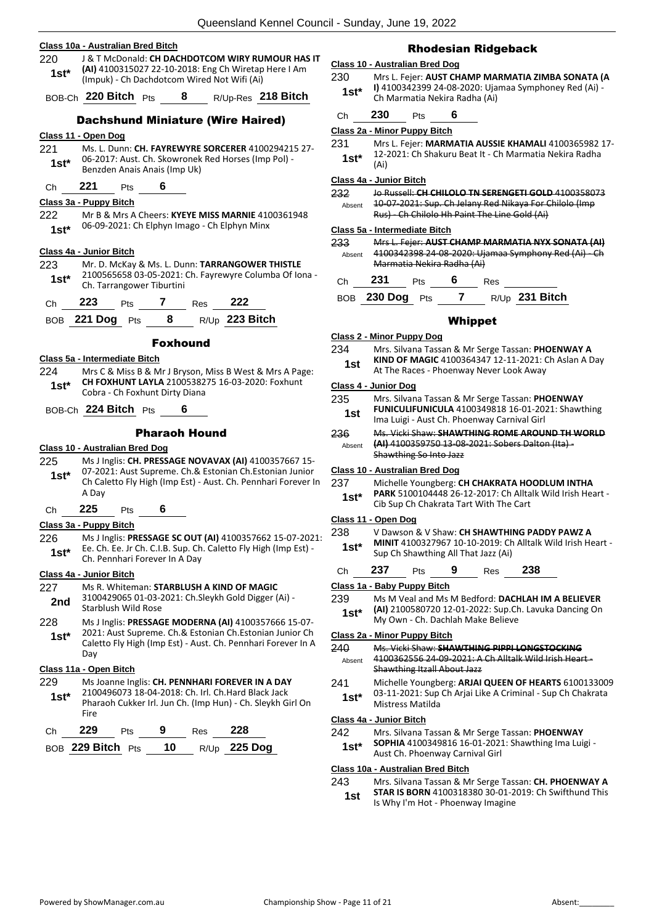**Class 10a - Australian Bred Bitch** 220 J & T McDonald: **CH DACHDOTCOM WIRY RUMOUR HAS IT (AI)** 4100315027 22-10-2018: Eng Ch Wiretap Here I Am (Impuk) - Ch Dachdotcom Wired Not Wifi (Ai) **1st\*** BOB-Ch **220 Bitch** Pts **8** R/Up-Res **218 Bitch** Dachshund Miniature (Wire Haired) **Class 11 - Open Dog** 221 Ms. L. Dunn: **CH. FAYREWYRE SORCERER** 4100294215 27- 06-2017: Aust. Ch. Skowronek Red Horses (Imp Pol) - **1st**\* Ub-2017: Aust. Ch. Skowronek<br>Benzden Anais Anais (Imp Uk) Ch **221** Pts **6 Class 3a - Puppy Bitch** 222 Mr B & Mrs A Cheers: **KYEYE MISS MARNIE** 4100361948 06-09-2021: Ch Elphyn Imago - Ch Elphyn Minx **1st\* Class 4a - Junior Bitch** 223 Mr. D. McKay & Ms. L. Dunn: **TARRANGOWER THISTLE** 2100565658 03-05-2021: Ch. Fayrewyre Columba Of Iona - Ch. Tarrangower Tiburtini **1st\*** Ch **223** Pts **7** Res **222** BOB **221 Dog** Pts **8** R/Up **223 Bitch** Foxhound **Class 5a - Intermediate Bitch** 224 Mrs C & Miss B & Mr J Bryson, Miss B West & Mrs A Page: **CH FOXHUNT LAYLA** 2100538275 16-03-2020: Foxhunt **1st\*** CH FOAHUNT LATLA 21005382 BOB-Ch **224 Bitch** Pts **6** Pharaoh Hound **Class 10 - Australian Bred Dog** 225 Ms J Inglis: **CH. PRESSAGE NOVAVAX (AI)** 4100357667 15- 07-2021: Aust Supreme. Ch.& Estonian Ch.Estonian Junior Ch Caletto Fly High (Imp Est) - Aust. Ch. Pennhari Forever In A Day **1st\*** Ch **225** Pts **6**

#### **Class 3a - Puppy Bitch**

226 Ms J Inglis: **PRESSAGE SC OUT (AI)** 4100357662 15-07-2021: Ee. Ch. Ee. Jr Ch. C.I.B. Sup. Ch. Caletto Fly High (Imp Est) - **1st**\* Let. Ch. Let. Jr Ch. C.I.B. Sup. Ch.<br>Ch. Pennhari Forever In A Day

#### **Class 4a - Junior Bitch**

227 Ms R. Whiteman: **STARBLUSH A KIND OF MAGIC** 3100429065 01-03-2021: Ch.Sleykh Gold Digger (Ai) - **2nd** STOU429005 UT-03-4 228 Ms J Inglis: **PRESSAGE MODERNA (AI)** 4100357666 15-07- 2021: Aust Supreme. Ch.& Estonian Ch.Estonian Junior Ch Caletto Fly High (Imp Est) - Aust. Ch. Pennhari Forever In A Day **1st\* Class 11a - Open Bitch** 229 Ms Joanne Inglis: **CH. PENNHARI FOREVER IN A DAY** 2100496073 18-04-2018: Ch. Irl. Ch.Hard Black Jack Pharaoh Cukker Irl. Jun Ch. (Imp Hun) - Ch. Sleykh Girl On Fire **1st\***

| Ch | 229                              | <b>Pts</b> | -9 | Res | 228                 |
|----|----------------------------------|------------|----|-----|---------------------|
|    | BOB 229 Bitch $P_{\text{ts}}$ 10 |            |    |     | R/Up <b>225 Dog</b> |

#### Rhodesian Ridgeback

#### **Class 10 - Australian Bred Dog**

230 Mrs L. Fejer: **AUST CHAMP MARMATIA ZIMBA SONATA (A I)** 4100342399 24-08-2020: Ujamaa Symphoney Red (Ai) - **1st\*** 1,4100342399 24-08-2020: UJa<br>Ch Marmatia Nekira Radha (Ai)

#### Ch **230** Pts **6**

#### **Class 2a - Minor Puppy Bitch**

- 231 Mrs L. Fejer: **MARMATIA AUSSIE KHAMALI** 4100365982 17- 12-2021: Ch Shakuru Beat It - Ch Marmatia Nekira Radha
- **1st**\*  $\frac{12}{(Ai)}$

#### **Class 4a - Junior Bitch**

232 Jo Russell: **CH CHILOLO TN SERENGETI GOLD** 4100358073 10-07-2021: Sup. Ch Jelany Red Nikaya For Chilolo (Imp Rus) - Ch Chilolo Hh Paint The Line Gold (Ai) Absent

#### **Class 5a - Intermediate Bitch**

233 Mrs L. Fejer: **AUST CHAMP MARMATIA NYX SONATA (AI)** 4100342398 24-08-2020: Ujamaa Symphony Red (Ai) - Ch Marmatia Nekira Radha (Ai) Absent

|  | <b>Ch</b> | 231 | Pts | 6 | Res |
|--|-----------|-----|-----|---|-----|
|--|-----------|-----|-----|---|-----|

| R/Up 231 Bitch<br>BOB 230 Dog Pts |  |  |  |  |  |  |  |
|-----------------------------------|--|--|--|--|--|--|--|
|-----------------------------------|--|--|--|--|--|--|--|

#### Whippet

#### **Class 2 - Minor Puppy Dog**

- 234 Mrs. Silvana Tassan & Mr Serge Tassan: **PHOENWAY A**
- **KIND OF MAGIC** 4100364347 12-11-2021: Ch Aslan A Day **1st** KIND OF MAGIC 4100364347 12-11-2021: N<br>At The Races - Phoenway Never Look Away

#### **Class 4 - Junior Dog**

- 235 Mrs. Silvana Tassan & Mr Serge Tassan: **PHOENWAY FUNICULIFUNICULA** 4100349818 16-01-2021: Shawthing **1st FUNICULIFUNICULA** 4100349818 16-01-20.<br>Ima Luigi - Aust Ch. Phoenway Carnival Girl
- 236 Ms. Vicki Shaw: **SHAWTHING ROME AROUND TH WORLD (AI)** 4100359750 13-08-2021: Sobers Dalton (Ita) - Shawthing So Into Jazz Absent

#### **Class 10 - Australian Bred Dog**

- 237 Michelle Youngberg: **CH CHAKRATA HOODLUM INTHA PARK** 5100104448 26-12-2017: Ch Alltalk Wild Irish Heart -
- **1st\*** PARK 5100104448 26-12-2017: Ch Allta<br>Cib Sup Ch Chakrata Tart With The Cart

#### **Class 11 - Open Dog**

- 238 V Dawson & V Shaw: **CH SHAWTHING PADDY PAWZ A MINIT** 4100327967 10-10-2019: Ch Alltalk Wild Irish Heart - **1st\* INTINTE ALLACCE SUP CH SHAWARE SUP CH Shawthing All That Jazz (Ai)**
- Ch **237** Pts **9** Res **238**

#### **Class 1a - Baby Puppy Bitch**

- 239 Ms M Veal and Ms M Bedford: **DACHLAH IM A BELIEVER (AI)** 2100580720 12-01-2022: Sup.Ch. Lavuka Dancing On
- 1st\* **(AI)** 2100580720 12-01-2022: Sup.Cr<br>My Own Ch. Dachlah Make Believe

#### **Class 2a - Minor Puppy Bitch**

- 240 Ms. Vicki Shaw: **SHAWTHING PIPPI LONGSTOCKING** 4100362556 24-09-2021: A Ch Alltalk Wild Irish Heart - Shawthing Itzall About Jazz Absent
- 241 Michelle Youngberg: **ARJAI QUEEN OF HEARTS** 6100133009 03-11-2021: Sup Ch Arjai Like A Criminal - Sup Ch Chakrata Mistress Matilda **1st\***

#### **Class 4a - Junior Bitch**

- 242 Mrs. Silvana Tassan & Mr Serge Tassan: **PHOENWAY** 
	- **SOPHIA** 4100349816 16-01-2021: Shawthing Ima Luigi **1st\* DUTTILA** 4100349816 16-01-2021<br>Aust Ch. Phoenway Carnival Girl

#### **Class 10a - Australian Bred Bitch**

- 243 Mrs. Silvana Tassan & Mr Serge Tassan: **CH. PHOENWAY A STAR IS BORN** 4100318380 30-01-2019: Ch Swifthund This
	- Is Why I'm Hot Phoenway Imagine **1st**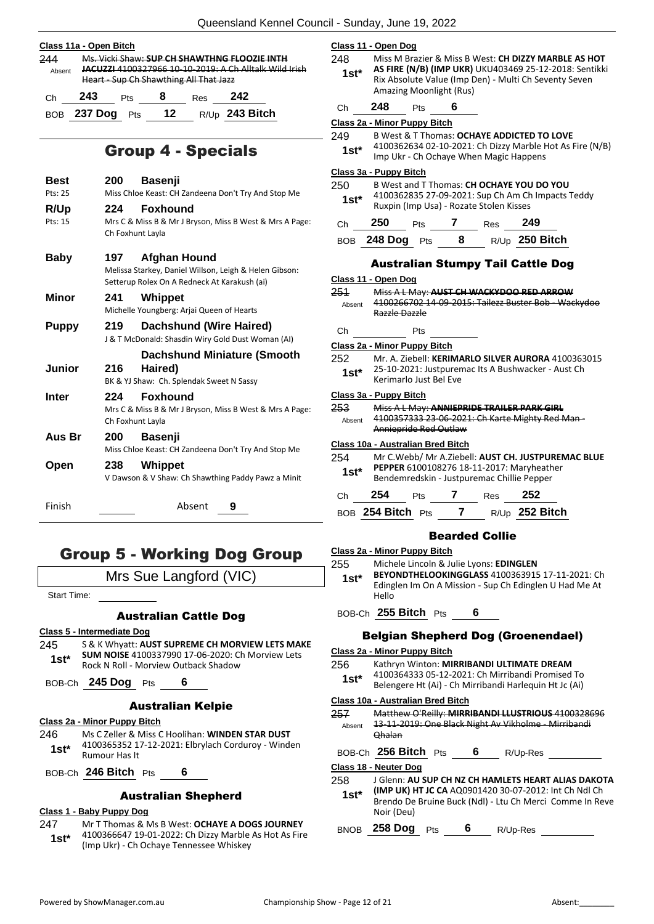|               | Class 11a - Open Bitch |     |                                        |     |                                                                                                               |  |
|---------------|------------------------|-----|----------------------------------------|-----|---------------------------------------------------------------------------------------------------------------|--|
| 244<br>Absent |                        |     | Heart - Sup Ch Shawthing All That Jazz |     | Ms. Vicki Shaw: SUP CH SHAWTHNG FLOOZIE INTH<br><b>JACUZZI 4100327966 10-10-2019: A Ch Alltalk Wild Irish</b> |  |
| Ch            | 243                    | Pts |                                        | Res | 242                                                                                                           |  |
| <b>BOB</b>    | 237 Dog                | Pts | 12                                     |     | R/Up 243 Bitch                                                                                                |  |

### Group 4 - Specials

| <b>Best</b>  | 200                     | <b>Basenji</b>                                                                                                                |
|--------------|-------------------------|-------------------------------------------------------------------------------------------------------------------------------|
| Pts: 25      |                         | Miss Chloe Keast: CH Zandeena Don't Try And Stop Me                                                                           |
| R/Up         | 224                     | <b>Foxhound</b>                                                                                                               |
| Pts: 15      | Ch Foxhunt Layla        | Mrs C & Miss B & Mr J Bryson, Miss B West & Mrs A Page:                                                                       |
| <b>Baby</b>  | 197.                    | <b>Afghan Hound</b><br>Melissa Starkey, Daniel Willson, Leigh & Helen Gibson:<br>Setterup Rolex On A Redneck At Karakush (ai) |
| Minor        | 241                     | Whippet<br>Michelle Youngberg: Arjai Queen of Hearts                                                                          |
| <b>Puppy</b> | 219                     | <b>Dachshund (Wire Haired)</b><br>J & T McDonald: Shasdin Wiry Gold Dust Woman (AI)                                           |
|              |                         | <b>Dachshund Miniature (Smooth</b>                                                                                            |
| Junior       | 216                     | Haired)<br>BK & YJ Shaw: Ch. Splendak Sweet N Sassy                                                                           |
| Inter        | 224<br>Ch Foxhunt Layla | <b>Foxhound</b><br>Mrs C & Miss B & Mr J Bryson, Miss B West & Mrs A Page:                                                    |
| Aus Br       | 200                     | <b>Basenji</b><br>Miss Chloe Keast: CH Zandeena Don't Try And Stop Me                                                         |
| Open         | 238                     | Whippet<br>V Dawson & V Shaw: Ch Shawthing Paddy Pawz a Minit                                                                 |
| Finish       |                         | Absent<br>9                                                                                                                   |

### Group 5 - Working Dog Group

Mrs Sue Langford (VIC)

Start Time:

#### Australian Cattle Dog

#### **Class 5 - Intermediate Dog**

245 S & K Whyatt: **AUST SUPREME CH MORVIEW LETS MAKE SUM NOISE** 4100337990 17-06-2020: Ch Morview Lets 1st\* **SUM NOISE** 4100337990 17-06-2020: C<br>Rock N Roll - Morview Outback Shadow

BOB-Ch **245 Dog** Pts **6**

#### Australian Kelpie

#### **Class 2a - Minor Puppy Bitch**

- 246 Ms C Zeller & Miss C Hoolihan: **WINDEN STAR DUST** 4100365352 17-12-2021: Elbrylach Corduroy - Winden **1st\*** 4100365352 1<br>**Rumour Has It**
- BOB-Ch **246 Bitch** Pts **6**

#### Australian Shepherd

#### **Class 1 - Baby Puppy Dog**

247 Mr T Thomas & Ms B West: **OCHAYE A DOGS JOURNEY** 4100366647 19-01-2022: Ch Dizzy Marble As Hot As Fire (Imp Ukr) - Ch Ochaye Tennessee Whiskey **1st\***

|                | Class 11 - Open Dog          |                                            |            |                                                                                                                                                                         |  |
|----------------|------------------------------|--------------------------------------------|------------|-------------------------------------------------------------------------------------------------------------------------------------------------------------------------|--|
| 248<br>$1st^*$ |                              | Amazing Moonlight (Rus)                    |            | Miss M Brazier & Miss B West: CH DIZZY MARBLE AS HOT<br>AS FIRE (N/B) (IMP UKR) UKU403469 25-12-2018: Sentikki<br>Rix Absolute Value (Imp Den) - Multi Ch Seventy Seven |  |
| Ch             | 248                          | 6<br>Pts                                   |            |                                                                                                                                                                         |  |
|                | Class 2a - Minor Puppy Bitch |                                            |            |                                                                                                                                                                         |  |
| 249            |                              |                                            |            | B West & T Thomas: OCHAYE ADDICTED TO LOVE                                                                                                                              |  |
| $1st^*$        |                              | Imp Ukr - Ch Ochaye When Magic Happens     |            | 4100362634 02-10-2021: Ch Dizzy Marble Hot As Fire (N/B)                                                                                                                |  |
|                | Class 3a - Puppy Bitch       |                                            |            |                                                                                                                                                                         |  |
| 250            |                              | B West and T Thomas: CH OCHAYE YOU DO YOU  |            |                                                                                                                                                                         |  |
| $1st*$         |                              | Ruxpin (Imp Usa) - Rozate Stolen Kisses    |            | 4100362835 27-09-2021: Sup Ch Am Ch Impacts Teddy                                                                                                                       |  |
| Ch             | 250                          | $\overline{7}$<br>Pts                      | <b>Res</b> | 249                                                                                                                                                                     |  |
|                |                              | BOB 248 Dog Pts 8 R/Up 250 Bitch           |            |                                                                                                                                                                         |  |
|                | Class 11 - Open Dog          |                                            |            | <b>Australian Stumpy Tail Cattle Dog</b>                                                                                                                                |  |
| 251            |                              |                                            |            | Miss A L May: AUST CH WACKYDOO RED ARROW                                                                                                                                |  |
| Absent         | Razzle Dazzle                |                                            |            | 4100266702 14-09-2015: Tailezz Buster Bob - Wackydoo                                                                                                                    |  |
| Ch             |                              | Pts                                        |            |                                                                                                                                                                         |  |
|                | Class 2a - Minor Puppy Bitch |                                            |            |                                                                                                                                                                         |  |
| 252            |                              |                                            |            | Mr. A. Ziebell: KERIMARLO SILVER AURORA 4100363015                                                                                                                      |  |
| 1st*           |                              | Kerimarlo Just Bel Eve                     |            | 25-10-2021: Justpuremac Its A Bushwacker - Aust Ch                                                                                                                      |  |
|                | Class 3a - Puppy Bitch       |                                            |            |                                                                                                                                                                         |  |
| 253            |                              | Miss A L May: ANNIEPRIDE TRAILER PARK GIRL |            |                                                                                                                                                                         |  |
| Absent         |                              | Anniepride Red Outlaw                      |            | 4100357333 23-06-2021: Ch Karte Mighty Red Man-                                                                                                                         |  |
|                |                              | Class 10a - Australian Bred Bitch          |            |                                                                                                                                                                         |  |

254 Mr C.Webb/ Mr A.Ziebell: **AUST CH. JUSTPUREMAC BLUE PEPPER** 6100108276 18-11-2017: Maryheather Bendemredskin - Justpuremac Chillie Pepper **1st\***

| Ch. | - 254             | <b>Pts</b> | Res | - 252            |
|-----|-------------------|------------|-----|------------------|
|     | BOB 254 Bitch Pts |            |     | $R/Up$ 252 Bitch |

#### Bearded Collie

|  | <b>Class 2a - Minor Puppy Bitch</b> |  |
|--|-------------------------------------|--|
|  |                                     |  |

- 255 Michele Lincoln & Julie Lyons: **EDINGLEN**
- **BEYONDTHELOOKINGGLASS** 4100363915 17-11-2021: Ch Edinglen Im On A Mission - Sup Ch Edinglen U Had Me At Hello **1st\***

BOB-Ch **255 Bitch** Pts **6**

#### Belgian Shepherd Dog (Groenendael)

#### **Class 2a - Minor Puppy Bitch**

- 256 Kathryn Winton: **MIRRIBANDI ULTIMATE DREAM**
- 4100364333 05-12-2021: Ch Mirribandi Promised To Belengere Ht (Ai) - Ch Mirribandi Harlequin Ht Jc (Ai) **1st\***

#### **Class 10a - Australian Bred Bitch**

| 257    | Matthew O'Reilly: MIRRIBANDI LLUSTRIOUS 4100328696   |
|--------|------------------------------------------------------|
| Absent | 13-11-2019: One Black Night Av Vikholme - Mirribandi |
|        | <b>Qhalan</b>                                        |

BOB-Ch **256 Bitch** Pts **6** R/Up-Res

#### **Class 18 - Neuter Dog**

- 258 J Glenn: **AU SUP CH NZ CH HAMLETS HEART ALIAS DAKOTA** 
	- **(IMP UK) HT JC CA** AQ0901420 30-07-2012: Int Ch Ndl Ch Brendo De Bruine Buck (Ndl) - Ltu Ch Merci Comme In Reve Noir (Deu) **1st\***

BNOB **258 Dog** Pts **6** R/Up-Res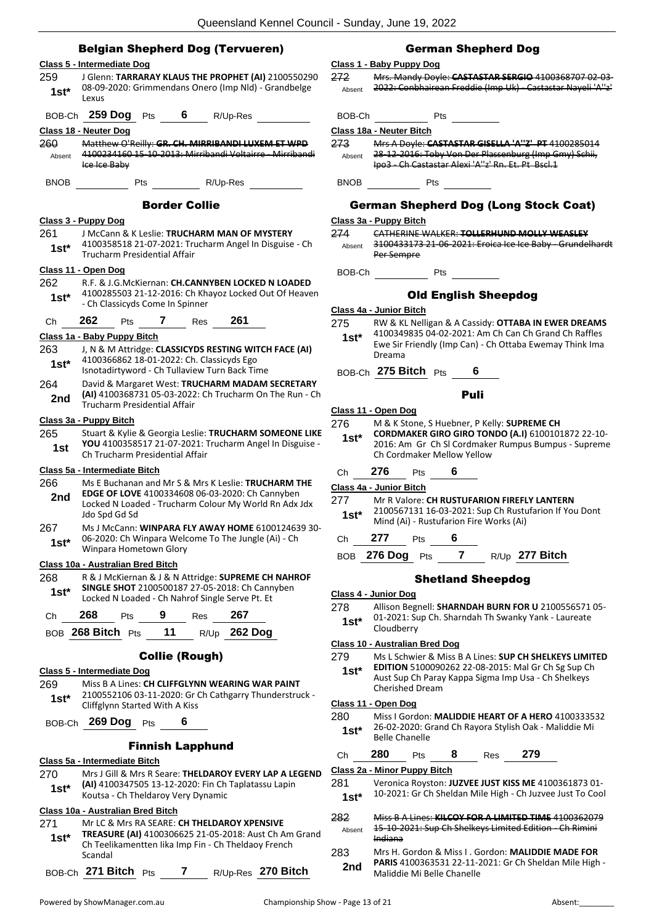|               | <b>Belgian Shepherd Dog (Tervueren)</b>                                                                       |                 |
|---------------|---------------------------------------------------------------------------------------------------------------|-----------------|
|               | Class 5 - Intermediate Dog                                                                                    | <b>Class</b>    |
| 259           | J Glenn: TARRARAY KLAUS THE PROPHET (AI) 2100550290                                                           | 272             |
| $1st*$        | 08-09-2020: Grimmendans Onero (Imp Nld) - Grandbelge<br>Lexus                                                 | Abs             |
|               | BOB-Ch 259 Dog Pts<br>6<br>R/Up-Res                                                                           | BOI             |
|               | Class 18 - Neuter Dog                                                                                         | <b>Class</b>    |
| 260           | Matthew O'Reilly: GR. CH. MIRRIBANDI LUXEM ET WPD                                                             | 273.            |
| Absent        | 4100234160 15 10 2013: Mirribandi Voltairre Mirribandi<br>Ice Ice Baby                                        | Abs             |
| <b>BNOB</b>   | R/Up-Res<br>Pts                                                                                               | BN <sub>0</sub> |
|               | <b>Border Collie</b>                                                                                          |                 |
|               | Class 3 - Puppy Dog                                                                                           | Class           |
| 261           | J McCann & K Leslie: TRUCHARM MAN OF MYSTERY<br>4100358518 21-07-2021: Trucharm Angel In Disguise - Ch        | 274             |
| $1st*$        | Trucharm Presidential Affair                                                                                  | Abs             |
|               | Class 11 - Open Dog                                                                                           |                 |
| 262           | R.F. & J.G.McKiernan: CH.CANNYBEN LOCKED N LOADED                                                             | BOI             |
| $1st*$        | 4100285503 21-12-2016: Ch Khayoz Locked Out Of Heaven                                                         |                 |
|               | - Ch Classicyds Come In Spinner                                                                               | <b>Class</b>    |
| Ch            | 262<br>261<br>7<br>Pts<br>Res                                                                                 | 275             |
|               | Class 1a - Baby Puppy Bitch                                                                                   | 1៵              |
| 263           | J, N & M Attridge: CLASSICYDS RESTING WITCH FACE (AI)                                                         |                 |
| 1st*          | 4100366862 18-01-2022: Ch. Classicyds Ego                                                                     |                 |
|               | Isnotadirtyword - Ch Tullaview Turn Back Time                                                                 | BOI             |
| 264           | David & Margaret West: TRUCHARM MADAM SECRETARY<br>(AI) 4100368731 05-03-2022: Ch Trucharm On The Run - Ch    |                 |
| 2nd           | Trucharm Presidential Affair                                                                                  | <b>Class</b>    |
|               | Class 3a - Puppy Bitch                                                                                        | 276             |
| 265           | Stuart & Kylie & Georgia Leslie: TRUCHARM SOMEONE LIKE                                                        | 1៵              |
| 1st           | YOU 4100358517 21-07-2021: Trucharm Angel In Disguise -                                                       |                 |
|               | Ch Trucharm Presidential Affair                                                                               |                 |
|               | Class 5a - Intermediate Bitch                                                                                 | Ch              |
| 266           | Ms E Buchanan and Mr S & Mrs K Leslie: TRUCHARM THE<br><b>EDGE OF LOVE</b> 4100334608 06-03-2020: Ch Cannyben | <b>Class</b>    |
| 2nd           | Locked N Loaded - Trucharm Colour My World Rn Adx Jdx                                                         | 277.            |
|               | Jdo Spd Gd Sd                                                                                                 | 1៵              |
| 267           | Ms J McCann: WINPARA FLY AWAY HOME 6100124639 30-                                                             |                 |
| $1st*$        | 06-2020: Ch Winpara Welcome To The Jungle (Ai) - Ch<br>Winpara Hometown Glory                                 | Ch              |
|               |                                                                                                               | BOI             |
|               | Class 10a - Australian Bred Bitch<br>R & J McKiernan & J & N Attridge: SUPREME CH NAHROF                      |                 |
| 268<br>$1st*$ | SINGLE SHOT 2100500187 27-05-2018: Ch Cannyben                                                                |                 |
|               | Locked N Loaded - Ch Nahrof Single Serve Pt. Et                                                               | <b>Class</b>    |
| Ch            | 268<br>9<br>267<br>Pts<br><b>Res</b>                                                                          | 278             |
|               | BOB 268 Bitch Pts 11 R/Up 262 Dog                                                                             | 1៵              |
|               |                                                                                                               | <b>Class</b>    |
|               | <b>Collie (Rough)</b>                                                                                         | 279             |
|               | Class 5 - Intermediate Dog                                                                                    | 1៵              |
| 269           | Miss B A Lines: CH CLIFFGLYNN WEARING WAR PAINT                                                               |                 |
| $1st*$        | 2100552106 03-11-2020: Gr Ch Cathgarry Thunderstruck -                                                        | Class           |
|               | Cliffglynn Started With A Kiss                                                                                | 280             |
|               | BOB-Ch 269 Dog Pts<br>6                                                                                       | 1៵              |
|               |                                                                                                               |                 |
|               | <b>Finnish Lapphund</b>                                                                                       | Ch              |
|               | Class 5a - Intermediate Bitch                                                                                 | Class           |
| 270           | Mrs J Gill & Mrs R Seare: THELDAROY EVERY LAP A LEGEND<br>(AI) 4100347505 13-12-2020: Fin Ch Taplatassu Lapin | 281             |
| $1st*$        | Koutsa - Ch Theldaroy Very Dynamic                                                                            | 1៵              |
|               | Class 10a - Australian Bred Bitch                                                                             |                 |
| 271           | Mr LC & Mrs RA SEARE: CH THELDAROY XPENSIVE                                                                   | 282.<br>Abs     |
| $1st^*$       | TREASURE (AI) 4100306625 21-05-2018: Aust Ch Am Grand                                                         |                 |
|               | Ch Teelikamentten lika Imp Fin - Ch Theldaoy French<br>Scandal                                                | 283             |

#### BOB-Ch **271 Bitch** Pts **7** R/Up-Res **270 Bitch**

#### German Shepherd Dog

#### **Class 1 - Baby Puppy Dog**

272 Mrs. Mandy Doyle: **CASTASTAR SERGIO** 4100368707 02-03- <sub>sent</sub> 2022: Conbhairean Freddie (Imp Uk) - Castastar Nayeli 'A''z'

B-Ch Pts

**Class 18a - Neuter Bitch**

273 Mrs A Doyle: **CASTASTAR GISELLA 'A''Z' PT** 4100285014 28-12-2016: Toby Von Der Plassenburg (Imp Gmy) Schii, Ipo3 - Ch Castastar Alexi 'A''z' Rn. Et. Pt Bscl.1 ant:

OB Pts

#### German Shepherd Dog (Long Stock Coat)

#### **Class 3a - Puppy Bitch**

274 CATHERINE WALKER: **TOLLERHUND MOLLY WEASLEY** 3100433173 21-06-2021: Eroica Ice Ice Baby - Grundelhardt Per Sempre sent

B-Ch Pts

#### Old English Sheepdog

**Class 4a - Junior Bitch**

275 RW & KL Nelligan & A Cassidy: **OTTABA IN EWER DREAMS** 4100349835 04-02-2021: Am Ch Can Ch Grand Ch Raffles Ewe Sir Friendly (Imp Can) - Ch Ottaba Ewemay Think Ima Dreama **1st\***

BOB-Ch **275 Bitch** Pts **6**

#### Puli

#### **Class 11 - Open Dog**

- 276 M & K Stone, S Huebner, P Kelly: **SUPREME CH CORDMAKER GIRO GIRO TONDO (A.I)** 6100101872 22-10- 2016: Am Gr Ch SI Cordmaker Rumpus Bumpus - Supreme Ch Cordmaker Mellow Yellow **1st\***
- Ch **276** Pts **6**

**Class 4a - Junior Bitch**

- **Mr R Valore: CH RUSTUFARION FIREFLY LANTERN**
- 2100567131 16-03-2021: Sup Ch Rustufarion If You Dont Mind (Ai) - Rustufarion Fire Works (Ai) **1st\***
- Ch **277** Pts **6**

BOB **276 Dog** Pts **7** R/Up **277 Bitch**

#### Shetland Sheepdog

**Class 4 - Junior Dog**

278 Allison Begnell: **SHARNDAH BURN FOR U** 2100556571 05-

01-2021: Sup Ch. Sharndah Th Swanky Yank - Laureate Cloudberry **1st\***

#### **Class 10 - Australian Bred Dog**

- 279 Ms L Schwier & Miss B A Lines: **SUP CH SHELKEYS LIMITED**
- **EDITION** 5100090262 22-08-2015: Mal Gr Ch Sg Sup Ch Aust Sup Ch Paray Kappa Sigma Imp Usa - Ch Shelkeys Cherished Dream **1st\***

#### **Class 11 - Open Dog**

- 280 Miss I Gordon: **MALIDDIE HEART OF A HERO** 4100333532 26-02-2020: Grand Ch Rayora Stylish Oak - Maliddie Mi **st\*** 26-02-2020: G<br>Belle Chanelle
- Ch **280** Pts **8** Res **279**

#### **Class 2a - Minor Puppy Bitch**

- 281 Veronica Royston: **JUZVEE JUST KISS ME** 4100361873 01-
- 10-2021: Gr Ch Sheldan Mile High Ch Juzvee Just To Cool **1st\***
- 282 Miss B A Lines: **KILCOY FOR A LIMITED TIME** 4100362079 15-10-2021: Sup Ch Shelkeys Limited Edition - Ch Rimini Indiana sent
- 283 Mrs H. Gordon & Miss I . Gordon: **MALIDDIE MADE FOR PARIS** 4100363531 22-11-2021: Gr Ch Sheldan Mile High - 2nd **PANIS** 410030331 22-11-2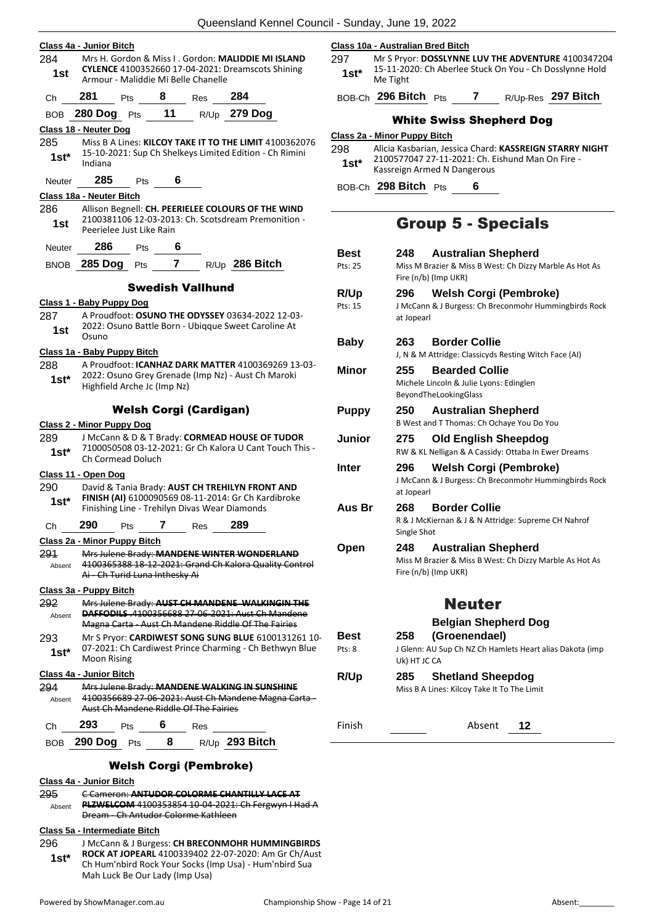|                      | Class 4a - Junior Bitch                                                                                                                 |                                                         |             |                         |                                                                                                                |                                                           | 297            | Class 10a - Australian Bred Bitch                                            |                                                            |
|----------------------|-----------------------------------------------------------------------------------------------------------------------------------------|---------------------------------------------------------|-------------|-------------------------|----------------------------------------------------------------------------------------------------------------|-----------------------------------------------------------|----------------|------------------------------------------------------------------------------|------------------------------------------------------------|
| 284<br>1st           |                                                                                                                                         | Armour - Maliddie Mi Belle Chanelle                     |             |                         | Mrs H. Gordon & Miss I. Gordon: MALIDDIE MI ISLAND<br><b>CYLENCE</b> 4100352660 17-04-2021: Dreamscots Shining |                                                           | $1st^*$        | Mr S Pryor: DOSSLYNNE<br>15-11-2020: Ch Aberlee<br>Me Tight                  |                                                            |
| Ch                   | 281                                                                                                                                     | <b>Pts</b>                                              | $8^{\circ}$ | <b>Res</b>              | 284                                                                                                            |                                                           |                | BOB-Ch 296 Bitch Pts                                                         |                                                            |
| BOB                  | 280 Dog Pts 11 R/Up 279 Dog                                                                                                             |                                                         |             |                         |                                                                                                                |                                                           |                |                                                                              | <b>White Swiss</b>                                         |
|                      | Class 18 - Neuter Dog                                                                                                                   |                                                         |             |                         |                                                                                                                |                                                           |                | Class 2a - Minor Puppy Bitch                                                 |                                                            |
| 285<br>$1st*$        | Indiana                                                                                                                                 |                                                         |             |                         | 15-10-2021: Sup Ch Shelkeys Limited Edition - Ch Rimini                                                        | Miss B A Lines: KILCOY TAKE IT TO THE LIMIT 4100362076    | 298<br>$1st^*$ | Alicia Kasbarian, Jessica<br>2100577047 27-11-202:<br>Kassreign Armed N Dang |                                                            |
| <b>Neuter</b>        | 285                                                                                                                                     | <b>Pts</b>                                              | 6           |                         |                                                                                                                |                                                           |                | BOB-Ch 298 Bitch Pts                                                         |                                                            |
|                      | Class 18a - Neuter Bitch                                                                                                                |                                                         |             |                         |                                                                                                                |                                                           |                |                                                                              |                                                            |
| 286<br>1st           |                                                                                                                                         | Peerielee Just Like Rain                                |             |                         | Allison Begnell: CH. PEERIELEE COLOURS OF THE WIND<br>2100381106 12-03-2013: Ch. Scotsdream Premonition -      |                                                           |                |                                                                              | Group 5                                                    |
| <b>Neuter</b>        | 286                                                                                                                                     | Pts                                                     | 6           |                         |                                                                                                                |                                                           | <b>Best</b>    | 248                                                                          | <b>Austral</b>                                             |
|                      | BNOB 285 Dog                                                                                                                            |                                                         |             |                         | Pts 7 R/Up 286 Bitch                                                                                           |                                                           | Pts: 25        |                                                                              | Miss M Brazier & Mi<br>Fire (n/b) (Imp UKR)                |
|                      |                                                                                                                                         |                                                         |             | <b>Swedish Vallhund</b> |                                                                                                                |                                                           | R/Up           | 296                                                                          | Welsh                                                      |
|                      | Class 1 - Baby Puppy Dog                                                                                                                |                                                         |             |                         |                                                                                                                |                                                           | Pts: 15        |                                                                              | J McCann & J Burges                                        |
| 287                  |                                                                                                                                         |                                                         |             |                         | A Proudfoot: OSUNO THE ODYSSEY 03634-2022 12-03-<br>2022: Osuno Battle Born - Ubiqque Sweet Caroline At        |                                                           |                | at Jopearl                                                                   |                                                            |
| 1st                  | Osuno                                                                                                                                   |                                                         |             |                         |                                                                                                                |                                                           | <b>Baby</b>    | 263                                                                          | <b>Border</b>                                              |
|                      | Class 1a - Baby Puppy Bitch                                                                                                             |                                                         |             |                         |                                                                                                                |                                                           |                |                                                                              | J, N & M Attridge: Cl                                      |
| 288<br>$1st*$        |                                                                                                                                         | Highfield Arche Jc (Imp Nz)                             |             |                         | 2022: Osuno Grey Grenade (Imp Nz) - Aust Ch Maroki                                                             | A Proudfoot: <b>ICANHAZ DARK MATTER</b> 4100369269 13-03- | <b>Minor</b>   | 255                                                                          | <b>Bearde</b><br>Michele Lincoln & Ju<br>BeyondTheLookingG |
|                      |                                                                                                                                         | <b>Welsh Corgi (Cardigan)</b>                           |             |                         |                                                                                                                |                                                           | <b>Puppy</b>   | 250                                                                          | Austral                                                    |
| 289                  | Class 2 - Minor Puppy Dog                                                                                                               |                                                         |             |                         | J McCann & D & T Brady: CORMEAD HOUSE OF TUDOR                                                                 |                                                           |                |                                                                              | <b>B West and T Thoma</b>                                  |
| $1st*$               |                                                                                                                                         | Ch Cormead Doluch                                       |             |                         |                                                                                                                | 7100050508 03-12-2021: Gr Ch Kalora U Cant Touch This -   | Junior         | 275                                                                          | Old En<br>RW & KL Nelligan &                               |
|                      | Class 11 - Open Dog                                                                                                                     |                                                         |             |                         |                                                                                                                |                                                           | <b>Inter</b>   | 296                                                                          | Welsh⊣                                                     |
| 290                  |                                                                                                                                         |                                                         |             |                         | David & Tania Brady: AUST CH TREHILYN FRONT AND                                                                |                                                           |                | at Jopearl                                                                   | J McCann & J Burges                                        |
| $1st*$               |                                                                                                                                         |                                                         |             |                         | FINISH (AI) 6100090569 08-11-2014: Gr Ch Kardibroke<br>Finishing Line - Trehilyn Divas Wear Diamonds           |                                                           | Aus Br         | 268                                                                          | <b>Border</b>                                              |
| Ch                   | 290                                                                                                                                     | Pts                                                     | 7           | Res                     | 289                                                                                                            |                                                           |                |                                                                              | R & J McKiernan & J                                        |
|                      | Class 2a - Minor Puppy Bitch                                                                                                            |                                                         |             |                         |                                                                                                                |                                                           |                | Single Shot                                                                  |                                                            |
| 291<br>Absent        | Mrs Julene Brady: MANDENE WINTER WONDERLAND<br>4100365388 18-12-2021: Grand Ch Kalora Quality Control<br>Ai - Ch Turid Luna Inthesky Ai |                                                         |             |                         |                                                                                                                | Open                                                      | 248            | Austral<br>Miss M Brazier & Mi<br>Fire (n/b) (Imp UKR)                       |                                                            |
|                      | Class 3a - Puppy Bitch                                                                                                                  |                                                         |             |                         |                                                                                                                |                                                           |                |                                                                              |                                                            |
|                      |                                                                                                                                         |                                                         |             |                         | <b>DAFFODILS</b> 4100356688 27 06 2021: Aust Ch Mandene<br>Magna Carta - Aust Ch Mandene Riddle Of The Fairies | Mrs Julene Brady: AUST CH MANDENE WALKINGIN THE           |                |                                                                              | Nei<br><b>Belgiar</b>                                      |
| Absent               |                                                                                                                                         |                                                         |             |                         |                                                                                                                | Mr S Pryor: CARDIWEST SONG SUNG BLUE 6100131261 10-       | <b>Best</b>    | 258                                                                          | (Groen                                                     |
|                      |                                                                                                                                         |                                                         |             |                         |                                                                                                                |                                                           | Pts: 8         |                                                                              | J Glenn: AU Sup Ch M                                       |
| 292<br>293<br>$1st*$ | Moon Rising                                                                                                                             | 07-2021: Ch Cardiwest Prince Charming - Ch Bethwyn Blue |             |                         |                                                                                                                |                                                           |                | Uk) HT JC CA                                                                 |                                                            |
|                      | Class 4a - Junior Bitch                                                                                                                 |                                                         |             |                         |                                                                                                                |                                                           | R/Up           | 285                                                                          | Shetlar                                                    |
| 294<br>Absent        |                                                                                                                                         | Aust Ch Mandene Riddle Of The Fairies                   |             |                         | Mrs Julene Brady: MANDENE WALKING IN SUNSHINE                                                                  | 4100356689 27-06-2021: Aust Ch Mandene Magna Carta -      |                |                                                                              | Miss B A Lines: Kilco                                      |

#### Welsh Corgi (Pembroke)

#### **Class 4a - Junior Bitch**

295 C Cameron: **ANTUDOR COLORME CHANTILLY LACE AT PLZWELCOM** 4100353854 10-04-2021: Ch Fergwyn I Had A Dream - Ch Antudor Colorme Kathleen Absent

#### **Class 5a - Intermediate Bitch**

296 J McCann & J Burgess: **CH BRECONMOHR HUMMINGBIRDS** 

**ROCK AT JOPEARL** 4100339402 22-07-2020: Am Gr Ch/Aust Ch Hum'nbird Rock Your Socks (Imp Usa) - Hum'nbird Sua Mah Luck Be Our Lady (Imp Usa) **1st\***

**29 Ar S Preyer Manual Press Press** PLUV THE ADVENTURE 4100347204 e Stuck On You - Ch Dosslynne Hold

BOB-Ch **296 Bitch** Pts **7** R/Up-Res **297 Bitch**

#### Shepherd Dog

a Chard: KASSREIGN STARRY NIGHT 21: Ch. Eishund Man On Fire ngerous

BOB-Ch **298 Bitch** Pts **6**

### - Specials

| Best<br>Pts: 25 | 248                 | <b>Australian Shepherd</b><br>Miss M Brazier & Miss B West: Ch Dizzy Marble As Hot As<br>Fire (n/b) (Imp UKR) |
|-----------------|---------------------|---------------------------------------------------------------------------------------------------------------|
| R/Up<br>Pts: 15 | 296<br>at Jopearl   | <b>Welsh Corgi (Pembroke)</b><br>J McCann & J Burgess: Ch Breconmohr Hummingbirds Rock                        |
| Baby            | 263                 | <b>Border Collie</b><br>J, N & M Attridge: Classicyds Resting Witch Face (AI)                                 |
| Minor           | 255                 | <b>Bearded Collie</b><br>Michele Lincoln & Julie Lyons: Edinglen<br>BeyondTheLookingGlass                     |
| Puppy           | 250                 | <b>Australian Shepherd</b><br>B West and T Thomas: Ch Ochaye You Do You                                       |
| Junior          | 275                 | <b>Old English Sheepdog</b><br>RW & KL Nelligan & A Cassidy: Ottaba In Ewer Dreams                            |
| Inter           | 296<br>at Jopearl   | <b>Welsh Corgi (Pembroke)</b><br>J McCann & J Burgess: Ch Breconmohr Hummingbirds Rock                        |
| Aus Br          | 268<br>Single Shot  | <b>Border Collie</b><br>R & J McKiernan & J & N Attridge: Supreme CH Nahrof                                   |
| Open            | 248                 | <b>Australian Shepherd</b><br>Miss M Brazier & Miss B West: Ch Dizzy Marble As Hot As<br>Fire (n/b) (Imp UKR) |
|                 |                     | <b>Neuter</b>                                                                                                 |
| Best<br>Pts: 8  | 258<br>Uk) HT JC CA | <b>Belgian Shepherd Dog</b><br>(Groenendael)<br>J Glenn: AU Sup Ch NZ Ch Hamlets Heart alias Dakota (imp      |
| <b>R/Up</b>     | 285                 | <b>Shetland Sheepdog</b><br>Miss B A Lines: Kilcoy Take It To The Limit                                       |
| Finish          |                     | Absent<br>12                                                                                                  |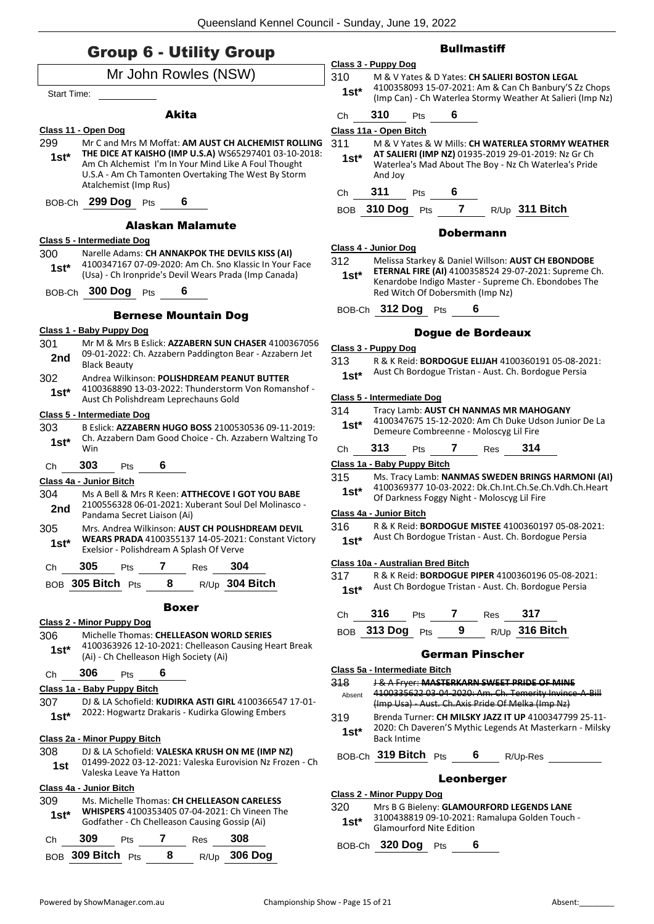### Group 6 - Utility Group

|                    | Mr John Rowles (NSW)                                                                                     |
|--------------------|----------------------------------------------------------------------------------------------------------|
| <b>Start Time:</b> |                                                                                                          |
|                    | Akita                                                                                                    |
|                    | Class 11 - Open Dog                                                                                      |
| 299                | Mr C and Mrs M Moffat: AM AUST CH ALCHEMIST ROLLING                                                      |
| $1st^*$            | THE DICE AT KAISHO (IMP U.S.A) WS65297401 03-10-2018:                                                    |
|                    | Am Ch Alchemist I'm In Your Mind Like A Foul Thought                                                     |
|                    | U.S.A - Am Ch Tamonten Overtaking The West By Storm                                                      |
|                    | Atalchemist (Imp Rus)                                                                                    |
|                    | BOB-Ch 299 Dog Pts 6                                                                                     |
|                    | Alaskan Malamute                                                                                         |
|                    | Class 5 - Intermediate Dog                                                                               |
| 300                | Narelle Adams: CH ANNAKPOK THE DEVILS KISS (AI)                                                          |
| 1st*               | 4100347167 07-09-2020: Am Ch. Sno Klassic In Your Face                                                   |
|                    | (Usa) - Ch Ironpride's Devil Wears Prada (Imp Canada)                                                    |
|                    | BOB-Ch 300 Dog Pts<br>6                                                                                  |
|                    | <b>Bernese Mountain Dog</b>                                                                              |
|                    | <u> Class 1 - Baby Puppy Dog</u>                                                                         |
| 301                | Mr M & Mrs B Eslick: AZZABERN SUN CHASER 4100367056                                                      |
| 2nd                | 09-01-2022: Ch. Azzabern Paddington Bear - Azzabern Jet<br><b>Black Beauty</b>                           |
| 302                | Andrea Wilkinson: POLISHDREAM PEANUT BUTTER                                                              |
|                    | 4100368890 13-03-2022: Thunderstorm Von Romanshof -                                                      |
| 1st*               | Aust Ch Polishdream Leprechauns Gold                                                                     |
|                    | <u> Class 5 - Intermediate Doq</u>                                                                       |
| 303                | B Eslick: AZZABERN HUGO BOSS 2100530536 09-11-2019:                                                      |
| $1st^*$            | Ch. Azzabern Dam Good Choice - Ch. Azzabern Waltzing To                                                  |
|                    | Win                                                                                                      |
| Ch                 | 6<br>303<br><b>Pts</b>                                                                                   |
|                    | Class 4a - Junior Bitch                                                                                  |
| 304                | Ms A Bell & Mrs R Keen: ATTHECOVE I GOT YOU BABE<br>2100556328 06-01-2021: Xuberant Soul Del Molinasco - |
| 2nd                | Pandama Secret Liaison (Ai)                                                                              |
| 305                | Mrs. Andrea Wilkinson: AUST CH POLISHDREAM DEVIL                                                         |
| 1st*               | WEARS PRADA 4100355137 14-05-2021: Constant Victory                                                      |
|                    | Exelsior - Polishdream A Splash Of Verve                                                                 |
| Ch                 | $Pts$ 7<br>305<br>304<br>Res                                                                             |
|                    | 8 R/Up 304 Bitch<br>BOB 305 Bitch Pts                                                                    |
|                    | <b>Boxer</b>                                                                                             |
|                    | Class 2 - Minor Puppy Dog                                                                                |
| 306                | Michelle Thomas: CHELLEASON WORLD SERIES                                                                 |
| $1st^*$            | 4100363926 12-10-2021: Chelleason Causing Heart Break                                                    |
|                    | (Ai) - Ch Chelleason High Society (Ai)                                                                   |
| Ch                 | 6<br>306<br>Pts                                                                                          |
|                    | Class 1a - Baby Puppy Bitch                                                                              |
| 307                | DJ & LA Schofield: KUDIRKA ASTI GIRL 4100366547 17-01-                                                   |
| 1st*               | 2022: Hogwartz Drakaris - Kudirka Glowing Embers                                                         |
|                    | <b>Class 2a - Minor Puppy Bitch</b>                                                                      |
| 308.               | DJ & LA Schofield: VALESKA KRUSH ON ME (IMP NZ)                                                          |
| 1st                | 01499-2022 03-12-2021: Valeska Eurovision Nz Frozen - Ch<br>Valeska Leave Ya Hatton                      |
|                    | Class 4a - Junior Bitch                                                                                  |
| 309                | Ms. Michelle Thomas: CH CHELLEASON CARELESS                                                              |
| 1st*               | <b>WHISPERS</b> 4100353405 07-04-2021: Ch Vineen The                                                     |
|                    | Godfather - Ch Chelleason Causing Gossip (Ai)                                                            |
| Ch                 | 309<br>7 Res<br>308<br>Pts                                                                               |
|                    | BOB 309 Bitch Pts<br>R/Up 306 Dog<br>8                                                                   |

#### **Bullmastiff**

**Class 3 - Puppy Dog** 310 M & V Yates & D Yates: **CH SALIERI BOSTON LEGAL** 4100358093 15-07-2021: Am & Can Ch Banbury'S Zz Chops (Imp Can) - Ch Waterlea Stormy Weather At Salieri (Imp Nz) **1st\***

### Ch **310** Pts **6**

#### **Class 11a - Open Bitch**

- 311 M & V Yates & W Mills: **CH WATERLEA STORMY WEATHER AT SALIERI (IMP NZ)** 01935-2019 29-01-2019: Nz Gr Ch
	- Waterlea's Mad About The Boy Nz Ch Waterlea's Pride And Joy **1st\***

Ch **311** Pts **6**

BOB **310 Dog** Pts **7** R/Up **311 Bitch**

#### Dobermann

#### **Class 4 - Junior Dog**

312 Melissa Starkey & Daniel Willson: **AUST CH EBONDOBE** 

**ETERNAL FIRE (AI)** 4100358524 29-07-2021: Supreme Ch. Kenardobe Indigo Master - Supreme Ch. Ebondobes The Red Witch Of Dobersmith (Imp Nz) **1st\***

BOB-Ch **312 Dog** Pts **6**

#### Dogue de Bordeaux

#### **Class 3 - Puppy Dog**

| 313.   | R & K Reid: <b>BORDOGUE ELIJAH</b> 4100360191 05-08-2021: |
|--------|-----------------------------------------------------------|
| $1st*$ | Aust Ch Bordogue Tristan - Aust. Ch. Bordogue Persia      |

#### **Class 5 - Intermediate Dog**

| 314<br>$1st*$ |     |            | Demeure Combreenne - Moloscyg Lil Fire | Tracy Lamb: AUST CH NANMAS MR MAHOGANY | 4100347675 15-12-2020: Am Ch Duke Udson Junior De La |
|---------------|-----|------------|----------------------------------------|----------------------------------------|------------------------------------------------------|
| Ch            | 313 | <b>Pts</b> | <b>Res</b>                             | 314                                    |                                                      |

#### **Class 1a - Baby Puppy Bitch**

315 Ms. Tracy Lamb: **NANMAS SWEDEN BRINGS HARMONI (AI)** 4100369377 10-03-2022: Dk.Ch.Int.Ch.Se.Ch.Vdh.Ch.Heart **1st**\* 4100369377 10-03-2022: DK.Ch.Int.Ch.Se.C<br>Of Darkness Foggy Night - Moloscyg Lil Fire

#### **Class 4a - Junior Bitch**

316 R & K Reid: **BORDOGUE MISTEE** 4100360197 05-08-2021:

Aust Ch Bordogue Tristan - Aust. Ch. Bordogue Persia **1st\***

#### **Class 10a - Australian Bred Bitch**

317 R & K Reid: **BORDOGUE PIPER** 4100360196 05-08-2021: Aust Ch Bordogue Tristan - Aust. Ch. Bordogue Persia **1st\***

Ch **316** Pts **7** Res **317**

| BOB 313 Dog Pts |  | R/Up 316 Bitch |
|-----------------|--|----------------|
|                 |  |                |

#### German Pinscher

| Class 5a - Intermediate Bitch |
|-------------------------------|
|-------------------------------|

| 318     | J & A Fryer: MASTERKARN SWEET PRIDE OF MINE                                    |
|---------|--------------------------------------------------------------------------------|
| Absent  | 4100335622 03 04 2020: Am. Ch. Temerity Invince A Bill                         |
|         | (Imp Usa) Aust. Ch. Axis Pride Of Melka (Imp Nz)                               |
| 319     | Brenda Turner: CH MILSKY JAZZ IT UP 4100347799 25-11-                          |
| $1st^*$ | 2020: Ch Daveren'S Mythic Legends At Masterkarn - Milsky<br><b>Back Intime</b> |

BOB-Ch **319 Bitch** Pts **6** R/Up-Res

#### Leonberger

#### **Class 2 - Minor Puppy Dog**

320 Mrs B G Bieleny: **GLAMOURFORD LEGENDS LANE** 3100438819 09-10-2021: Ramalupa Golden Touch - Glamourford Nite Edition **1st\***

BOB-Ch **320 Dog** Pts **6**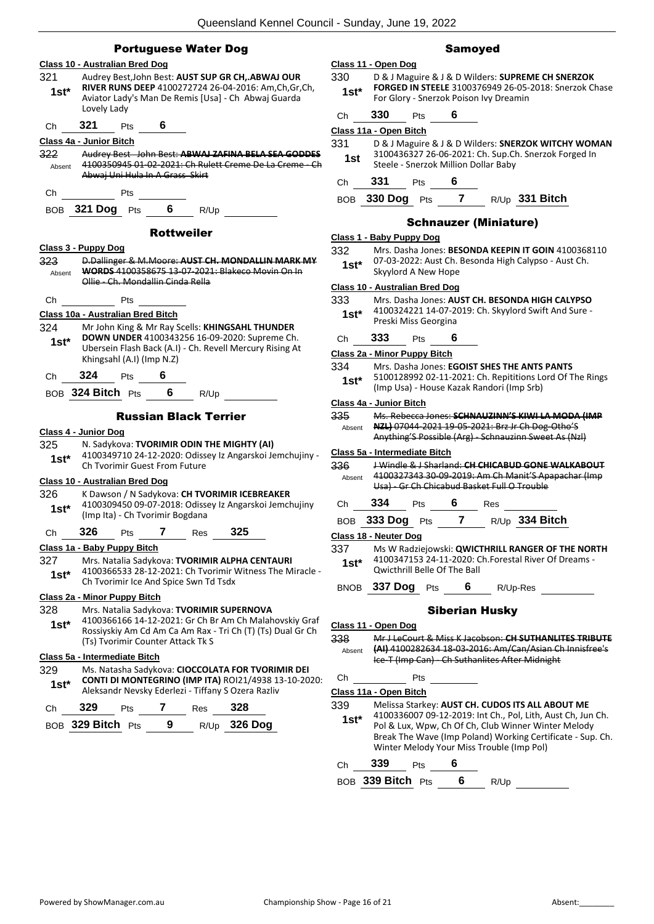| <b>Portuguese Water Dog</b> |  |  |
|-----------------------------|--|--|
|-----------------------------|--|--|

|                | <b>Class 10 - Australian Bred Dog</b>                                                                                                                                             |
|----------------|-----------------------------------------------------------------------------------------------------------------------------------------------------------------------------------|
| 321<br>$1st^*$ | Audrey Best, John Best: AUST SUP GR CH,.ABWAJ OUR<br>RIVER RUNS DEEP 4100272724 26-04-2016: Am, Ch, Gr, Ch,<br>Aviator Lady's Man De Remis [Usa] - Ch Abwaj Guarda<br>Lovely Lady |
| Ch             | 321 —<br>Pts 6                                                                                                                                                                    |
|                | Class 4a - Junior Bitch                                                                                                                                                           |
| 322            | Audrey Best John Best: ABWAJ ZAFINA BELA SEA GODDES                                                                                                                               |
| Absent         | 4100350945 01-02-2021: Ch Rulett Creme De La Creme - Ch<br>Abwaj Uni Hula In A Grass Skirt                                                                                        |
| Ch.            | <b>Pts</b>                                                                                                                                                                        |
|                | BOB 321 Dog Pts 6<br>R/Up                                                                                                                                                         |
|                | <b>Rottweiler</b>                                                                                                                                                                 |
|                | Class 3 - Puppy Dog                                                                                                                                                               |
| 323            | D.Dallinger & M.Moore: AUST CH. MONDALLIN MARK MY                                                                                                                                 |
| Absent         | <b>WORDS 4100358675 13 07 2021: Blakeco Movin On In</b><br>Ollie - Ch. Mondallin Cinda Rella                                                                                      |
| Сh             | Pts                                                                                                                                                                               |
|                | Class 10a - Australian Bred Bitch                                                                                                                                                 |
| 324            | Mr John King & Mr Ray Scells: KHINGSAHL THUNDER                                                                                                                                   |
| $1st^*$        | DOWN UNDER 4100343256 16-09-2020: Supreme Ch.<br>Ubersein Flash Back (A.I) - Ch. Revell Mercury Rising At                                                                         |
|                | Khingsahl (A.I) (Imp N.Z)                                                                                                                                                         |
| Сh             | 324 Pts 6                                                                                                                                                                         |
|                | BOB 324 Bitch Pts 6 R/Up                                                                                                                                                          |
|                | <b>Russian Black Terrier</b>                                                                                                                                                      |
|                | Class 4 - Junior Dog                                                                                                                                                              |
| 325            | N. Sadykova: TVORIMIR ODIN THE MIGHTY (AI)                                                                                                                                        |
| $1st^*$        | 4100349710 24-12-2020: Odissey Iz Angarskoi Jemchujiny -<br>Ch Tvorimir Guest From Future                                                                                         |
|                | <b>Class 10 - Australian Bred Dog</b>                                                                                                                                             |
| 326            | K Dawson / N Sadykova: CH TVORIMIR ICEBREAKER                                                                                                                                     |
| $1st*$         | 4100309450 09-07-2018: Odissey Iz Angarskoi Jemchujiny                                                                                                                            |
|                | (Imp Ita) - Ch Tvorimir Bogdana                                                                                                                                                   |
| Ch <b>326</b>  | $7 \text{ Res } 325$<br><b>Pts</b>                                                                                                                                                |
|                | Class 1a - Baby Puppy Bitch                                                                                                                                                       |
| 327<br>$1st^*$ | Mrs. Natalia Sadykova: TVORIMIR ALPHA CENTAURI<br>4100366533 28-12-2021: Ch Tvorimir Witness The Miracle -<br>Ch Tvorimir Ice And Spice Swn Td Tsdx                               |
|                |                                                                                                                                                                                   |
|                | Class 2a - Minor Puppy Bitch                                                                                                                                                      |
| 328            | Mrs. Natalia Sadykova: TVORIMIR SUPERNOVA                                                                                                                                         |
| $1st*$         | 4100366166 14-12-2021: Gr Ch Br Am Ch Malahovskiy Graf                                                                                                                            |
|                | Rossiyskiy Am Cd Am Ca Am Rax - Tri Ch (T) (Ts) Dual Gr Ch<br>(Ts) Tvorimir Counter Attack Tk S                                                                                   |
|                | Class 5a - Intermediate Bitch                                                                                                                                                     |
| 329            | Ms. Natasha Sadykova: CIOCCOLATA FOR TVORIMIR DEI                                                                                                                                 |
| $1st^*$        | CONTI DI MONTEGRINO (IMP ITA) ROI21/4938 13-10-2020:<br>Aleksandr Nevsky Ederlezi - Tiffany S Ozera Razliv                                                                        |
| Ch             | 329<br>$7$ Res $-$<br>328<br>Pts                                                                                                                                                  |
|                | R/Up 326 Dog<br>9<br>BOB 329 Bitch<br>Pts                                                                                                                                         |

#### Samoyed

| Class 11 - Open Dog |                                                       |  |  |
|---------------------|-------------------------------------------------------|--|--|
| 330                 | D & J Maguire & J & D Wilders: SUPREME CH SNERZOK     |  |  |
| $1c+$               | FORGED IN STEELE 3100376949 26-05-2018: Snerzok Chase |  |  |

| $1st^*$ | <b>FORGED IN STEELE</b> 3100376949 26-05-2018: Snerzok Chase |
|---------|--------------------------------------------------------------|
|         | For Glory - Snerzok Poison Ivy Dreamin                       |
|         |                                                              |

| Сh | 330 |   | Pts | 6 |  |
|----|-----|---|-----|---|--|
|    |     | . |     |   |  |

|  | Class 11a - Open Bitch |  |
|--|------------------------|--|
|  |                        |  |

| 331  | D & J Maguire & J & D Wilders: SNERZOK WITCHY WOMAN  |
|------|------------------------------------------------------|
| 1 ct | 3100436327 26-06-2021: Ch. Sup.Ch. Snerzok Forged In |

| 1st | 3100436327 Z6-06-Z021: Cn. Sup.Cn. Sherzok Forged I |
|-----|-----------------------------------------------------|
|     | Steele - Snerzok Million Dollar Baby                |
|     |                                                     |

Ch **331** Pts **6**

BOB **330 Dog** Pts **7** R/Up **331 Bitch**

#### Schnauzer (Miniature)

#### **Class 1 - Baby Puppy Dog**

| 332    | Mrs. Dasha Jones: BESONDA KEEPIN IT GOIN 4100368110  |
|--------|------------------------------------------------------|
| $1st*$ | 07-03-2022: Aust Ch. Besonda High Calypso - Aust Ch. |
|        | Skyylord A New Hope                                  |

#### **Class 10 - Australian Bred Dog**

- 333 Mrs. Dasha Jones: **AUST CH. BESONDA HIGH CALYPSO**
	- 4100324221 14-07-2019: Ch. Skyylord Swift And Sure Preski Miss Georgina **1st\***

#### Ch **333** Pts **6**

#### **Class 2a - Minor Puppy Bitch**

| 334 | Mrs. Dasha Jones: EGOIST SHES THE ANTS PANTS |  |
|-----|----------------------------------------------|--|
|-----|----------------------------------------------|--|

5100128992 02-11-2021: Ch. Repititions Lord Of The Rings (Imp Usa) - House Kazak Randori (Imp Srb) **1st\***

#### **Class 4a - Junior Bitch**

| 335    | Ms. Rebecca Jones: SCHNAUZINN'S KIWI LA MODA (IMP     |
|--------|-------------------------------------------------------|
| Absent | NZL) 07044-2021 19-05-2021: Brz Jr Ch Dog-Otho'S      |
|        | Anything'S Possible (Arg) - Schnauzinn Sweet As (Nzl) |

#### **Class 5a - Intermediate Bitch**

336 J Windle & J Sharland: **CH CHICABUD GONE WALKABOUT** 4100327343 30-09-2019: Am Ch Manit'S Apapachar (Imp Usa) - Gr Ch Chicabud Basket Full O Trouble Absent

Ch **334** Pts **6** Res

BOB **333 Dog** Pts **7** R/Up **334 Bitch**

**Class 18 - Neuter Dog**

337 Ms W Radziejowski: **QWICTHRILL RANGER OF THE NORTH** 4100347153 24-11-2020: Ch.Forestal River Of Dreams - **1st**\*  $\frac{410034715324-11-2020}{200}$ 

BNOB **337 Dog** Pts **6** R/Up-Res

#### Siberian Husky

#### **Class 11 - Open Dog**

338 Mr J LeCourt & Miss K Jacobson: **CH SUTHANLITES TRIBUTE (AI)** 4100282634 18-03-2016: Am/Can/Asian Ch Innisfree's Ice-T (Imp Can) - Ch Suthanlites After Midnight Absent

Ch Pts

**Class 11a - Open Bitch**

- 339 Melissa Starkey: **AUST CH. CUDOS ITS ALL ABOUT ME** 4100336007 09-12-2019: Int Ch., Pol, Lith, Aust Ch, Jun Ch. **1st\***
	- Pol & Lux, Wpw, Ch Of Ch, Club Winner Winter Melody Break The Wave (Imp Poland) Working Certificate - Sup. Ch. Winter Melody Your Miss Trouble (Imp Pol)

#### Ch **339** Pts **6**

BOB **339 Bitch** Pts **6** R/Up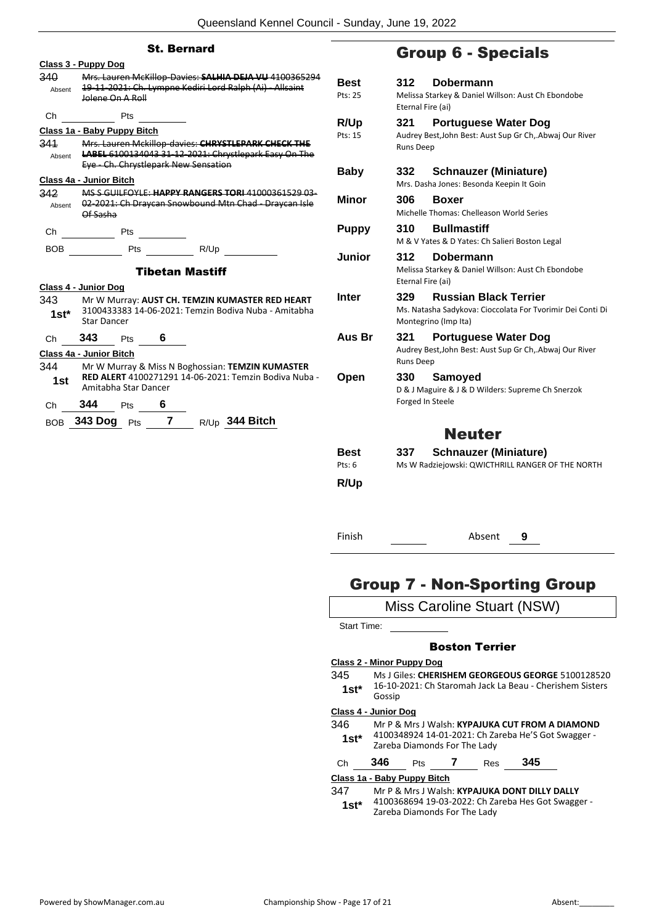|               | <b>St. Bernard</b>                                                                                                                                            |                 | <b>Group</b>                                   |
|---------------|---------------------------------------------------------------------------------------------------------------------------------------------------------------|-----------------|------------------------------------------------|
| 340<br>Absent | Class 3 - Puppy Dog<br>Mrs. Lauren McKillop-Davies: SALHIA DEJA VU 4100365294<br>19-11-2021: Ch. Lympne Kediri Lord Ralph (Ai) - Allsaint<br>Jolene On A Roll | Best<br>Pts: 25 | 312<br>Do<br>Melissa Starke<br>Eternal Fire (a |
| Сh            | <b>Pts</b>                                                                                                                                                    | R/Up            | 321<br>Po                                      |
| 341<br>Absent | Class 1a - Baby Puppy Bitch<br>Mrs. Lauren Mckillop-davies: CHRYSTLEPARK CHECK THE<br>LABEL 6100134043 31 12 2021: Chrystlepark Easy On The                   | Pts: 15         | Audrey Best, Jo<br>Runs Deep                   |
|               | Eye - Ch. Chrystlepark New Sensation<br>Class 4a - Junior Bitch                                                                                               | Baby            | 332<br>Scl<br>Mrs. Dasha Jo                    |
| 342<br>Absent | MS S GUILFOYLE: HAPPY RANGERS TORI 41000361529 03-<br>02-2021: Ch Draycan Snowbound Mtn Chad - Draycan Isle<br>Of Sasha                                       | Minor           | 306<br>Bo<br>Michelle Thon                     |
| Ch            | $\frac{1}{\sqrt{1-\frac{1}{2}}}\text{ Pts}$                                                                                                                   | <b>Puppy</b>    | 310<br>Bu<br>M & V Yates &                     |
| <b>BOB</b>    | <b>Tibetan Mastiff</b>                                                                                                                                        | Junior          | 312<br>Do<br>Melissa Starke<br>Eternal Fire (a |
| 343<br>$1st*$ | Class 4 - Junior Dog<br>Mr W Murray: AUST CH. TEMZIN KUMASTER RED HEART<br>3100433383 14-06-2021: Temzin Bodiva Nuba - Amitabha<br><b>Star Dancer</b>         | <b>Inter</b>    | 329<br>Ru<br>Ms. Natasha S<br>Montegrino (I    |
| Ch            | 343<br>6<br>Pts                                                                                                                                               | Aus Br          | 321<br>Po                                      |
| 344           | Class 4a - Junior Bitch<br>Mr W Murray & Miss N Boghossian: TEMZIN KUMASTER                                                                                   |                 | Audrey Best, Jo<br>Runs Deep                   |
| 1st           | RED ALERT 4100271291 14-06-2021: Temzin Bodiva Nuba -<br>Amitabha Star Dancer                                                                                 | Open            | Sa<br>330<br>D & J Maguire                     |
| Ch            | 344<br>Pts 6                                                                                                                                                  |                 | Forged In Stee                                 |
|               | BOB 343 Dog Pts 7 R/Up 344 Bitch                                                                                                                              |                 |                                                |
|               |                                                                                                                                                               | Best<br>Pts: 6  | 337<br>Scl<br>Ms W Radziejo                    |

## 6 - Specials

| Best                             | 312                      | Dobermann                                                                                                          |
|----------------------------------|--------------------------|--------------------------------------------------------------------------------------------------------------------|
| Pts: 25                          | Eternal Fire (ai)        | Melissa Starkey & Daniel Willson: Aust Ch Ebondobe                                                                 |
| R/Up                             | 321                      | <b>Portuguese Water Dog</b>                                                                                        |
| Pts: 15                          | <b>Runs Deep</b>         | Audrey Best, John Best: Aust Sup Gr Ch, Abwaj Our River                                                            |
| Baby                             | 332                      | <b>Schnauzer (Miniature)</b><br>Mrs. Dasha Jones: Besonda Keepin It Goin                                           |
| <b>Minor</b>                     | 306                      | <b>Boxer</b><br>Michelle Thomas: Chelleason World Series                                                           |
| <b>Puppy</b>                     | 310                      | <b>Bullmastiff</b><br>M & V Yates & D Yates: Ch Salieri Boston Legal                                               |
| Junior                           | 312<br>Eternal Fire (ai) | Dobermann<br>Melissa Starkey & Daniel Willson: Aust Ch Ebondobe                                                    |
| <b>Inter</b>                     | 329                      | <b>Russian Black Terrier</b><br>Ms. Natasha Sadykova: Cioccolata For Tvorimir Dei Conti Di<br>Montegrino (Imp Ita) |
| Aus Br                           | 321<br>Runs Deep         | <b>Portuguese Water Dog</b><br>Audrey Best, John Best: Aust Sup Gr Ch, .Abwaj Our River                            |
| Open                             | 330<br>Forged In Steele  | Samoyed<br>D & J Maguire & J & D Wilders: Supreme Ch Snerzok                                                       |
|                                  |                          | <b>Neuter</b>                                                                                                      |
| Best                             | 337                      | <b>Schnauzer (Miniature)</b>                                                                                       |
| Pts: 6                           |                          | Ms W Radziejowski: QWICTHRILL RANGER OF THE NORTH                                                                  |
| R/Up                             |                          |                                                                                                                    |
| Finish                           |                          | Absent<br>9                                                                                                        |
|                                  |                          | <b>Group 7 - Non-Sporting Group</b>                                                                                |
|                                  |                          | Miss Caroline Stuart (NSW)                                                                                         |
| <b>Start Time:</b>               |                          |                                                                                                                    |
|                                  |                          | <b>Boston Terrier</b>                                                                                              |
| <b>Class 2 - Minor Puppy Dog</b> |                          |                                                                                                                    |
| 345<br>$1st*$<br>Gossip          |                          | Ms J Giles: CHERISHEM GEORGEOUS GEORGE 5100128520<br>16-10-2021: Ch Staromah Jack La Beau - Cherishem Sisters      |

#### **Class 4 - Junior Dog**

| 346    | Mr P & Mrs J Walsh: KYPAJUKA CUT FROM A DIAMOND                                     |
|--------|-------------------------------------------------------------------------------------|
| $1st*$ | 4100348924 14-01-2021: Ch Zareba He'S Got Swagger -<br>Zareba Diamonds For The Lady |

|  | C) | 346 | 'ts |  | Res | 345 |
|--|----|-----|-----|--|-----|-----|
|--|----|-----|-----|--|-----|-----|

#### **Class 1a - Baby Puppy Bitch**

347 Mr P & Mrs J Walsh: **KYPAJUKA DONT DILLY DALLY**

4100368694 19-03-2022: Ch Zareba Hes Got Swagger - **1st**\* 4100368694 19-03-2022: Ch Za<br>Zareba Diamonds For The Lady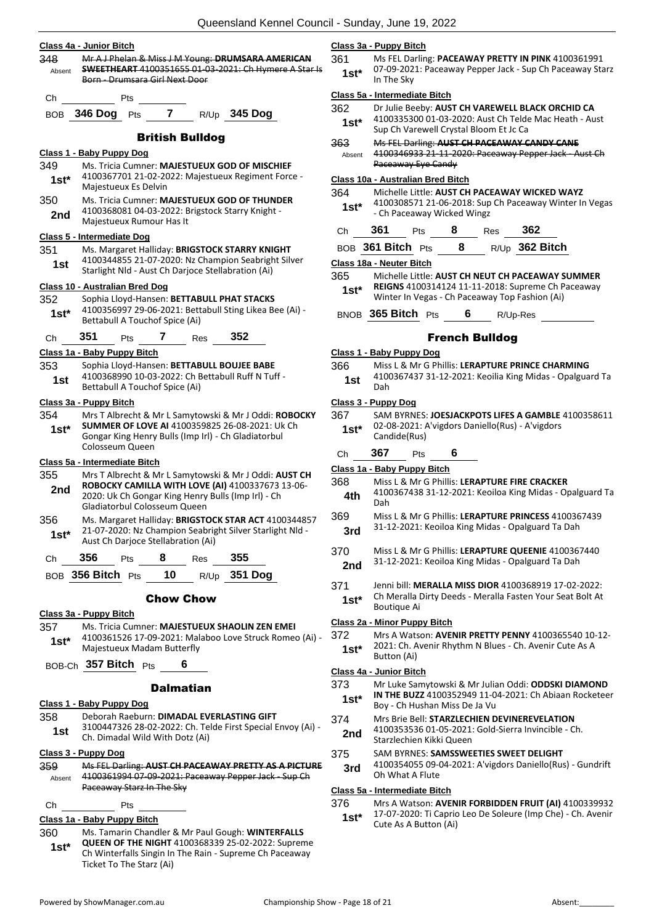|               | Class 4a - Junior Bitch                                                                                           | Class 3         |
|---------------|-------------------------------------------------------------------------------------------------------------------|-----------------|
| 348           | Mr A J Phelan & Miss J M Young: DRUMSARA AMERICAN<br><b>SWEETHEART</b> 4100351655 01-03-2021: Ch Hymere A Star Is | 361             |
| Absent        | Born - Drumsara Girl Next Door                                                                                    | 1st*            |
| Ch            | Pts                                                                                                               | <u>Class 5 </u> |
| BOB           | R/Up 345 Dog<br><b>7</b><br>346 Dog<br>Pts                                                                        | 362             |
|               |                                                                                                                   | $1st*$          |
|               | <b>British Bulldog</b>                                                                                            | 363             |
|               | Class 1 - Baby Puppy Dog                                                                                          | Absent          |
| 349<br>$1st*$ | Ms. Tricia Cumner: MAJESTUEUX GOD OF MISCHIEF<br>4100367701 21-02-2022: Majestueux Regiment Force -               | Class 1         |
|               | Majestueux Es Delvin                                                                                              | 364             |
| 350           | Ms. Tricia Cumner: MAJESTUEUX GOD OF THUNDER                                                                      | $1st*$          |
| 2nd           | 4100368081 04-03-2022: Brigstock Starry Knight -<br>Majestueux Rumour Has It                                      |                 |
|               | Class 5 - Intermediate Dog                                                                                        | Сh              |
| 351           | Ms. Margaret Halliday: BRIGSTOCK STARRY KNIGHT                                                                    | BOB             |
| 1st           | 4100344855 21-07-2020: Nz Champion Seabright Silver<br>Starlight Nld - Aust Ch Darjoce Stellabration (Ai)         | Class 1         |
|               | Class 10 - Australian Bred Dog                                                                                    | 365             |
| 352           | Sophia Lloyd-Hansen: BETTABULL PHAT STACKS                                                                        | $1st*$          |
| 1st*          | 4100356997 29-06-2021: Bettabull Sting Likea Bee (Ai) -<br>Bettabull A Touchof Spice (Ai)                         | BNOB            |
|               |                                                                                                                   |                 |
| Сh            | 351<br>352<br>7<br>Pts<br>Res<br>Class 1a - Baby Puppy Bitch                                                      | Class 1         |
| 353           | Sophia Lloyd-Hansen: BETTABULL BOUJEE BABE                                                                        | 366             |
| 1st           | 4100368990 10-03-2022: Ch Bettabull Ruff N Tuff -                                                                 | 1st             |
|               | Bettabull A Touchof Spice (Ai)                                                                                    |                 |
| 354           | Class 3a - Puppy Bitch<br>Mrs T Albrecht & Mr L Samytowski & Mr J Oddi: ROBOCKY                                   | Class 3<br>367  |
| $1st*$        | SUMMER OF LOVE AI 4100359825 26-08-2021: Uk Ch                                                                    | $1st*$          |
|               | Gongar King Henry Bulls (Imp Irl) - Ch Gladiatorbul                                                               |                 |
|               | Colosseum Queen<br>Class 5a - Intermediate Bitch                                                                  | Ch              |
| 355           | Mrs T Albrecht & Mr L Samytowski & Mr J Oddi: AUST CH                                                             | Class 1         |
| 2nd           | ROBOCKY CAMILLA WITH LOVE (AI) 4100337673 13-06-                                                                  | 368             |
|               | 2020: Uk Ch Gongar King Henry Bulls (Imp Irl) - Ch<br>Gladiatorbul Colosseum Queen                                | 4th.            |
| 356           | Ms. Margaret Halliday: BRIGSTOCK STAR ACT 4100344857                                                              | 369             |
| 1st*          | 21-07-2020: Nz Champion Seabright Silver Starlight Nld                                                            | 3rd             |
|               | Aust Ch Darjoce Stellabration (Ai)                                                                                | 370             |
| Ch            | 355<br>356<br>8<br><b>Pts</b><br>Res                                                                              | 2nd             |
|               | BOB 356 Bitch Pts $10$ R/Up 351 Dog                                                                               | 371             |
|               | <b>Chow Chow</b>                                                                                                  | $1st^*$         |
|               | Class 3a - Puppy Bitch                                                                                            |                 |
| 357           | Ms. Tricia Cumner: MAJESTUEUX SHAOLIN ZEN EMEI                                                                    | Class 2<br>372  |
| $1st^*$       | 4100361526 17-09-2021: Malaboo Love Struck Romeo (Ai) -<br>Majestueux Madam Butterfly                             | $1st^*$         |
|               | BOB-Ch 357 Bitch Pts<br>6                                                                                         |                 |
|               |                                                                                                                   | Class 4         |
|               | <b>Dalmatian</b>                                                                                                  | 373<br>1st*     |
|               | Class 1 - Baby Puppy Dog                                                                                          |                 |
| 358           | Deborah Raeburn: DIMADAL EVERLASTING GIFT<br>3100447326 28-02-2022: Ch. Telde First Special Envoy (Ai) -          | 374             |
| 1st           | Ch. Dimadal Wild With Dotz (Ai)                                                                                   | 2nd             |
|               | Class 3 - Puppy Dog                                                                                               | 375             |
| 359.          | Ms FEL Darling: AUST CH PACEAWAY PRETTY AS A PICTURE<br>4100361994 07-09-2021: Paceaway Pepper Jack - Sup Ch      | 3rd             |
| Absent        | Paceaway Starz In The Sky                                                                                         | Class 5         |
|               |                                                                                                                   |                 |

### Ch Pts

### **Class 1a - Baby Puppy Bitch**

360 Ms. Tamarin Chandler & Mr Paul Gough: **WINTERFALLS QUEEN OF THE NIGHT** 4100368339 25-02-2022: Supreme Ch Winterfalls Singin In The Rain - Supreme Ch Paceaway Ticket To The Starz (Ai) **1st\***

#### **Class 3a - Puppy Bitch**

361 Ms FEL Darling: **PACEAWAY PRETTY IN PINK** 4100361991 07-09-2021: Paceaway Pepper Jack - Sup Ch Paceaway Starz **In The Sky** 

#### **Class 5a - Intermediate Bitch**

- 362 Dr Julie Beeby: **AUST CH VAREWELL BLACK ORCHID CA** 4100335300 01-03-2020: Aust Ch Telde Mac Heath - Aust Sup Ch Varewell Crystal Bloom Et Jc Ca
- 363 Ms FEL Darling: **AUST CH PACEAWAY CANDY CANE**
- 4100346933 21-11-2020: Paceaway Pepper Jack Aust Ch Paceaway Eye Candy

#### **Class 10a - Australian Bred Bitch**

- 364 Michelle Little: **AUST CH PACEAWAY WICKED WAYZ**
- 4100308571 21-06-2018: Sup Ch Paceaway Winter In Vegas - Ch Paceaway Wicked Wingz
- Ch **361** Pts **8** Res **362**

BOB **361 Bitch** Pts **8** R/Up **362 Bitch**

#### **Class 18a - Neuter Bitch**

- 365 Michelle Little: **AUST CH NEUT CH PACEAWAY SUMMER REIGNS** 4100314124 11-11-2018: Supreme Ch Paceaway
- Winter In Vegas Ch Paceaway Top Fashion (Ai)

**365 Bitch** Pts **6** R/Up-Res

#### French Bulldog

#### **Class 1 - Baby Puppy Dog**

366 Miss L & Mr G Phillis: **LERAPTURE PRINCE CHARMING** 4100367437 31-12-2021: Keoilia King Midas - Opalguard Ta Dah **1st**

#### **Class 3 - Puppy Dog**

| 367    | SAM BYRNES: JOESJACKPOTS LIFES A GAMBLE 4100358611 |
|--------|----------------------------------------------------|
| $1st*$ | 02-08-2021: A'vigdors Daniello(Rus) - A'vigdors    |
|        | Candide(Rus)                                       |

Ch **367** Pts **6**

#### **Class 1a - Baby Puppy Bitch**

- 368 Miss L & Mr G Phillis: **LERAPTURE FIRE CRACKER** 4100367438 31-12-2021: Keoiloa King Midas - Opalguard Ta Dah
- 369 Miss L & Mr G Phillis: **LERAPTURE PRINCESS** 4100367439 31-12-2021: Keoiloa King Midas - Opalguard Ta Dah **3rd**
- 370 Miss L & Mr G Phillis: **LERAPTURE QUEENIE** 4100367440
- 31-12-2021: Keoiloa King Midas Opalguard Ta Dah
- 371 Jenni bill: **MERALLA MISS DIOR** 4100368919 17-02-2022: Ch Meralla Dirty Deeds - Meralla Fasten Your Seat Bolt At
- **Boutique Ai**

#### **Class 2a - Minor Puppy Bitch**

372 Mrs A Watson: **AVENIR PRETTY PENNY** 4100365540 10-12- 2021: Ch. Avenir Rhythm N Blues - Ch. Avenir Cute As A **Button (Ai)** 

#### **Class 4a - Junior Bitch**

- 373 Mr Luke Samytowski & Mr Julian Oddi: **ODDSKI DIAMOND IN THE BUZZ** 4100352949 11-04-2021: Ch Abiaan Rocketeer Boy - Ch Hushan Miss De Ja Vu
	- 374 Mrs Brie Bell: **STARZLECHIEN DEVINEREVELATION**
- 4100353536 01-05-2021: Gold-Sierra Invincible Ch. **Starzlechien Kikki Queen**
- **SAM BYRNES: SAMSSWEETIES SWEET DELIGHT**
- 4100354055 09-04-2021: A'vigdors Daniello(Rus) Gundrift **Oh What A Flute**

#### **Class 5a - Intermediate Bitch**

- 376 Mrs A Watson: **AVENIR FORBIDDEN FRUIT (AI)** 4100339932
	- 17-07-2020: Ti Caprio Leo De Soleure (Imp Che) Ch. Avenir Cute As A Button (Ai) **1st\***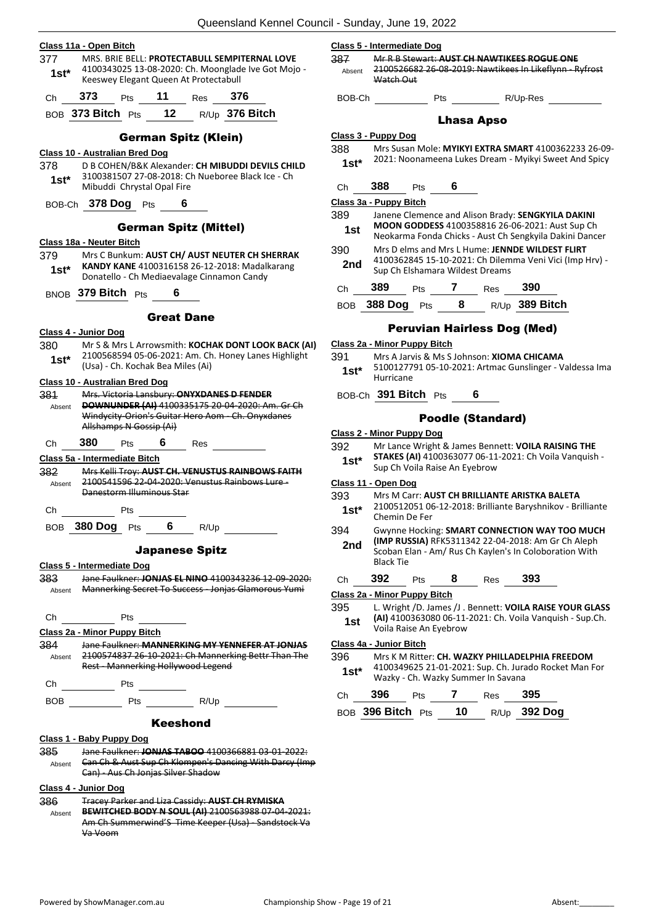|  | Class 11a - Open Bitch |
|--|------------------------|
|  |                        |

377 MRS. BRIE BELL: **PROTECTABULL SEMPITERNAL LOVE** 4100343025 13-08-2020: Ch. Moonglade Ive Got Mojo - 1st\* 4100343025 13-08-2020: Ch. Moonglad<br>Keeswey Elegant Queen At Protectabull Ch **373** Pts **11** Res **376**

BOB **373 Bitch** Pts **12** R/Up **376 Bitch**

#### German Spitz (Klein)

#### **Class 10 - Australian Bred Dog**

- 378 D B COHEN/B&K Alexander: **CH MIBUDDI DEVILS CHILD** 3100381507 27-08-2018: Ch Nueboree Black Ice - Ch 1st\* 5100381507 27-08-2018: Cr<br>Mibuddi Chrystal Opal Fire
- BOB-Ch **378 Dog** Pts **6**

#### German Spitz (Mittel)

#### **Class 18a - Neuter Bitch**

379 Mrs C Bunkum: **AUST CH/ AUST NEUTER CH SHERRAK KANDY KANE** 4100316158 26-12-2018: Madalkarang Donatello - Ch Mediaevalage Cinnamon Candy **1st\***

### BNOB **379 Bitch** Pts **6**

#### Great Dane

- **Class 4 - Junior Dog**
- 380 Mr S & Mrs L Arrowsmith: **KOCHAK DONT LOOK BACK (AI)** 2100568594 05-06-2021: Am. Ch. Honey Lanes Highlight (Usa) - Ch. Kochak Bea Miles (Ai) **1st\***

#### **Class 10 - Australian Bred Dog**

381 Mrs. Victoria Lansbury: **ONYXDANES D FENDER DOWNUNDER (AI)** 4100335175 20-04-2020: Am. Gr Ch Windycity-Orion's Guitar Hero Aom - Ch. Onyxdanes Allshamps N Gossip (Ai) Absent

#### Ch **380** Pts **6** Res

**Class 5a - Intermediate Bitch**

382 Mrs Kelli Troy: **AUST CH. VENUSTUS RAINBOWS FAITH** 2100541596 22-04-2020: Venustus Rainbows Lure - Danestorm Illuminous Star Absent

Ch Pts BOB **380 Dog** Pts **6** R/Up

#### Japanese Spitz

**Class 5 - Intermediate Dog**

383 Jane Faulkner: **JONJAS EL NINO** 4100343236 12-09-2020: Absent Mannerking Secret To Success - Jonjas Glamorous Yumi

Ch Pts

**Class 2a - Minor Puppy Bitch**

384 Jane Faulkner: **MANNERKING MY YENNEFER AT JONJAS** 2100574837 26-10-2021: Ch Mannerking Bettr Than The Rest - Mannerking Hollywood Legend Absent

Ch Pts

BOB Pts R/Up

#### Keeshond

#### **Class 1 - Baby Puppy Dog**

- 385 Jane Faulkner: **JONJAS TABOO** 4100366881 03-01-2022: **Can Ch & Aust Sup Ch Klompen's Dancing With Darcy (Imp** Can) - Aus Ch Jonjas Silver Shadow Absent
- **Class 4 - Junior Dog**
- 386 Tracey Parker and Liza Cassidy: **AUST CH RYMISKA**
- **BEWITCHED BODY N SOUL (AI)** 2100563988 07-04-2021: Am Ch Summerwind'S Time Keeper (Usa) - Sandstock Va Va Voom Absent

#### **Class 5 - Intermediate Dog**

- 387 Mr R B Stewart: **AUST CH NAWTIKEES ROGUE ONE** 2100526682 26-08-2019: Nawtikees In Likeflynn - Ryfrost Watch Out Absent
	- BOB-Ch Pts R/Up-Res
		-

#### Lhasa Apso

#### **Class 3 - Puppy Dog**

- 388 Mrs Susan Mole: **MYIKYI EXTRA SMART** 4100362233 26-09- 2021: Noonameena Lukes Dream - Myikyi Sweet And Spicy **1st\***
- Ch **388** Pts **6**

**Class 3a - Puppy Bitch**

- 389 Janene Clemence and Alison Brady: **SENGKYILA DAKINI MOON GODDESS** 4100358816 26-06-2021: Aust Sup Ch Neokarma Fonda Chicks - Aust Ch Sengkyila Dakini Dancer **1st**
- 390 Mrs D elms and Mrs L Hume: **JENNDE WILDEST FLIRT** 4100362845 15-10-2021: Ch Dilemma Veni Vici (Imp Hrv) - **2nd** 4100362845 15-10-2021: Ch Dilem<br>Sup Ch Elshamara Wildest Dreams
- Ch **389** Pts **7** Res **390**

BOB **388 Dog** Pts **8** R/Up **389 Bitch**

#### Peruvian Hairless Dog (Med)

#### **Class 2a - Minor Puppy Bitch**

- 391 Mrs A Jarvis & Ms S Johnson: **XIOMA CHICAMA**
- 5100127791 05-10-2021: Artmac Gunslinger Valdessa Ima Hurricane **1st\***
- BOB-Ch **391 Bitch** Pts **6**

#### Poodle (Standard)

- **Class 2 - Minor Puppy Dog**
- 392 Mr Lance Wright & James Bennett: **VOILA RAISING THE**
- **STAKES (AI)** 4100363077 06-11-2021: Ch Voila Vanquish **1st\*** STAKES (AI) 4100363077 06-11<br>Sup Ch Voila Raise An Eyebrow

#### **Class 11 - Open Dog**

- 393 Mrs M Carr: **AUST CH BRILLIANTE ARISTKA BALETA**
- 2100512051 06-12-2018: Brilliante Baryshnikov Brilliante 1st<sup>\*</sup> <sup>2100512051</sup><br>Chemin De Fer
- 394 Gwynne Hocking: **SMART CONNECTION WAY TOO MUCH (IMP RUSSIA)** RFK5311342 22-04-2018: Am Gr Ch Aleph Scoban Elan - Am/ Rus Ch Kaylen's In Coloboration With Black Tie **2nd**
- Ch **392** Pts **8** Res **393**

#### **Class 2a - Minor Puppy Bitch**

- 395 L. Wright /D. James /J . Bennett: **VOILA RAISE YOUR GLASS** 
	- **(AI)** 4100363080 06-11-2021: Ch. Voila Vanquish Sup.Ch. Voila Raise An Eyebrow **1st**

#### **Class 4a - Junior Bitch**

- 396 Mrs K M Ritter: **CH. WAZKY PHILLADELPHIA FREEDOM**
- 4100349625 21-01-2021: Sup. Ch. Jurado Rocket Man For 1st\* 4100349625 21-01-2021: Sup. Ch. Jura<br>Wazky - Ch. Wazky Summer In Savana

| Ch | 396               | <b>Pts</b> |           | Res | -395           |
|----|-------------------|------------|-----------|-----|----------------|
|    | BOB 396 Bitch Pts |            | <b>10</b> |     | $R/Up$ 392 Dog |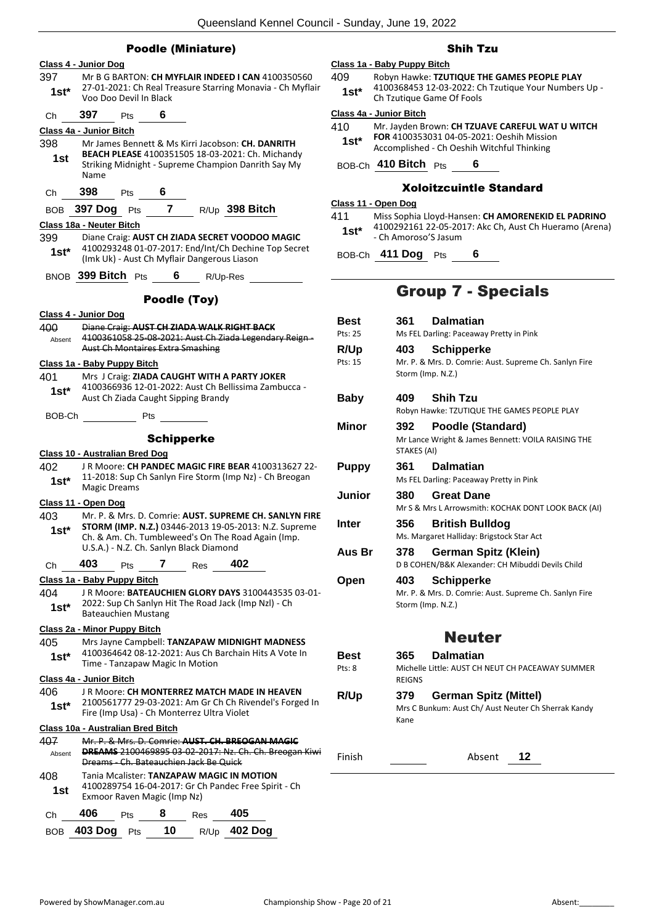|                                | <b>Poodle (Miniature)</b>                                                                                                                            |                         |                                                  |
|--------------------------------|------------------------------------------------------------------------------------------------------------------------------------------------------|-------------------------|--------------------------------------------------|
|                                | Class 4 - Junior Dog                                                                                                                                 |                         | Class 1a - Baby Puppy Bitch                      |
| 397                            | Mr B G BARTON: CH MYFLAIR INDEED I CAN 4100350560                                                                                                    | 409                     | Robyn Hawke: TZU1                                |
| $1st*$                         | 27-01-2021: Ch Real Treasure Starring Monavia - Ch Myflair<br>Voo Doo Devil In Black                                                                 | $1st*$                  | 4100368453 12-03-<br>Ch Tzutique Game (          |
| Ch                             | 397<br>6<br>Pts                                                                                                                                      | Class 4a - Junior Bitch |                                                  |
|                                | <b>Class 4a - Junior Bitch</b>                                                                                                                       | 410                     | Mr. Jayden Brown:                                |
| 398                            | Mr James Bennett & Ms Kirri Jacobson: CH. DANRITH                                                                                                    | $1st*$                  | FOR 4100353031 04<br>Accomplished - Ch (         |
| 1st                            | <b>BEACH PLEASE 4100351505 18-03-2021: Ch. Michandy</b><br>Striking Midnight - Supreme Champion Danrith Say My                                       |                         | BOB-Ch 410 Bitch Pts                             |
| Ch                             | Name<br>398<br>6<br><b>Pts</b>                                                                                                                       |                         | <b>Xoloitzc</b>                                  |
| BOB                            | 397 Dog Pts 7 R/Up 398 Bitch                                                                                                                         | Class 11 - Open Dog     |                                                  |
|                                | Class 18a - Neuter Bitch                                                                                                                             | 411                     | Miss Sophia Lloyd-H                              |
| 399                            | Diane Craig: AUST CH ZIADA SECRET VOODOO MAGIC                                                                                                       | $1st^*$                 | 4100292161 22-05-<br>- Ch Amoroso'S Jasu         |
| $1st^*$                        | 4100293248 01-07-2017: End/Int/Ch Dechine Top Secret<br>(Imk Uk) - Aust Ch Myflair Dangerous Liason                                                  |                         | BOB-Ch 411 Dog Pts                               |
|                                | BNOB 399 Bitch Pts<br>6<br>R/Up-Res                                                                                                                  |                         |                                                  |
|                                | Poodle (Toy)                                                                                                                                         |                         | <b>Group</b>                                     |
|                                | Class 4 - Junior Dog                                                                                                                                 | Best                    | 361<br>Dalı                                      |
| 400                            | Diane Craig: AUST CH ZIADA WALK RIGHT BACK                                                                                                           | Pts: 25                 | Ms FEL Darling:                                  |
| Absent                         | 4100361058 25-08-2021: Aust Ch Ziada Legendary Reign-<br><b>Aust Ch Montaires Extra Smashing</b>                                                     | R/Up                    | 403<br>Sch                                       |
|                                | Class 1a - Baby Puppy Bitch                                                                                                                          | Pts: 15                 | Mr. P. & Mrs. D                                  |
| 401                            | Mrs J Craig: ZIADA CAUGHT WITH A PARTY JOKER                                                                                                         |                         | Storm (Imp. N.Z                                  |
|                                | 4100366936 12-01-2022: Aust Ch Bellissima Zambucca -                                                                                                 |                         |                                                  |
| $1st^*$                        | Aust Ch Ziada Caught Sipping Brandy                                                                                                                  | <b>Baby</b>             | 409<br>Shil                                      |
| BOB-Ch                         | <b>Pts</b>                                                                                                                                           |                         | Robyn Hawke: 1                                   |
|                                |                                                                                                                                                      | Minor                   | 392<br>Poo                                       |
|                                | <b>Schipperke</b>                                                                                                                                    |                         | Mr Lance Wrigh                                   |
|                                | Class 10 - Australian Bred Dog                                                                                                                       |                         | STAKES (AI)                                      |
| 402                            | JR Moore: CH PANDEC MAGIC FIRE BEAR 4100313627 22-                                                                                                   | <b>Puppy</b>            | 361<br>Dalı                                      |
| $1st^*$                        | 11-2018: Sup Ch Sanlyn Fire Storm (Imp Nz) - Ch Breogan                                                                                              |                         | Ms FEL Darling:                                  |
|                                | Magic Dreams                                                                                                                                         | Junior                  | 380<br>Gre                                       |
|                                | Class 11 - Open Dog                                                                                                                                  |                         | Mr S & Mrs L Ar                                  |
|                                |                                                                                                                                                      |                         |                                                  |
|                                | Mr. P. & Mrs. D. Comrie: AUST. SUPREME CH. SANLYN FIRE                                                                                               | <b>Inter</b>            | 356                                              |
| $1st*$                         | STORM (IMP. N.Z.) 03446-2013 19-05-2013: N.Z. Supreme                                                                                                |                         | <b>Brit</b><br>Ms. Margaret H                    |
|                                | Ch. & Am. Ch. Tumbleweed's On The Road Again (Imp.<br>U.S.A.) - N.Z. Ch. Sanlyn Black Diamond                                                        | Aus Br                  | 378<br>Ger                                       |
| Ch                             | 402<br>403<br>7<br>Pts<br>Res                                                                                                                        |                         | D B COHEN/B&I                                    |
| 403                            |                                                                                                                                                      |                         | 403                                              |
|                                | Class 1a - Baby Puppy Bitch<br>JR Moore: BATEAUCHIEN GLORY DAYS 3100443535 03-01-                                                                    | Open                    |                                                  |
|                                | 2022: Sup Ch Sanlyn Hit The Road Jack (Imp Nzl) - Ch                                                                                                 |                         | Sch<br>Mr. P. & Mrs. D<br>Storm (Imp. N.Z        |
| $1st*$                         | <b>Bateauchien Mustang</b>                                                                                                                           |                         |                                                  |
| 404                            | Class 2a - Minor Puppy Bitch                                                                                                                         |                         |                                                  |
|                                | Mrs Jayne Campbell: TANZAPAW MIDNIGHT MADNESS                                                                                                        |                         |                                                  |
| $1st^*$                        | 4100364642 08-12-2021: Aus Ch Barchain Hits A Vote In                                                                                                | Best                    | 365                                              |
|                                | Time - Tanzapaw Magic In Motion                                                                                                                      | Pts: 8                  |                                                  |
|                                | Class 4a - Junior Bitch                                                                                                                              |                         | <b>REIGNS</b>                                    |
| $1st*$                         | JR Moore: CH MONTERREZ MATCH MADE IN HEAVEN<br>2100561777 29-03-2021: Am Gr Ch Ch Rivendel's Forged In<br>Fire (Imp Usa) - Ch Monterrez Ultra Violet | R/Up                    | 379                                              |
|                                |                                                                                                                                                      |                         | Kane                                             |
|                                | Class 10a - Australian Bred Bitch<br>Mr. P. & Mrs. D. Comrie: AUST. CH. BREOGAN MAGIC                                                                |                         |                                                  |
| Absent                         | DREAMS 2100469895 03-02-2017: Nz. Ch. Ch. Breogan Kiwi<br>Dreams - Ch. Bateauchien Jack Be Quick                                                     | Finish                  | Dalı<br>Michelle Little:<br>Ger<br>Mrs C Bunkum: |
|                                | Tania Mcalister: TANZAPAW MAGIC IN MOTION                                                                                                            |                         |                                                  |
| 1st                            | 4100289754 16-04-2017: Gr Ch Pandec Free Spirit - Ch<br>Exmoor Raven Magic (Imp Nz)                                                                  |                         |                                                  |
| 405<br>406<br>407<br>408<br>Ch | 406<br>405<br>8<br>Res<br>Pts                                                                                                                        |                         |                                                  |

### Shih Tzu

#### e: TZUTIQUE THE GAMES PEOPLE PLAY 12-03-2022: Ch Tzutique Your Numbers Up -

Game Of Fools

| 410    | Mr. Jayden Brown: CH TZUAVE CAREFUL WAT U WITCH |
|--------|-------------------------------------------------|
| $1st*$ | FOR 4100353031 04-05-2021: Oeshih Mission       |
|        | Accomplished - Ch Oeshih Witchful Thinking      |

**6** 

#### **Ditzcuintle Standard**

411 Miss Sophia Lloyd-Hansen: **CH AMORENEKID EL PADRINO** 22-05-2017: Akc Ch, Aust Ch Hueramo (Arena) - Ch Amoroso'S Jasum **1st\***

Pts 6

### up 7 - Specials

| <b>Best</b><br>Pts: 25     | <b>Dalmatian</b><br>361                                                                            |
|----------------------------|----------------------------------------------------------------------------------------------------|
| <b>R/Up</b>                | Ms FEL Darling: Paceaway Pretty in Pink<br>403<br><b>Schipperke</b>                                |
| Pts: 15                    | Mr. P. & Mrs. D. Comrie: Aust. Supreme Ch. Sanlyn Fire<br>Storm (Imp. N.Z.)                        |
| Baby                       | <b>Shih Tzu</b><br>409.<br>Robyn Hawke: TZUTIQUE THE GAMES PEOPLE PLAY                             |
| Minor                      | Poodle (Standard)<br>392<br>Mr Lance Wright & James Bennett: VOILA RAISING THE<br>STAKES (AI)      |
| <b>Puppy</b>               | 361<br><b>Dalmatian</b><br>Ms FEL Darling: Paceaway Pretty in Pink                                 |
| Junior                     | 380<br><b>Great Dane</b><br>Mr S & Mrs L Arrowsmith: KOCHAK DONT LOOK BACK (AI)                    |
| Inter                      | <b>British Bulldog</b><br>356<br>Ms. Margaret Halliday: Brigstock Star Act                         |
| Aus Br                     | 378<br><b>German Spitz (Klein)</b><br>D B COHEN/B&K Alexander: CH Mibuddi Devils Child             |
| Open                       | Schipperke<br>403<br>Mr. P. & Mrs. D. Comrie: Aust. Supreme Ch. Sanlyn Fire<br>Storm (Imp. N.Z.)   |
|                            | <b>Neuter</b>                                                                                      |
| <b>Best</b><br>$P$ †s: $8$ | <b>Dalmatian</b><br>365<br>Michelle Little: AUST CH NEUT CH PACEAWAY SUMMER<br><b>REIGNS</b>       |
| R/Up                       | <b>German Spitz (Mittel)</b><br>379<br>Mrs C Bunkum: Aust Ch/ Aust Neuter Ch Sherrak Kandy<br>Kane |

Absent **12**